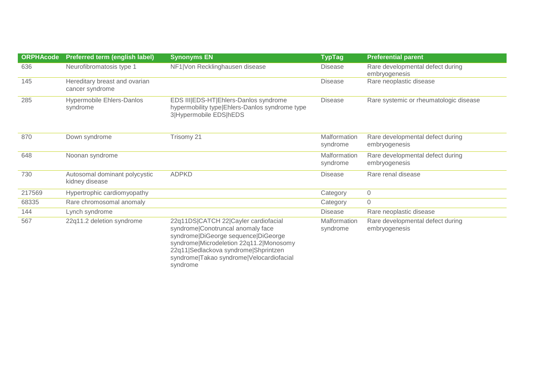| <b>ORPHAcode</b> | Preferred term (english label)                   | <b>Synonyms EN</b>                                                                                                                                                                                                                                          | <b>TypTag</b>            | <b>Preferential parent</b>                        |
|------------------|--------------------------------------------------|-------------------------------------------------------------------------------------------------------------------------------------------------------------------------------------------------------------------------------------------------------------|--------------------------|---------------------------------------------------|
| 636              | Neurofibromatosis type 1                         | NF1 Von Recklinghausen disease                                                                                                                                                                                                                              | <b>Disease</b>           | Rare developmental defect during<br>embryogenesis |
| 145              | Hereditary breast and ovarian<br>cancer syndrome |                                                                                                                                                                                                                                                             | <b>Disease</b>           | Rare neoplastic disease                           |
| 285              | <b>Hypermobile Ehlers-Danlos</b><br>syndrome     | EDS III EDS-HT Ehlers-Danlos syndrome<br>hypermobility type Ehlers-Danlos syndrome type<br>3 Hypermobile EDS hEDS                                                                                                                                           | <b>Disease</b>           | Rare systemic or rheumatologic disease            |
| 870              | Down syndrome                                    | Trisomy 21                                                                                                                                                                                                                                                  | Malformation<br>syndrome | Rare developmental defect during<br>embryogenesis |
| 648              | Noonan syndrome                                  |                                                                                                                                                                                                                                                             | Malformation<br>syndrome | Rare developmental defect during<br>embryogenesis |
| 730              | Autosomal dominant polycystic<br>kidney disease  | <b>ADPKD</b>                                                                                                                                                                                                                                                | <b>Disease</b>           | Rare renal disease                                |
| 217569           | Hypertrophic cardiomyopathy                      |                                                                                                                                                                                                                                                             | Category                 | $\overline{0}$                                    |
| 68335            | Rare chromosomal anomaly                         |                                                                                                                                                                                                                                                             | Category                 | $\mathbf 0$                                       |
| 144              | Lynch syndrome                                   |                                                                                                                                                                                                                                                             | <b>Disease</b>           | Rare neoplastic disease                           |
| 567              | 22q11.2 deletion syndrome                        | 22q11DS CATCH 22 Cayler cardiofacial<br>syndrome Conotruncal anomaly face<br>syndrome DiGeorge sequence DiGeorge<br>syndrome Microdeletion 22q11.2 Monosomy<br>22q11 Sedlackova syndrome Shprintzen<br>syndrome Takao syndrome Velocardiofacial<br>syndrome | Malformation<br>syndrome | Rare developmental defect during<br>embryogenesis |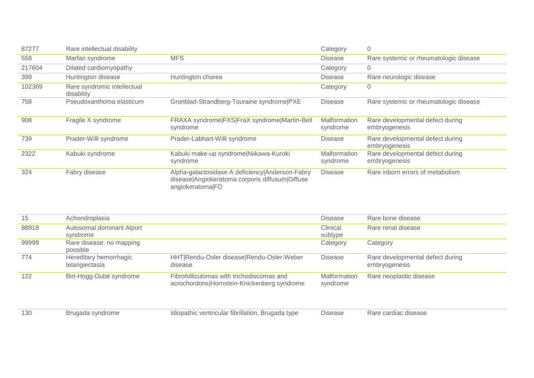| 87277  | Rare intellectual disability              |                                                                                                                        | Category                 | 0                                                 |
|--------|-------------------------------------------|------------------------------------------------------------------------------------------------------------------------|--------------------------|---------------------------------------------------|
| 558    | Marfan syndrome                           | <b>MFS</b>                                                                                                             | Disease                  | Rare systemic or rheumatologic disease            |
| 217604 | Dilated cardiomyopathy                    |                                                                                                                        | Category                 | 0                                                 |
| 399    | Huntington disease                        | Huntington chorea                                                                                                      | Disease                  | Rare neurologic disease                           |
| 102369 | Rare syndromic intellectual<br>disability |                                                                                                                        | Category                 | $\mathbf 0$                                       |
| 758    | Pseudoxanthoma elasticum                  | Gronblad-Strandberg-Touraine syndrome PXE                                                                              | Disease                  | Rare systemic or rheumatologic disease            |
| 908    | Fragile X syndrome                        | FRAXA syndrome FXS FraX syndrome Martin-Bell<br>syndrome                                                               | Malformation<br>syndrome | Rare developmental defect during<br>embryogenesis |
| 739    | Prader-Willi syndrome                     | Prader-Labhart-Willi syndrome                                                                                          | Disease                  | Rare developmental defect during<br>embryogenesis |
| 2322   | Kabuki syndrome                           | Kabuki make-up syndrome Niikawa-Kuroki<br>syndrome                                                                     | Malformation<br>syndrome | Rare developmental defect during<br>embryogenesis |
| 324    | Fabry disease                             | Alpha-galactosidase A deficiency Anderson-Fabry<br>disease Angiokeratoma corporis diffusum Diffuse<br>angiokeratoma FD | <b>Disease</b>           | Rare inborn errors of metabolism                  |

| 15    | Achondroplasia            |                                             | <b>Disease</b> | Rare bone disease                |
|-------|---------------------------|---------------------------------------------|----------------|----------------------------------|
| 88918 | Autosomal dominant Alport |                                             | Clinical       | Rare renal disease               |
|       | syndrome                  |                                             | subtype        |                                  |
| 99999 | Rare disease: no mapping  |                                             | Category       | Category                         |
|       | possible                  |                                             |                |                                  |
| 774   | Hereditary hemorrhagic    | HHT Rendu-Osler disease Rendu-Osler-Weber   | <b>Disease</b> | Rare developmental defect during |
|       | telangiectasia            | disease                                     |                | embryogenesis                    |
| 122   | Birt-Hogg-Dubé syndrome   | Fibrofolliculomas with trichodiscomas and   | Malformation   | Rare neoplastic disease          |
|       |                           | acrochordons Hornstein-Knickenberg syndrome | syndrome       |                                  |
|       |                           |                                             |                |                                  |
|       |                           |                                             |                |                                  |

| 130 | Brugada syndrome | Idiopathic ventricular fibrillation, Brugada type | <b>Disease</b> | Rare cardiac disease |
|-----|------------------|---------------------------------------------------|----------------|----------------------|
|     |                  |                                                   |                |                      |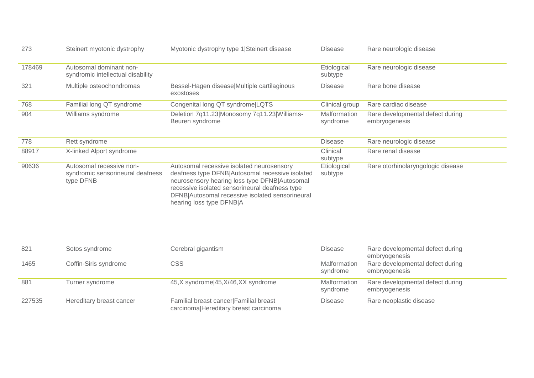| 273    | Steinert myotonic dystrophy                                               | Myotonic dystrophy type 1 Steinert disease                                                                                                                                                                                                                                     | Disease                  | Rare neurologic disease                           |
|--------|---------------------------------------------------------------------------|--------------------------------------------------------------------------------------------------------------------------------------------------------------------------------------------------------------------------------------------------------------------------------|--------------------------|---------------------------------------------------|
| 178469 | Autosomal dominant non-<br>syndromic intellectual disability              |                                                                                                                                                                                                                                                                                | Etiological<br>subtype   | Rare neurologic disease                           |
| 321    | Multiple osteochondromas                                                  | Bessel-Hagen disease Multiple cartilaginous<br>exostoses                                                                                                                                                                                                                       | <b>Disease</b>           | Rare bone disease                                 |
| 768    | Familial long QT syndrome                                                 | Congenital long QT syndrome LQTS                                                                                                                                                                                                                                               | Clinical group           | Rare cardiac disease                              |
| 904    | Williams syndrome                                                         | Deletion 7q11.23 Monosomy 7q11.23 Williams-<br>Beuren syndrome                                                                                                                                                                                                                 | Malformation<br>syndrome | Rare developmental defect during<br>embryogenesis |
| 778    | Rett syndrome                                                             |                                                                                                                                                                                                                                                                                | <b>Disease</b>           | Rare neurologic disease                           |
| 88917  | X-linked Alport syndrome                                                  |                                                                                                                                                                                                                                                                                | Clinical<br>subtype      | Rare renal disease                                |
| 90636  | Autosomal recessive non-<br>syndromic sensorineural deafness<br>type DFNB | Autosomal recessive isolated neurosensory<br>deafness type DFNB Autosomal recessive isolated<br>neurosensory hearing loss type DFNB Autosomal<br>recessive isolated sensorineural deafness type<br>DFNB Autosomal recessive isolated sensorineural<br>hearing loss type DFNB A | Etiological<br>subtype   | Rare otorhinolaryngologic disease                 |

| 821    | Sotos syndrome           | Cerebral gigantism                                                              | <b>Disease</b>           | Rare developmental defect during<br>embryogenesis |
|--------|--------------------------|---------------------------------------------------------------------------------|--------------------------|---------------------------------------------------|
| 1465   | Coffin-Siris syndrome    | CSS                                                                             | Malformation<br>syndrome | Rare developmental defect during<br>embryogenesis |
| 881    | Turner syndrome          | 45,X syndrome 45, X/46, XX syndrome                                             | Malformation<br>syndrome | Rare developmental defect during<br>embryogenesis |
| 227535 | Hereditary breast cancer | Familial breast cancer Familial breast<br>carcinomalHereditary breast carcinoma | <b>Disease</b>           | Rare neoplastic disease                           |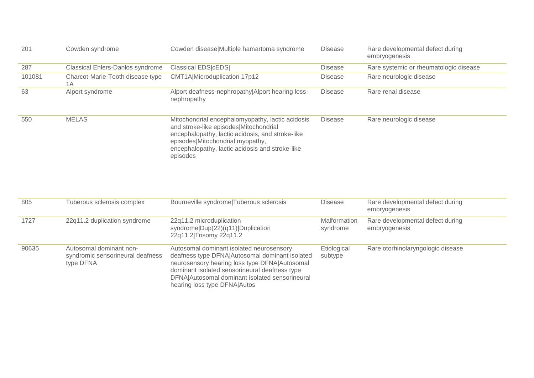| 201    | Cowden syndrome                        | Cowden disease Multiple hamartoma syndrome                                                                                                                                                                                                        | <b>Disease</b> | Rare developmental defect during<br>embryogenesis |
|--------|----------------------------------------|---------------------------------------------------------------------------------------------------------------------------------------------------------------------------------------------------------------------------------------------------|----------------|---------------------------------------------------|
| 287    | Classical Ehlers-Danlos syndrome       | <b>Classical EDS cEDS </b>                                                                                                                                                                                                                        | <b>Disease</b> | Rare systemic or rheumatologic disease            |
| 101081 | Charcot-Marie-Tooth disease type<br>1A | CMT1A Microduplication 17p12                                                                                                                                                                                                                      | <b>Disease</b> | Rare neurologic disease                           |
| 63     | Alport syndrome                        | Alport deafness-nephropathy Alport hearing loss-<br>nephropathy                                                                                                                                                                                   | <b>Disease</b> | Rare renal disease                                |
| 550    | <b>MELAS</b>                           | Mitochondrial encephalomyopathy, lactic acidosis<br>and stroke-like episodes Mitochondrial<br>encephalopathy, lactic acidosis, and stroke-like<br>episodes Mitochondrial myopathy,<br>encephalopathy, lactic acidosis and stroke-like<br>episodes | <b>Disease</b> | Rare neurologic disease                           |

| 805   | Tuberous sclerosis complex                                               | Bourneville syndrome Tuberous sclerosis                                                                                                                                                                                                                                        | <b>Disease</b>           | Rare developmental defect during<br>embryogenesis |
|-------|--------------------------------------------------------------------------|--------------------------------------------------------------------------------------------------------------------------------------------------------------------------------------------------------------------------------------------------------------------------------|--------------------------|---------------------------------------------------|
| 1727  | 22q11.2 duplication syndrome                                             | 22q11.2 microduplication<br>syndrome Dup(22)(q11) Duplication<br>22q11.2 Trisomy 22q11.2                                                                                                                                                                                       | Malformation<br>syndrome | Rare developmental defect during<br>embryogenesis |
| 90635 | Autosomal dominant non-<br>syndromic sensorineural deafness<br>type DFNA | Autosomal dominant isolated neurosensory<br>deafness type DFNA Autosomal dominant isolated<br>neurosensory hearing loss type DFNA Autosomal<br>dominant isolated sensorineural deafness type<br>DFNA Autosomal dominant isolated sensorineural<br>hearing loss type DFNA Autos | Etiological<br>subtype   | Rare otorhinolaryngologic disease                 |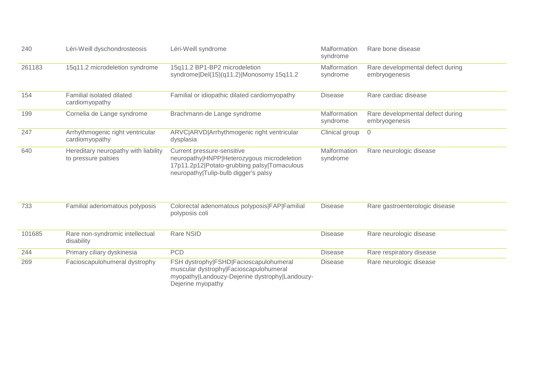| 240    | Léri-Weill dyschondrosteosis                                | Léri-Weill syndrome                                                                                                                                             | Malformation<br>syndrome | Rare bone disease                                 |
|--------|-------------------------------------------------------------|-----------------------------------------------------------------------------------------------------------------------------------------------------------------|--------------------------|---------------------------------------------------|
| 261183 | 15q11.2 microdeletion syndrome                              | 15q11.2 BP1-BP2 microdeletion<br>syndrome Del(15)(q11.2) Monosomy 15q11.2                                                                                       | Malformation<br>syndrome | Rare developmental defect during<br>embryogenesis |
| 154    | <b>Familial isolated dilated</b><br>cardiomyopathy          | Familial or idiopathic dilated cardiomyopathy                                                                                                                   | <b>Disease</b>           | Rare cardiac disease                              |
| 199    | Cornelia de Lange syndrome                                  | Brachmann-de Lange syndrome                                                                                                                                     | Malformation<br>syndrome | Rare developmental defect during<br>embryogenesis |
| 247    | Arrhythmogenic right ventricular<br>cardiomyopathy          | ARVC ARVD Arrhythmogenic right ventricular<br>dysplasia                                                                                                         | Clinical group           | $\overline{0}$                                    |
| 640    | Hereditary neuropathy with liability<br>to pressure palsies | Current pressure-sensitive<br>neuropathy HNPP Heterozygous microdeletion<br>17p11.2p12 Potato-grubbing palsy Tomaculous<br>neuropathy Tulip-bulb digger's palsy | Malformation<br>syndrome | Rare neurologic disease                           |
| 733    | Familial adenomatous polyposis                              | Colorectal adenomatous polyposis FAP Familial<br>polyposis coli                                                                                                 | <b>Disease</b>           | Rare gastroenterologic disease                    |
| 101685 | Rare non-syndromic intellectual<br>disability               | Rare NSID                                                                                                                                                       | <b>Disease</b>           | Rare neurologic disease                           |
| 244    | Primary ciliary dyskinesia                                  | <b>PCD</b>                                                                                                                                                      | <b>Disease</b>           | Rare respiratory disease                          |
| 269    | Facioscapulohumeral dystrophy                               | FSH dystrophy FSHD Facioscapulohumeral<br>muscular dystrophy Facioscapulohumeral<br>myopathy Landouzy-Dejerine dystrophy Landouzy-<br>Dejerine myopathy         | <b>Disease</b>           | Rare neurologic disease                           |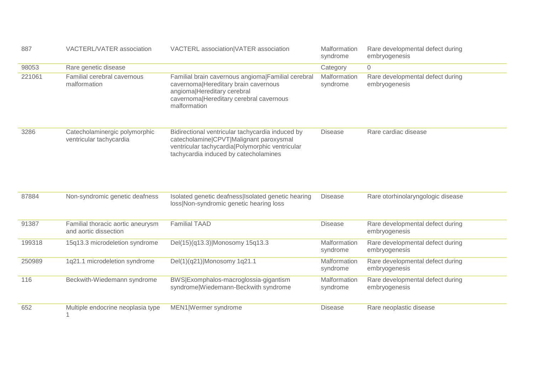| 887    | <b>VACTERL/VATER association</b>                           | VACTERL association VATER association                                                                                                                                                     | Malformation<br>syndrome | Rare developmental defect during<br>embryogenesis |
|--------|------------------------------------------------------------|-------------------------------------------------------------------------------------------------------------------------------------------------------------------------------------------|--------------------------|---------------------------------------------------|
| 98053  | Rare genetic disease                                       |                                                                                                                                                                                           | Category                 | $\mathbf 0$                                       |
| 221061 | Familial cerebral cavernous<br>malformation                | Familial brain cavernous angioma Familial cerebral<br>cavernoma Hereditary brain cavernous<br>angioma Hereditary cerebral<br>cavernoma Hereditary cerebral cavernous<br>malformation      | Malformation<br>syndrome | Rare developmental defect during<br>embryogenesis |
| 3286   | Catecholaminergic polymorphic<br>ventricular tachycardia   | Bidirectional ventricular tachycardia induced by<br>catecholamine CPVT Malignant paroxysmal<br>ventricular tachycardia   Polymorphic ventricular<br>tachycardia induced by catecholamines | <b>Disease</b>           | Rare cardiac disease                              |
| 87884  | Non-syndromic genetic deafness                             | Isolated genetic deafness   Isolated genetic hearing<br>loss Non-syndromic genetic hearing loss                                                                                           | <b>Disease</b>           | Rare otorhinolaryngologic disease                 |
| 91387  | Familial thoracic aortic aneurysm<br>and aortic dissection | <b>Familial TAAD</b>                                                                                                                                                                      | <b>Disease</b>           | Rare developmental defect during<br>embryogenesis |
| 199318 | 15q13.3 microdeletion syndrome                             | Del(15)(q13.3) Monosomy 15q13.3                                                                                                                                                           | Malformation<br>syndrome | Rare developmental defect during<br>embryogenesis |
| 250989 | 1q21.1 microdeletion syndrome                              | Del(1)(q21) Monosomy 1q21.1                                                                                                                                                               | Malformation<br>syndrome | Rare developmental defect during<br>embryogenesis |
| 116    | Beckwith-Wiedemann syndrome                                | BWS Exomphalos-macroglossia-gigantism<br>syndrome Wiedemann-Beckwith syndrome                                                                                                             | Malformation<br>syndrome | Rare developmental defect during<br>embryogenesis |
| 652    | Multiple endocrine neoplasia type                          | MEN1 Wermer syndrome                                                                                                                                                                      | <b>Disease</b>           | Rare neoplastic disease                           |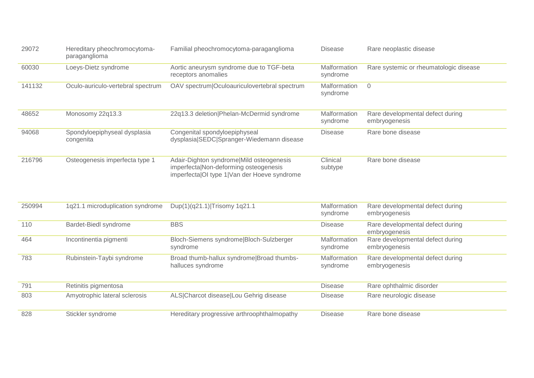| 29072  | Hereditary pheochromocytoma-<br>paraganglioma | Familial pheochromocytoma-paraganglioma                                                                                          | <b>Disease</b>           | Rare neoplastic disease                           |
|--------|-----------------------------------------------|----------------------------------------------------------------------------------------------------------------------------------|--------------------------|---------------------------------------------------|
| 60030  | Loeys-Dietz syndrome                          | Aortic aneurysm syndrome due to TGF-beta<br>receptors anomalies                                                                  | Malformation<br>syndrome | Rare systemic or rheumatologic disease            |
| 141132 | Oculo-auriculo-vertebral spectrum             | OAV spectrum Oculoauriculovertebral spectrum                                                                                     | Malformation<br>syndrome | $\Omega$                                          |
| 48652  | Monosomy 22q13.3                              | 22q13.3 deletion Phelan-McDermid syndrome                                                                                        | Malformation<br>syndrome | Rare developmental defect during<br>embryogenesis |
| 94068  | Spondyloepiphyseal dysplasia<br>congenita     | Congenital spondyloepiphyseal<br>dysplasia SEDC Spranger-Wiedemann disease                                                       | <b>Disease</b>           | Rare bone disease                                 |
| 216796 | Osteogenesis imperfecta type 1                | Adair-Dighton syndrome Mild osteogenesis<br>imperfectalNon-deforming osteogenesis<br>imperfectalOI type 1 Van der Hoeve syndrome | Clinical<br>subtype      | Rare bone disease                                 |

| 250994 | 1q21.1 microduplication syndrome | Dup(1)(q21.1) Trisomy 1q21.1                                   | Malformation<br>syndrome | Rare developmental defect during<br>embryogenesis |
|--------|----------------------------------|----------------------------------------------------------------|--------------------------|---------------------------------------------------|
| 110    | Bardet-Biedl syndrome            | <b>BBS</b>                                                     | <b>Disease</b>           | Rare developmental defect during<br>embryogenesis |
| 464    | Incontinentia pigmenti           | Bloch-Siemens syndrome Bloch-Sulzberger<br>syndrome            | Malformation<br>syndrome | Rare developmental defect during<br>embryogenesis |
| 783    | Rubinstein-Taybi syndrome        | Broad thumb-hallux syndrome Broad thumbs-<br>halluces syndrome | Malformation<br>syndrome | Rare developmental defect during<br>embryogenesis |
| 791    | Retinitis pigmentosa             |                                                                | <b>Disease</b>           | Rare ophthalmic disorder                          |
| 803    | Amyotrophic lateral sclerosis    | ALS Charcot disease Lou Gehrig disease                         | <b>Disease</b>           | Rare neurologic disease                           |
| 828    | Stickler syndrome                | Hereditary progressive arthroophthalmopathy                    | <b>Disease</b>           | Rare bone disease                                 |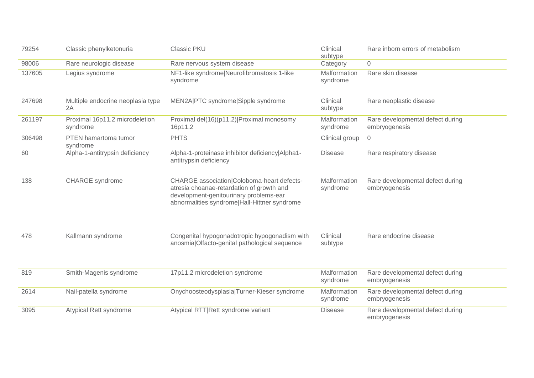| 79254  | Classic phenylketonuria                    | <b>Classic PKU</b>                                                                                                                                                                | Clinical<br>subtype      | Rare inborn errors of metabolism                  |
|--------|--------------------------------------------|-----------------------------------------------------------------------------------------------------------------------------------------------------------------------------------|--------------------------|---------------------------------------------------|
| 98006  | Rare neurologic disease                    | Rare nervous system disease                                                                                                                                                       | Category                 | $\Omega$                                          |
| 137605 | Legius syndrome                            | NF1-like syndrome Neurofibromatosis 1-like<br>syndrome                                                                                                                            | Malformation<br>syndrome | Rare skin disease                                 |
| 247698 | Multiple endocrine neoplasia type<br>2A    | MEN2A PTC syndrome Sipple syndrome                                                                                                                                                | Clinical<br>subtype      | Rare neoplastic disease                           |
| 261197 | Proximal 16p11.2 microdeletion<br>syndrome | Proximal del(16)(p11.2) Proximal monosomy<br>16p11.2                                                                                                                              | Malformation<br>syndrome | Rare developmental defect during<br>embryogenesis |
| 306498 | PTEN hamartoma tumor<br>syndrome           | <b>PHTS</b>                                                                                                                                                                       | Clinical group           | $\overline{0}$                                    |
| 60     | Alpha-1-antitrypsin deficiency             | Alpha-1-proteinase inhibitor deficiency Alpha1-<br>antitrypsin deficiency                                                                                                         | <b>Disease</b>           | Rare respiratory disease                          |
| 138    | CHARGE syndrome                            | CHARGE association Coloboma-heart defects-<br>atresia choanae-retardation of growth and<br>development-genitourinary problems-ear<br>abnormalities syndrome Hall-Hittner syndrome | Malformation<br>syndrome | Rare developmental defect during<br>embryogenesis |
| 478    | Kallmann syndrome                          | Congenital hypogonadotropic hypogonadism with<br>anosmia Olfacto-genital pathological sequence                                                                                    | Clinical<br>subtype      | Rare endocrine disease                            |
| 819    | Smith-Magenis syndrome                     | 17p11.2 microdeletion syndrome                                                                                                                                                    | Malformation<br>syndrome | Rare developmental defect during<br>embryogenesis |
| 2614   | Nail-patella syndrome                      | Onychoosteodysplasia Turner-Kieser syndrome                                                                                                                                       | Malformation<br>syndrome | Rare developmental defect during<br>embryogenesis |
| 3095   | <b>Atypical Rett syndrome</b>              | Atypical RTT Rett syndrome variant                                                                                                                                                | <b>Disease</b>           | Rare developmental defect during<br>embryogenesis |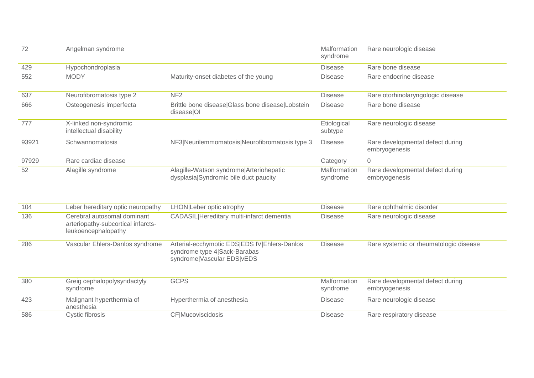| 72    | Angelman syndrome                                 |                                                                                  | Malformation<br>syndrome | Rare neurologic disease                           |
|-------|---------------------------------------------------|----------------------------------------------------------------------------------|--------------------------|---------------------------------------------------|
| 429   | Hypochondroplasia                                 |                                                                                  | <b>Disease</b>           | Rare bone disease                                 |
| 552   | <b>MODY</b>                                       | Maturity-onset diabetes of the young                                             | <b>Disease</b>           | Rare endocrine disease                            |
| 637   | Neurofibromatosis type 2                          | NF <sub>2</sub>                                                                  | <b>Disease</b>           | Rare otorhinolaryngologic disease                 |
| 666   | Osteogenesis imperfecta                           | Brittle bone disease Glass bone disease Lobstein<br>disease OI                   | <b>Disease</b>           | Rare bone disease                                 |
| 777   | X-linked non-syndromic<br>intellectual disability |                                                                                  | Etiological<br>subtype   | Rare neurologic disease                           |
| 93921 | Schwannomatosis                                   | NF3 Neurilemmomatosis Neurofibromatosis type 3                                   | Disease                  | Rare developmental defect during<br>embryogenesis |
| 97929 | Rare cardiac disease                              |                                                                                  | Category                 | $\overline{0}$                                    |
| 52    | Alagille syndrome                                 | Alagille-Watson syndrome Arteriohepatic<br>dysplasia Syndromic bile duct paucity | Malformation<br>syndrome | Rare developmental defect during<br>embryogenesis |

| 104 | Leber hereditary optic neuropathy                                                        | LHON Leber optic atrophy                                                                                   | <b>Disease</b>           | Rare ophthalmic disorder                          |
|-----|------------------------------------------------------------------------------------------|------------------------------------------------------------------------------------------------------------|--------------------------|---------------------------------------------------|
| 136 | Cerebral autosomal dominant<br>arteriopathy-subcortical infarcts-<br>leukoencephalopathy | CADASIL Hereditary multi-infarct dementia                                                                  | <b>Disease</b>           | Rare neurologic disease                           |
| 286 | Vascular Ehlers-Danlos syndrome                                                          | Arterial-ecchymotic EDS EDS IV Ehlers-Danlos<br>syndrome type 4 Sack-Barabas<br>syndrome Vascular EDS vEDS | <b>Disease</b>           | Rare systemic or rheumatologic disease            |
| 380 | Greig cephalopolysyndactyly<br>syndrome                                                  | <b>GCPS</b>                                                                                                | Malformation<br>syndrome | Rare developmental defect during<br>embryogenesis |
| 423 | Malignant hyperthermia of<br>anesthesia                                                  | Hyperthermia of anesthesia                                                                                 | <b>Disease</b>           | Rare neurologic disease                           |
| 586 | Cystic fibrosis                                                                          | <b>CF</b>  Mucoviscidosis                                                                                  | <b>Disease</b>           | Rare respiratory disease                          |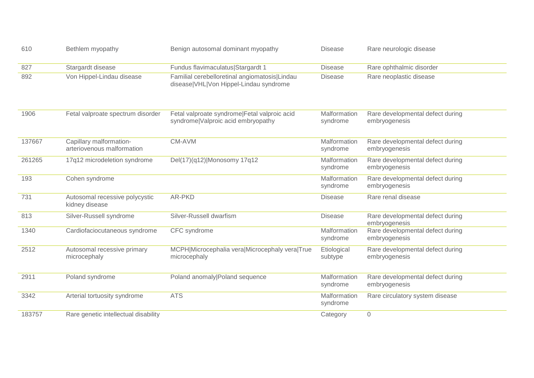| 610    | Bethlem myopathy                                      | Benign autosomal dominant myopathy                                                      | <b>Disease</b>           | Rare neurologic disease                           |
|--------|-------------------------------------------------------|-----------------------------------------------------------------------------------------|--------------------------|---------------------------------------------------|
| 827    | Stargardt disease                                     | Fundus flavimaculatus Stargardt 1                                                       | <b>Disease</b>           | Rare ophthalmic disorder                          |
| 892    | Von Hippel-Lindau disease                             | Familial cerebelloretinal angiomatosis Lindau<br>disease VHL Von Hippel-Lindau syndrome | <b>Disease</b>           | Rare neoplastic disease                           |
| 1906   | Fetal valproate spectrum disorder                     | Fetal valproate syndrome Fetal valproic acid<br>syndrome Valproic acid embryopathy      | Malformation<br>syndrome | Rare developmental defect during<br>embryogenesis |
| 137667 | Capillary malformation-<br>arteriovenous malformation | CM-AVM                                                                                  | Malformation<br>syndrome | Rare developmental defect during<br>embryogenesis |
| 261265 | 17q12 microdeletion syndrome                          | Del(17)(q12) Monosomy 17q12                                                             | Malformation<br>syndrome | Rare developmental defect during<br>embryogenesis |
| 193    | Cohen syndrome                                        |                                                                                         | Malformation<br>syndrome | Rare developmental defect during<br>embryogenesis |
| 731    | Autosomal recessive polycystic<br>kidney disease      | AR-PKD                                                                                  | <b>Disease</b>           | Rare renal disease                                |
| 813    | Silver-Russell syndrome                               | Silver-Russell dwarfism                                                                 | <b>Disease</b>           | Rare developmental defect during<br>embryogenesis |
| 1340   | Cardiofaciocutaneous syndrome                         | CFC syndrome                                                                            | Malformation<br>syndrome | Rare developmental defect during<br>embryogenesis |
| 2512   | Autosomal recessive primary<br>microcephaly           | MCPH Microcephalia vera Microcephaly vera True<br>microcephaly                          | Etiological<br>subtype   | Rare developmental defect during<br>embryogenesis |
| 2911   | Poland syndrome                                       | Poland anomaly Poland sequence                                                          | Malformation<br>syndrome | Rare developmental defect during<br>embryogenesis |
| 3342   | Arterial tortuosity syndrome                          | <b>ATS</b>                                                                              | Malformation<br>syndrome | Rare circulatory system disease                   |
| 183757 | Rare genetic intellectual disability                  |                                                                                         | Category                 | $\mathbf 0$                                       |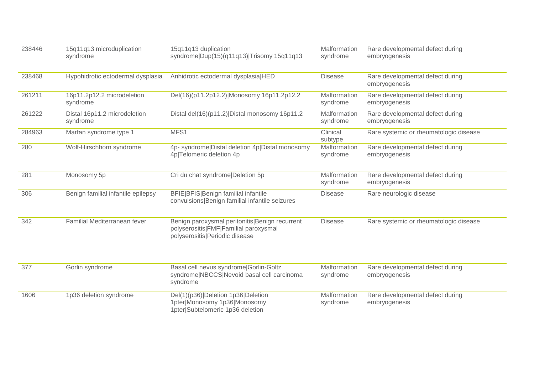| 238446 | 15q11q13 microduplication<br>syndrome    | 15q11q13 duplication<br>syndrome Dup(15)(q11q13) Trisomy 15q11q13                                                         | Malformation<br>syndrome | Rare developmental defect during<br>embryogenesis |
|--------|------------------------------------------|---------------------------------------------------------------------------------------------------------------------------|--------------------------|---------------------------------------------------|
| 238468 | Hypohidrotic ectodermal dysplasia        | Anhidrotic ectodermal dysplasia HED                                                                                       | <b>Disease</b>           | Rare developmental defect during<br>embryogenesis |
| 261211 | 16p11.2p12.2 microdeletion<br>syndrome   | Del(16)(p11.2p12.2) Monosomy 16p11.2p12.2                                                                                 | Malformation<br>syndrome | Rare developmental defect during<br>embryogenesis |
| 261222 | Distal 16p11.2 microdeletion<br>syndrome | Distal del(16)(p11.2) Distal monosomy 16p11.2                                                                             | Malformation<br>syndrome | Rare developmental defect during<br>embryogenesis |
| 284963 | Marfan syndrome type 1                   | MFS1                                                                                                                      | Clinical<br>subtype      | Rare systemic or rheumatologic disease            |
| 280    | Wolf-Hirschhorn syndrome                 | 4p- syndrome Distal deletion 4p Distal monosomy<br>4p Telomeric deletion 4p                                               | Malformation<br>syndrome | Rare developmental defect during<br>embryogenesis |
| 281    | Monosomy 5p                              | Cri du chat syndrome Deletion 5p                                                                                          | Malformation<br>syndrome | Rare developmental defect during<br>embryogenesis |
| 306    | Benign familial infantile epilepsy       | <b>BFIE BFIS Benign familial infantile</b><br>convulsions Benign familial infantile seizures                              | <b>Disease</b>           | Rare neurologic disease                           |
| 342    | Familial Mediterranean fever             | Benign paroxysmal peritonitis Benign recurrent<br>polyserositis FMF Familial paroxysmal<br>polyserositis Periodic disease | <b>Disease</b>           | Rare systemic or rheumatologic disease            |
| 377    | Gorlin syndrome                          | Basal cell nevus syndrome Gorlin-Goltz<br>syndrome NBCCS Nevoid basal cell carcinoma<br>syndrome                          | Malformation<br>syndrome | Rare developmental defect during<br>embryogenesis |
| 1606   | 1p36 deletion syndrome                   | Del(1)(p36) Deletion 1p36 Deletion<br>1pter Monosomy 1p36 Monosomy<br>1pter Subtelomeric 1p36 deletion                    | Malformation<br>syndrome | Rare developmental defect during<br>embryogenesis |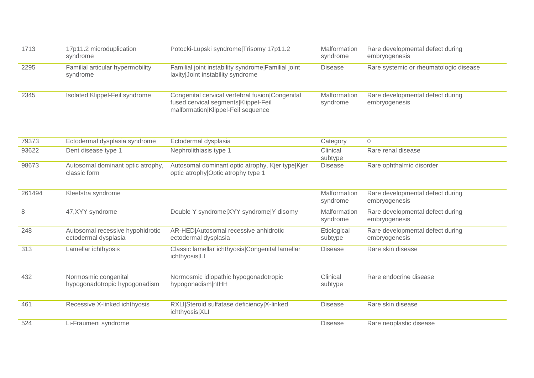| 1713   | 17p11.2 microduplication<br>syndrome                     | Potocki-Lupski syndrome Trisomy 17p11.2                                                                                       | Malformation<br>syndrome | Rare developmental defect during<br>embryogenesis |
|--------|----------------------------------------------------------|-------------------------------------------------------------------------------------------------------------------------------|--------------------------|---------------------------------------------------|
| 2295   | Familial articular hypermobility<br>syndrome             | Familial joint instability syndrome Familial joint<br>laxity Joint instability syndrome                                       | <b>Disease</b>           | Rare systemic or rheumatologic disease            |
| 2345   | Isolated Klippel-Feil syndrome                           | Congenital cervical vertebral fusion Congenital<br>fused cervical segments Klippel-Feil<br>malformation Klippel-Feil sequence | Malformation<br>syndrome | Rare developmental defect during<br>embryogenesis |
| 79373  | Ectodermal dysplasia syndrome                            | Ectodermal dysplasia                                                                                                          | Category                 | $\Omega$                                          |
| 93622  | Dent disease type 1                                      | Nephrolithiasis type 1                                                                                                        | Clinical<br>subtype      | Rare renal disease                                |
| 98673  | Autosomal dominant optic atrophy,<br>classic form        | Autosomal dominant optic atrophy, Kjer type Kjer<br>optic atrophy Optic atrophy type 1                                        | <b>Disease</b>           | Rare ophthalmic disorder                          |
| 261494 | Kleefstra syndrome                                       |                                                                                                                               | Malformation<br>syndrome | Rare developmental defect during<br>embryogenesis |
| 8      | 47, XYY syndrome                                         | Double Y syndrome XYY syndrome Y disomy                                                                                       | Malformation<br>syndrome | Rare developmental defect during<br>embryogenesis |
| 248    | Autosomal recessive hypohidrotic<br>ectodermal dysplasia | AR-HED Autosomal recessive anhidrotic<br>ectodermal dysplasia                                                                 | Etiological<br>subtype   | Rare developmental defect during<br>embryogenesis |
| 313    | Lamellar ichthyosis                                      | Classic lamellar ichthyosis Congenital lamellar<br>ichthyosis LI                                                              | <b>Disease</b>           | Rare skin disease                                 |
| 432    | Normosmic congenital<br>hypogonadotropic hypogonadism    | Normosmic idiopathic hypogonadotropic<br>hypogonadism nlHH                                                                    | Clinical<br>subtype      | Rare endocrine disease                            |
| 461    | Recessive X-linked ichthyosis                            | RXLI Steroid sulfatase deficiency X-linked<br>ichthyosis XLI                                                                  | <b>Disease</b>           | Rare skin disease                                 |
| 524    | Li-Fraumeni syndrome                                     |                                                                                                                               | <b>Disease</b>           | Rare neoplastic disease                           |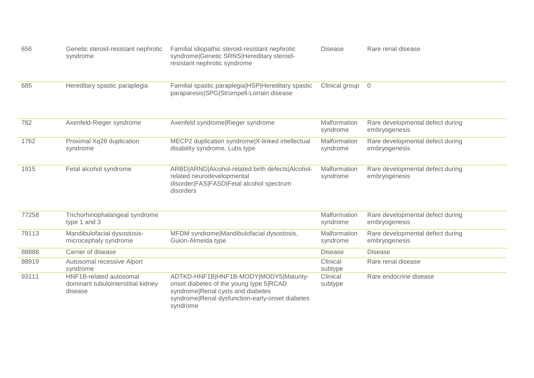| 656   | Genetic steroid-resistant nephrotic<br>syndrome                          | Familial idiopathic steroid-resistant nephrotic<br>syndrome Genetic SRNS Hereditary steroid-<br>resistant nephrotic syndrome                                                          | <b>Disease</b>           | Rare renal disease                                |
|-------|--------------------------------------------------------------------------|---------------------------------------------------------------------------------------------------------------------------------------------------------------------------------------|--------------------------|---------------------------------------------------|
| 685   | Hereditary spastic paraplegia                                            | Familial spastic paraplegia HSP Hereditary spastic<br>paraparesis SPG Strümpell-Lorrain disease                                                                                       | Clinical group           | $\overline{0}$                                    |
| 782   | Axenfeld-Rieger syndrome                                                 | Axenfeld syndrome Rieger syndrome                                                                                                                                                     | Malformation<br>syndrome | Rare developmental defect during<br>embryogenesis |
| 1762  | Proximal Xq28 duplication<br>syndrome                                    | MECP2 duplication syndrome X-linked intellectual<br>disability syndrome, Lubs type                                                                                                    | Malformation<br>syndrome | Rare developmental defect during<br>embryogenesis |
| 1915  | Fetal alcohol syndrome                                                   | ARBD ARND Alcohol-related birth defects Alcohol-<br>related neurodevelopmental<br>disorder FAS FASD Fetal alcohol spectrum<br>disorders                                               | Malformation<br>syndrome | Rare developmental defect during<br>embryogenesis |
| 77258 | Trichorhinophalangeal syndrome<br>type 1 and 3                           |                                                                                                                                                                                       | Malformation<br>syndrome | Rare developmental defect during<br>embryogenesis |
| 79113 | Mandibulofacial dysostosis-<br>microcephaly syndrome                     | MFDM syndrome Mandibulofacial dysostosis,<br>Guion-Almeida type                                                                                                                       | Malformation<br>syndrome | Rare developmental defect during<br>embryogenesis |
| 88888 | Carrier of disease                                                       |                                                                                                                                                                                       | <b>Disease</b>           | <b>Disease</b>                                    |
| 88919 | Autosomal recessive Alport<br>syndrome                                   |                                                                                                                                                                                       | Clinical<br>subtype      | Rare renal disease                                |
| 93111 | HNF1B-related autosomal<br>dominant tubulointerstitial kidney<br>disease | ADTKD-HNF1B HNF1B-MODY MODY5 Maturity-<br>onset diabetes of the young type 5 RCAD<br>syndrome Renal cysts and diabetes<br>syndrome Renal dysfunction-early-onset diabetes<br>syndrome | Clinical<br>subtype      | Rare endocrine disease                            |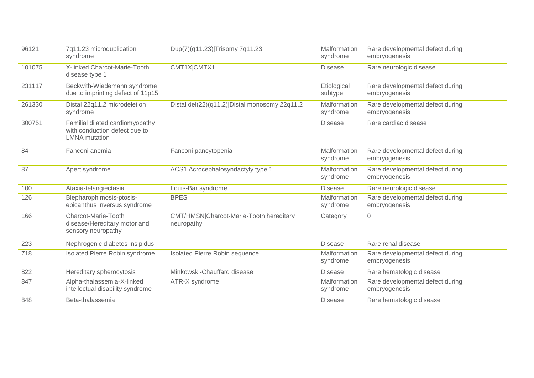| 96121  | 7q11.23 microduplication<br>syndrome                                                     | Dup(7)(q11.23) Trisomy 7q11.23                        | Malformation<br>syndrome | Rare developmental defect during<br>embryogenesis |
|--------|------------------------------------------------------------------------------------------|-------------------------------------------------------|--------------------------|---------------------------------------------------|
| 101075 | X-linked Charcot-Marie-Tooth<br>disease type 1                                           | CMT1X CMTX1                                           | <b>Disease</b>           | Rare neurologic disease                           |
| 231117 | Beckwith-Wiedemann syndrome<br>due to imprinting defect of 11p15                         |                                                       | Etiological<br>subtype   | Rare developmental defect during<br>embryogenesis |
| 261330 | Distal 22q11.2 microdeletion<br>syndrome                                                 | Distal del(22)(q11.2) Distal monosomy 22q11.2         | Malformation<br>syndrome | Rare developmental defect during<br>embryogenesis |
| 300751 | Familial dilated cardiomyopathy<br>with conduction defect due to<br><b>LMNA</b> mutation |                                                       | <b>Disease</b>           | Rare cardiac disease                              |
| 84     | Fanconi anemia                                                                           | Fanconi pancytopenia                                  | Malformation<br>syndrome | Rare developmental defect during<br>embryogenesis |
| 87     | Apert syndrome                                                                           | ACS1 Acrocephalosyndactyly type 1                     | Malformation<br>syndrome | Rare developmental defect during<br>embryogenesis |
| 100    | Ataxia-telangiectasia                                                                    | Louis-Bar syndrome                                    | <b>Disease</b>           | Rare neurologic disease                           |
| 126    | Blepharophimosis-ptosis-<br>epicanthus inversus syndrome                                 | <b>BPES</b>                                           | Malformation<br>syndrome | Rare developmental defect during<br>embryogenesis |
| 166    | Charcot-Marie-Tooth<br>disease/Hereditary motor and<br>sensory neuropathy                | CMT/HMSN Charcot-Marie-Tooth hereditary<br>neuropathy | Category                 | $\overline{0}$                                    |
| 223    | Nephrogenic diabetes insipidus                                                           |                                                       | <b>Disease</b>           | Rare renal disease                                |
| 718    | Isolated Pierre Robin syndrome                                                           | Isolated Pierre Robin sequence                        | Malformation<br>syndrome | Rare developmental defect during<br>embryogenesis |
| 822    | Hereditary spherocytosis                                                                 | Minkowski-Chauffard disease                           | <b>Disease</b>           | Rare hematologic disease                          |
| 847    | Alpha-thalassemia-X-linked<br>intellectual disability syndrome                           | ATR-X syndrome                                        | Malformation<br>syndrome | Rare developmental defect during<br>embryogenesis |
| 848    | Beta-thalassemia                                                                         |                                                       | <b>Disease</b>           | Rare hematologic disease                          |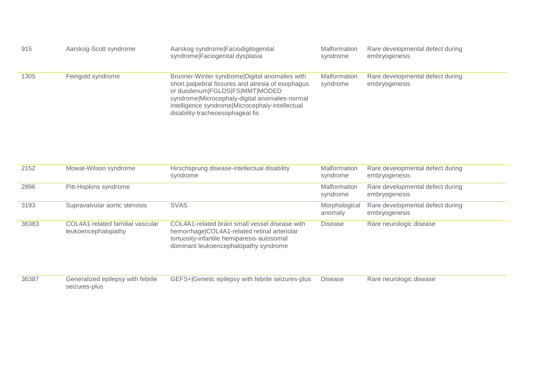| 915  | Aarskog-Scott syndrome | Aarskog syndrome Faciodigitogenital<br>syndrome Faciogenital dysplasia                                                                                                                                                                                                         | Malformation<br>syndrome | Rare developmental defect during<br>embryogenesis |
|------|------------------------|--------------------------------------------------------------------------------------------------------------------------------------------------------------------------------------------------------------------------------------------------------------------------------|--------------------------|---------------------------------------------------|
| 1305 | Feingold syndrome      | Brunner-Winter syndrome Digital anomalies with<br>short palpebral fissures and atresia of esophagus<br>or duodenum FGLDS FS MMT MODED<br>syndrome Microcephaly-digital anomalies-normal<br>intelligence syndrome Microcephaly-intellectual<br>disability-tracheoesophageal fis | Malformation<br>syndrome | Rare developmental defect during<br>embryogenesis |

| 2152  | Mowat-Wilson syndrome                                   | Hirschsprung disease-intellectual disability<br>syndrome                                                                                                                              | Malformation<br>syndrome | Rare developmental defect during<br>embryogenesis |
|-------|---------------------------------------------------------|---------------------------------------------------------------------------------------------------------------------------------------------------------------------------------------|--------------------------|---------------------------------------------------|
| 2896  | Pitt-Hopkins syndrome                                   |                                                                                                                                                                                       | Malformation<br>syndrome | Rare developmental defect during<br>embryogenesis |
| 3193  | Supravalvular aortic stenosis                           | <b>SVAS</b>                                                                                                                                                                           | Morphological<br>anomaly | Rare developmental defect during<br>embryogenesis |
| 36383 | COL4A1-related familial vascular<br>leukoencephalopathy | COL4A1-related brain small vessel disease with<br>hemorrhage COL4A1-related retinal arteriolar<br>tortuosity-infantile hemiparesis-autosomal<br>dominant leukoencephalopathy syndrome | <b>Disease</b>           | Rare neurologic disease                           |

| 36387 | Generalized epilepsy with febrile | GEFS+ Genetic epilepsy with febrile seizures-plus  Disease | Rare neurologic disease |
|-------|-----------------------------------|------------------------------------------------------------|-------------------------|
|       | seizures-plus                     |                                                            |                         |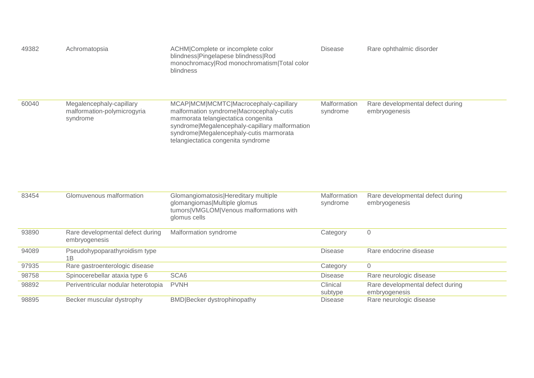| 49382 | Achromatopsia                                                       | ACHM Complete or incomplete color<br>blindness Pingelapese blindness Rod<br>monochromacy Rod monochromatism Total color<br>blindness                                                                                                                        | <b>Disease</b>           | Rare ophthalmic disorder                          |
|-------|---------------------------------------------------------------------|-------------------------------------------------------------------------------------------------------------------------------------------------------------------------------------------------------------------------------------------------------------|--------------------------|---------------------------------------------------|
| 60040 | Megalencephaly-capillary<br>malformation-polymicrogyria<br>syndrome | MCAP MCM MCMTC Macrocephaly-capillary<br>malformation syndrome Macrocephaly-cutis<br>marmorata telangiectatica congenita<br>syndrome Megalencephaly-capillary malformation<br>syndrome Megalencephaly-cutis marmorata<br>telangiectatica congenita syndrome | Malformation<br>syndrome | Rare developmental defect during<br>embryogenesis |
| 83454 | Glomuvenous malformation                                            | Glomangiomatosis Hereditary multiple<br>glomangiomas Multiple glomus<br>tumors VMGLOM Venous malformations with<br>glomus cells                                                                                                                             | Malformation<br>syndrome | Rare developmental defect during<br>embryogenesis |
| 93890 | Rare developmental defect during<br>embryogenesis                   | Malformation syndrome                                                                                                                                                                                                                                       | Category                 | $\sqrt{a}$                                        |
| 94089 | Pseudohypoparathyroidism type<br>1B                                 |                                                                                                                                                                                                                                                             | <b>Disease</b>           | Rare endocrine disease                            |
| 97935 | Rare gastroenterologic disease                                      |                                                                                                                                                                                                                                                             | Category                 | $\Omega$                                          |
| 98758 | Spinocerebellar ataxia type 6                                       | SCA6                                                                                                                                                                                                                                                        | <b>Disease</b>           | Rare neurologic disease                           |
| 98892 | Periventricular nodular heterotopia                                 | <b>PVNH</b>                                                                                                                                                                                                                                                 | Clinical<br>subtype      | Rare developmental defect during<br>embryogenesis |
| 98895 | Becker muscular dystrophy                                           | <b>BMD</b> Becker dystrophinopathy                                                                                                                                                                                                                          | <b>Disease</b>           | Rare neurologic disease                           |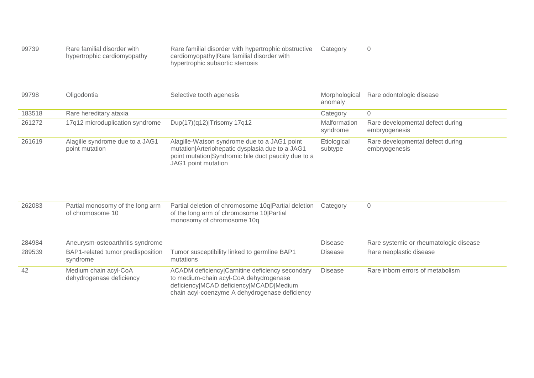| 99739 | Rare familial disorder with |  |
|-------|-----------------------------|--|
|       | hypertrophic cardiomyopathy |  |

Rare familial disorder with hypertrophic obstructive cardiomyopathy|Rare familial disorder with hypertrophic subaortic stenosis Category 0

| 99798  | Oligodontia                                       | Selective tooth agenesis                                                                                                                                                      | Morphological<br>anomaly | Rare odontologic disease                          |
|--------|---------------------------------------------------|-------------------------------------------------------------------------------------------------------------------------------------------------------------------------------|--------------------------|---------------------------------------------------|
| 183518 | Rare hereditary ataxia                            |                                                                                                                                                                               | Category                 | $\overline{0}$                                    |
| 261272 | 17q12 microduplication syndrome                   | Dup(17)(q12) Trisomy 17q12                                                                                                                                                    | Malformation<br>syndrome | Rare developmental defect during<br>embryogenesis |
| 261619 | Alagille syndrome due to a JAG1<br>point mutation | Alagille-Watson syndrome due to a JAG1 point<br>mutation Arteriohepatic dysplasia due to a JAG1<br>point mutation Syndromic bile duct paucity due to a<br>JAG1 point mutation | Etiological<br>subtype   | Rare developmental defect during<br>embryogenesis |

| 262083 | Partial monosomy of the long arm<br>of chromosome 10 | Partial deletion of chromosome 10g Partial deletion Category<br>of the long arm of chromosome 10 Partial |  |
|--------|------------------------------------------------------|----------------------------------------------------------------------------------------------------------|--|
|        |                                                      | monosomy of chromosome 10g                                                                               |  |

| 284984 | Aneurysm-osteoarthritis syndrome                  |                                                                                                                                                                                        | <b>Disease</b> | Rare systemic or rheumatologic disease |
|--------|---------------------------------------------------|----------------------------------------------------------------------------------------------------------------------------------------------------------------------------------------|----------------|----------------------------------------|
| 289539 | BAP1-related tumor predisposition<br>syndrome     | Tumor susceptibility linked to germline BAP1<br>mutations                                                                                                                              | <b>Disease</b> | Rare neoplastic disease                |
| 42     | Medium chain acyl-CoA<br>dehydrogenase deficiency | ACADM deficiency Carnitine deficiency secondary<br>to medium-chain acyl-CoA dehydrogenase<br>deficiency MCAD deficiency MCADD Medium<br>chain acyl-coenzyme A dehydrogenase deficiency | <b>Disease</b> | Rare inborn errors of metabolism       |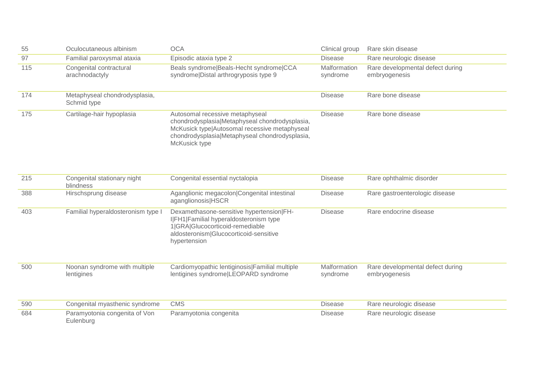| 55  | Oculocutaneous albinism                      | <b>OCA</b>                                                                                                                                                                                            | Clinical group           | Rare skin disease                                 |
|-----|----------------------------------------------|-------------------------------------------------------------------------------------------------------------------------------------------------------------------------------------------------------|--------------------------|---------------------------------------------------|
| 97  | Familial paroxysmal ataxia                   | Episodic ataxia type 2                                                                                                                                                                                | <b>Disease</b>           | Rare neurologic disease                           |
| 115 | Congenital contractural<br>arachnodactyly    | Beals syndrome Beals-Hecht syndrome CCA<br>syndrome Distal arthrogryposis type 9                                                                                                                      | Malformation<br>syndrome | Rare developmental defect during<br>embryogenesis |
| 174 | Metaphyseal chondrodysplasia,<br>Schmid type |                                                                                                                                                                                                       | <b>Disease</b>           | Rare bone disease                                 |
| 175 | Cartilage-hair hypoplasia                    | Autosomal recessive metaphyseal<br>chondrodysplasia Metaphyseal chondrodysplasia,<br>McKusick type Autosomal recessive metaphyseal<br>chondrodysplasia Metaphyseal chondrodysplasia,<br>McKusick type | <b>Disease</b>           | Rare bone disease                                 |
| 215 | Congenital stationary night<br>blindness     | Congenital essential nyctalopia                                                                                                                                                                       | <b>Disease</b>           | Rare ophthalmic disorder                          |
| 388 | Hirschsprung disease                         | Aganglionic megacolon Congenital intestinal<br>aganglionosis HSCR                                                                                                                                     | <b>Disease</b>           | Rare gastroenterologic disease                    |
| 403 | Familial hyperaldosteronism type             | Dexamethasone-sensitive hypertension FH-<br>I FH1 Familial hyperaldosteronism type<br>1 GRA Glucocorticoid-remediable<br>aldosteronism Glucocorticoid-sensitive<br>hypertension                       | <b>Disease</b>           | Rare endocrine disease                            |
| 500 | Noonan syndrome with multiple<br>lentigines  | Cardiomyopathic lentiginosis Familial multiple<br>lentigines syndrome LEOPARD syndrome                                                                                                                | Malformation<br>syndrome | Rare developmental defect during<br>embryogenesis |
| 590 | Congenital myasthenic syndrome               | <b>CMS</b>                                                                                                                                                                                            | <b>Disease</b>           | Rare neurologic disease                           |
| 684 | Paramyotonia congenita of Von<br>Eulenburg   | Paramyotonia congenita                                                                                                                                                                                | <b>Disease</b>           | Rare neurologic disease                           |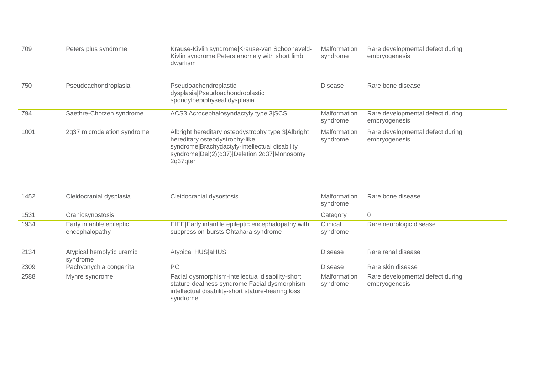| 709  | Peters plus syndrome                        | Krause-Kivlin syndrome Krause-van Schooneveld-<br>Kivlin syndrome Peters anomaly with short limb<br>dwarfism                                                                                      | Malformation<br>syndrome | Rare developmental defect during<br>embryogenesis |
|------|---------------------------------------------|---------------------------------------------------------------------------------------------------------------------------------------------------------------------------------------------------|--------------------------|---------------------------------------------------|
| 750  | Pseudoachondroplasia                        | Pseudoachondroplastic<br>dysplasia Pseudoachondroplastic<br>spondyloepiphyseal dysplasia                                                                                                          | <b>Disease</b>           | Rare bone disease                                 |
| 794  | Saethre-Chotzen syndrome                    | ACS3 Acrocephalosyndactyly type 3 SCS                                                                                                                                                             | Malformation<br>syndrome | Rare developmental defect during<br>embryogenesis |
| 1001 | 2q37 microdeletion syndrome                 | Albright hereditary osteodystrophy type 3 Albright<br>hereditary osteodystrophy-like<br>syndrome Brachydactyly-intellectual disability<br>syndrome Del(2)(q37) Deletion 2q37 Monosomy<br>2q37qter | Malformation<br>syndrome | Rare developmental defect during<br>embryogenesis |
| 1452 | Cleidocranial dysplasia                     | Cleidocranial dysostosis                                                                                                                                                                          | Malformation<br>syndrome | Rare bone disease                                 |
| 1531 | Craniosynostosis                            |                                                                                                                                                                                                   | Category                 | $\overline{0}$                                    |
| 1934 | Early infantile epileptic<br>encephalopathy | EIEE Early infantile epileptic encephalopathy with<br>suppression-bursts Ohtahara syndrome                                                                                                        | Clinical<br>syndrome     | Rare neurologic disease                           |
| 2134 | Atypical hemolytic uremic<br>syndrome       | <b>Atypical HUS aHUS</b>                                                                                                                                                                          | <b>Disease</b>           | Rare renal disease                                |
| 2309 | Pachyonychia congenita                      | PC                                                                                                                                                                                                | <b>Disease</b>           | Rare skin disease                                 |
| 2588 | Myhre syndrome                              | Facial dysmorphism-intellectual disability-short<br>stature-deafness syndrome Facial dysmorphism-<br>intellectual disability-short stature-hearing loss<br>syndrome                               | Malformation<br>syndrome | Rare developmental defect during<br>embryogenesis |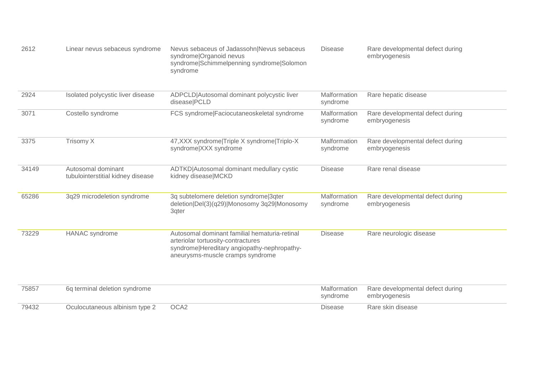| 2612  | Linear nevus sebaceus syndrome                          | Nevus sebaceus of Jadassohn Nevus sebaceus<br>syndrome Organoid nevus<br>syndrome Schimmelpenning syndrome Solomon<br>syndrome                                         | <b>Disease</b>           | Rare developmental defect during<br>embryogenesis |
|-------|---------------------------------------------------------|------------------------------------------------------------------------------------------------------------------------------------------------------------------------|--------------------------|---------------------------------------------------|
| 2924  | Isolated polycystic liver disease                       | ADPCLD Autosomal dominant polycystic liver<br>disease PCLD                                                                                                             | Malformation<br>syndrome | Rare hepatic disease                              |
| 3071  | Costello syndrome                                       | FCS syndrome Faciocutaneoskeletal syndrome                                                                                                                             | Malformation<br>syndrome | Rare developmental defect during<br>embryogenesis |
| 3375  | Trisomy X                                               | 47, XXX syndrome Triple X syndrome Triplo-X<br>syndrome XXX syndrome                                                                                                   | Malformation<br>syndrome | Rare developmental defect during<br>embryogenesis |
| 34149 | Autosomal dominant<br>tubulointerstitial kidney disease | ADTKD Autosomal dominant medullary cystic<br>kidney disease MCKD                                                                                                       | <b>Disease</b>           | Rare renal disease                                |
| 65286 | 3q29 microdeletion syndrome                             | 3q subtelomere deletion syndrome 3qter<br>deletion Del(3)(q29) Monosomy 3q29 Monosomy<br>3qter                                                                         | Malformation<br>syndrome | Rare developmental defect during<br>embryogenesis |
| 73229 | <b>HANAC</b> syndrome                                   | Autosomal dominant familial hematuria-retinal<br>arteriolar tortuosity-contractures<br>syndrome Hereditary angiopathy-nephropathy-<br>aneurysms-muscle cramps syndrome | <b>Disease</b>           | Rare neurologic disease                           |
| 75857 | 6q terminal deletion syndrome                           |                                                                                                                                                                        | Malformation<br>syndrome | Rare developmental defect during<br>embryogenesis |
| 79432 | Oculocutaneous albinism type 2                          | OCA <sub>2</sub>                                                                                                                                                       | <b>Disease</b>           | Rare skin disease                                 |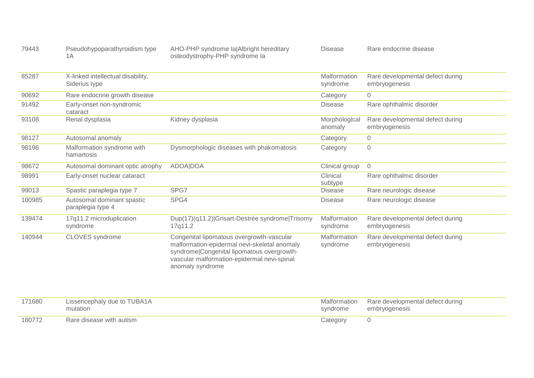| 79443 | Pseudohypoparathyroidism type | AHO-PHP syndrome la Albright hereditary |
|-------|-------------------------------|-----------------------------------------|
|       |                               | osteodystrophy-PHP syndrome la          |

Disease Rare endocrine disease

| 85287  | X-linked intellectual disability,<br>Siderius type |                                                                                                                                                                                                            | Malformation<br>syndrome | Rare developmental defect during<br>embryogenesis |
|--------|----------------------------------------------------|------------------------------------------------------------------------------------------------------------------------------------------------------------------------------------------------------------|--------------------------|---------------------------------------------------|
| 90692  | Rare endocrine growth disease                      |                                                                                                                                                                                                            | Category                 | $\overline{0}$                                    |
| 91492  | Early-onset non-syndromic<br>cataract              |                                                                                                                                                                                                            | <b>Disease</b>           | Rare ophthalmic disorder                          |
| 93108  | Renal dysplasia                                    | Kidney dysplasia                                                                                                                                                                                           | Morphological<br>anomaly | Rare developmental defect during<br>embryogenesis |
| 98127  | Autosomal anomaly                                  |                                                                                                                                                                                                            | Category                 | $\mathbf 0$                                       |
| 98196  | Malformation syndrome with<br>hamartosis           | Dysmorphologic diseases with phakomatosis                                                                                                                                                                  | Category                 | $\mathsf{O}\xspace$                               |
| 98672  | Autosomal dominant optic atrophy                   | <b>ADOA DOA</b>                                                                                                                                                                                            | Clinical group           | $\overline{0}$                                    |
| 98991  | Early-onset nuclear cataract                       |                                                                                                                                                                                                            | Clinical<br>subtype      | Rare ophthalmic disorder                          |
| 99013  | Spastic paraplegia type 7                          | SPG7                                                                                                                                                                                                       | <b>Disease</b>           | Rare neurologic disease                           |
| 100985 | Autosomal dominant spastic<br>paraplegia type 4    | SPG4                                                                                                                                                                                                       | <b>Disease</b>           | Rare neurologic disease                           |
| 139474 | 17q11.2 microduplication<br>syndrome               | Dup(17)(q11.2) Grisart-Destrée syndrome Trisomy<br>17q11.2                                                                                                                                                 | Malformation<br>syndrome | Rare developmental defect during<br>embryogenesis |
| 140944 | <b>CLOVES</b> syndrome                             | Congenital lipomatous overgrowth-vascular<br>malformation-epidermal nevi-skeletal anomaly<br>syndrome Congenital lipomatous overgrowth-<br>vascular malformation-epidermal nevi-spinal<br>anomaly syndrome | Malformation<br>syndrome | Rare developmental defect during<br>embryogenesis |
| 171680 | Lissencephaly due to TUBA1A<br>mutation            |                                                                                                                                                                                                            | Malformation<br>syndrome | Rare developmental defect during<br>embryogenesis |

| 180772 | autism<br>with<br>$\cdots$<br>ecast<br>1015 | ategor<br>$\sim$ |  |
|--------|---------------------------------------------|------------------|--|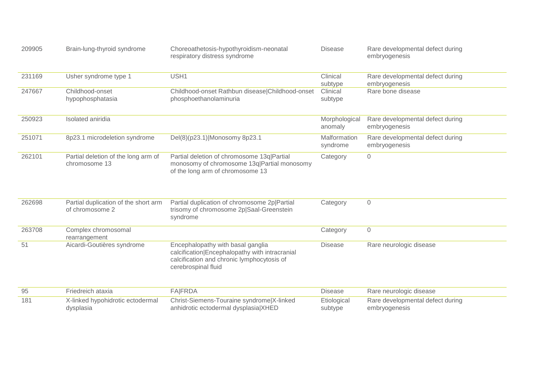| 209905 | Brain-lung-thyroid syndrome                             | Choreoathetosis-hypothyroidism-neonatal<br>respiratory distress syndrome                                                                                 | <b>Disease</b>           | Rare developmental defect during<br>embryogenesis |
|--------|---------------------------------------------------------|----------------------------------------------------------------------------------------------------------------------------------------------------------|--------------------------|---------------------------------------------------|
| 231169 | Usher syndrome type 1                                   | USH1                                                                                                                                                     | Clinical<br>subtype      | Rare developmental defect during<br>embryogenesis |
| 247667 | Childhood-onset<br>hypophosphatasia                     | Childhood-onset Rathbun disease Childhood-onset<br>phosphoethanolaminuria                                                                                | Clinical<br>subtype      | Rare bone disease                                 |
| 250923 | Isolated aniridia                                       |                                                                                                                                                          | Morphological<br>anomaly | Rare developmental defect during<br>embryogenesis |
| 251071 | 8p23.1 microdeletion syndrome                           | Del(8)(p23.1) Monosomy 8p23.1                                                                                                                            | Malformation<br>syndrome | Rare developmental defect during<br>embryogenesis |
| 262101 | Partial deletion of the long arm of<br>chromosome 13    | Partial deletion of chromosome 13q Partial<br>monosomy of chromosome 13q Partial monosomy<br>of the long arm of chromosome 13                            | Category                 | $\mathsf{O}$                                      |
| 262698 | Partial duplication of the short arm<br>of chromosome 2 | Partial duplication of chromosome 2p Partial<br>trisomy of chromosome 2p Saal-Greenstein<br>syndrome                                                     | Category                 | $\mathsf{O}$                                      |
| 263708 | Complex chromosomal<br>rearrangement                    |                                                                                                                                                          | Category                 | $\mathsf{O}$                                      |
| 51     | Aicardi-Goutières syndrome                              | Encephalopathy with basal ganglia<br>calcification Encephalopathy with intracranial<br>calcification and chronic lymphocytosis of<br>cerebrospinal fluid | <b>Disease</b>           | Rare neurologic disease                           |
| 95     | Friedreich ataxia                                       | <b>FA FRDA</b>                                                                                                                                           | <b>Disease</b>           | Rare neurologic disease                           |
| 181    | X-linked hypohidrotic ectodermal<br>dysplasia           | Christ-Siemens-Touraine syndrome X-linked<br>anhidrotic ectodermal dysplasia XHED                                                                        | Etiological<br>subtype   | Rare developmental defect during<br>embryogenesis |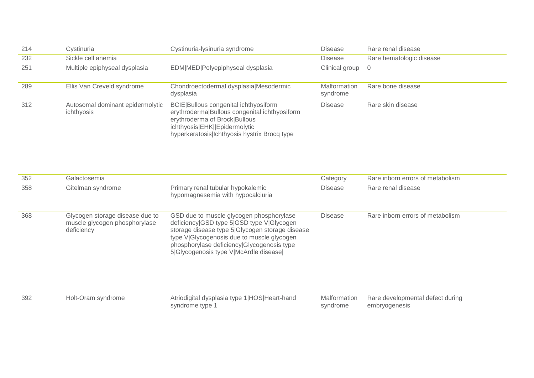| 214 | Cystinuria                                     | Cystinuria-lysinuria syndrome                                                                                                                                                                            | Disease                  | Rare renal disease       |
|-----|------------------------------------------------|----------------------------------------------------------------------------------------------------------------------------------------------------------------------------------------------------------|--------------------------|--------------------------|
| 232 | Sickle cell anemia                             |                                                                                                                                                                                                          | Disease                  | Rare hematologic disease |
| 251 | Multiple epiphyseal dysplasia                  | EDM MED Polyepiphyseal dysplasia                                                                                                                                                                         | Clinical group 0         |                          |
| 289 | Ellis Van Creveld syndrome                     | Chondroectodermal dysplasia Mesodermic<br>dysplasia                                                                                                                                                      | Malformation<br>syndrome | Rare bone disease        |
| 312 | Autosomal dominant epidermolytic<br>ichthyosis | BCIE Bullous congenital ichthyosiform<br>erythroderma Bullous congenital ichthyosiform<br>erythroderma of Brock Bullous<br>ichthyosis EHK  Epidermolytic<br>hyperkeratosis Ichthyosis hystrix Brocq type | Disease                  | Rare skin disease        |

| 352 | Galactosemia                                                                   |                                                                                                                                                                                                                                                                               | Category                 | Rare inborn errors of metabolism                  |
|-----|--------------------------------------------------------------------------------|-------------------------------------------------------------------------------------------------------------------------------------------------------------------------------------------------------------------------------------------------------------------------------|--------------------------|---------------------------------------------------|
| 358 | Gitelman syndrome                                                              | Primary renal tubular hypokalemic<br>hypomagnesemia with hypocalciuria                                                                                                                                                                                                        | <b>Disease</b>           | Rare renal disease                                |
| 368 | Glycogen storage disease due to<br>muscle glycogen phosphorylase<br>deficiency | GSD due to muscle glycogen phosphorylase<br>deficiency GSD type 5 GSD type V Glycogen<br>storage disease type 5 Glycogen storage disease<br>type V Glycogenosis due to muscle glycogen<br>phosphorylase deficiency Glycogenosis type<br>5 Glycogenosis type V McArdle disease | <b>Disease</b>           | Rare inborn errors of metabolism                  |
| 392 | Holt-Oram syndrome                                                             | Atriodigital dysplasia type 1 HOS Heart-hand<br>syndrome type 1                                                                                                                                                                                                               | Malformation<br>syndrome | Rare developmental defect during<br>embryogenesis |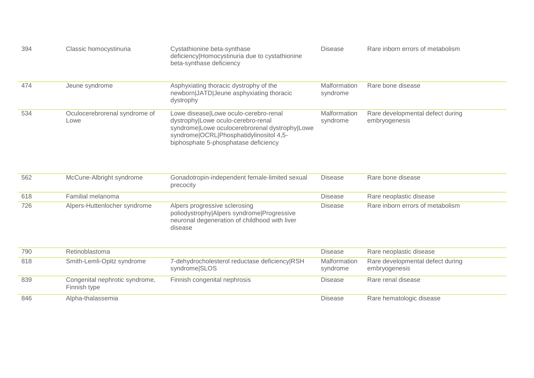| 394 | Classic homocystinuria                         | Cystathionine beta-synthase<br>deficiency Homocystinuria due to cystathionine<br>beta-synthase deficiency                                                                                                        | <b>Disease</b>           | Rare inborn errors of metabolism                  |
|-----|------------------------------------------------|------------------------------------------------------------------------------------------------------------------------------------------------------------------------------------------------------------------|--------------------------|---------------------------------------------------|
| 474 | Jeune syndrome                                 | Asphyxiating thoracic dystrophy of the<br>newborn JATD Jeune asphyxiating thoracic<br>dystrophy                                                                                                                  | Malformation<br>syndrome | Rare bone disease                                 |
| 534 | Oculocerebrorenal syndrome of<br>Lowe          | Lowe disease Lowe oculo-cerebro-renal<br>dystrophy Lowe oculo-cerebro-renal<br>syndrome Lowe oculocerebrorenal dystrophy Lowe<br>syndrome OCRL Phosphatidylinositol 4,5-<br>biphosphate 5-phosphatase deficiency | Malformation<br>syndrome | Rare developmental defect during<br>embryogenesis |
| 562 | McCune-Albright syndrome                       | Gonadotropin-independent female-limited sexual<br>precocity                                                                                                                                                      | <b>Disease</b>           | Rare bone disease                                 |
| 618 | Familial melanoma                              |                                                                                                                                                                                                                  | <b>Disease</b>           | Rare neoplastic disease                           |
| 726 | Alpers-Huttenlocher syndrome                   | Alpers progressive sclerosing<br>poliodystrophy Alpers syndrome Progressive<br>neuronal degeneration of childhood with liver<br>disease                                                                          | <b>Disease</b>           | Rare inborn errors of metabolism                  |
| 790 | Retinoblastoma                                 |                                                                                                                                                                                                                  | <b>Disease</b>           | Rare neoplastic disease                           |
| 818 | Smith-Lemli-Opitz syndrome                     | 7-dehydrocholesterol reductase deficiency RSH<br>syndrome SLOS                                                                                                                                                   | Malformation<br>syndrome | Rare developmental defect during<br>embryogenesis |
| 839 | Congenital nephrotic syndrome,<br>Finnish type | Finnish congenital nephrosis                                                                                                                                                                                     | <b>Disease</b>           | Rare renal disease                                |
| 846 | Alpha-thalassemia                              |                                                                                                                                                                                                                  | <b>Disease</b>           | Rare hematologic disease                          |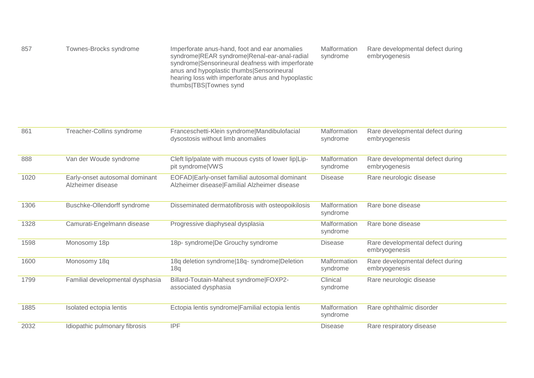| 857<br>Townes-Brocks syndrome | Imperforate anus-hand, foot and ear anomalies<br>syndrome REAR syndrome Renal-ear-anal-radial<br>syndrome Sensorineural deafness with imperforate<br>anus and hypoplastic thumbs Sensorineural<br>hearing loss with imperforate anus and hypoplastic<br>thumbs TBS Townes synd | Malformation<br>syndrome | Rare developmental defect during<br>embryogenesis |
|-------------------------------|--------------------------------------------------------------------------------------------------------------------------------------------------------------------------------------------------------------------------------------------------------------------------------|--------------------------|---------------------------------------------------|
|-------------------------------|--------------------------------------------------------------------------------------------------------------------------------------------------------------------------------------------------------------------------------------------------------------------------------|--------------------------|---------------------------------------------------|

| 861  | Treacher-Collins syndrome                           | Franceschetti-Klein syndrome Mandibulofacial<br>dysostosis without limb anomalies             | Malformation<br>syndrome | Rare developmental defect during<br>embryogenesis |
|------|-----------------------------------------------------|-----------------------------------------------------------------------------------------------|--------------------------|---------------------------------------------------|
| 888  | Van der Woude syndrome                              | Cleft lip/palate with mucous cysts of lower lip Lip-<br>pit syndrome VWS                      | Malformation<br>syndrome | Rare developmental defect during<br>embryogenesis |
| 1020 | Early-onset autosomal dominant<br>Alzheimer disease | EOFAD Early-onset familial autosomal dominant<br>Alzheimer disease Familial Alzheimer disease | <b>Disease</b>           | Rare neurologic disease                           |
| 1306 | Buschke-Ollendorff syndrome                         | Disseminated dermatofibrosis with osteopoikilosis                                             | Malformation<br>syndrome | Rare bone disease                                 |
| 1328 | Camurati-Engelmann disease                          | Progressive diaphyseal dysplasia                                                              | Malformation<br>syndrome | Rare bone disease                                 |
| 1598 | Monosomy 18p                                        | 18p- syndrome De Grouchy syndrome                                                             | <b>Disease</b>           | Rare developmental defect during<br>embryogenesis |
| 1600 | Monosomy 18q                                        | 18q deletion syndrome 18q-syndrome Deletion<br>18q                                            | Malformation<br>syndrome | Rare developmental defect during<br>embryogenesis |
| 1799 | Familial developmental dysphasia                    | Billard-Toutain-Maheut syndrome FOXP2-<br>associated dysphasia                                | Clinical<br>syndrome     | Rare neurologic disease                           |
| 1885 | Isolated ectopia lentis                             | Ectopia lentis syndrome Familial ectopia lentis                                               | Malformation<br>syndrome | Rare ophthalmic disorder                          |
| 2032 | Idiopathic pulmonary fibrosis                       | <b>IPF</b>                                                                                    | <b>Disease</b>           | Rare respiratory disease                          |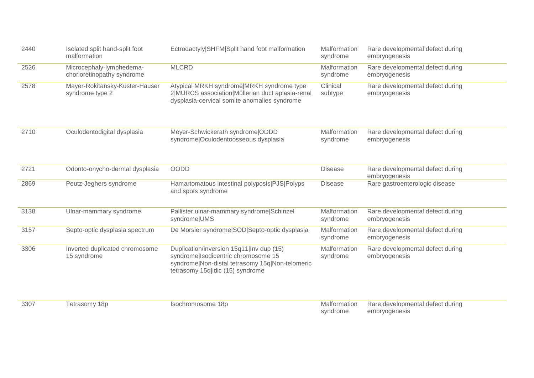| 2440 | Isolated split hand-split foot<br>malformation         | Ectrodactyly SHFM Split hand foot malformation                                                                                                                         | Malformation<br>syndrome | Rare developmental defect during<br>embryogenesis |
|------|--------------------------------------------------------|------------------------------------------------------------------------------------------------------------------------------------------------------------------------|--------------------------|---------------------------------------------------|
| 2526 | Microcephaly-lymphedema-<br>chorioretinopathy syndrome | <b>MLCRD</b>                                                                                                                                                           | Malformation<br>syndrome | Rare developmental defect during<br>embryogenesis |
| 2578 | Mayer-Rokitansky-Küster-Hauser<br>syndrome type 2      | Atypical MRKH syndrome MRKH syndrome type<br>2 MURCS association Müllerian duct aplasia-renal<br>dysplasia-cervical somite anomalies syndrome                          | Clinical<br>subtype      | Rare developmental defect during<br>embryogenesis |
| 2710 | Oculodentodigital dysplasia                            | Meyer-Schwickerath syndrome ODDD<br>syndrome Oculodentoosseous dysplasia                                                                                               | Malformation<br>syndrome | Rare developmental defect during<br>embryogenesis |
| 2721 | Odonto-onycho-dermal dysplasia                         | <b>OODD</b>                                                                                                                                                            | <b>Disease</b>           | Rare developmental defect during<br>embryogenesis |
| 2869 | Peutz-Jeghers syndrome                                 | Hamartomatous intestinal polyposis PJS Polyps<br>and spots syndrome                                                                                                    | <b>Disease</b>           | Rare gastroenterologic disease                    |
| 3138 | Ulnar-mammary syndrome                                 | Pallister ulnar-mammary syndrome Schinzel<br>syndrome UMS                                                                                                              | Malformation<br>syndrome | Rare developmental defect during<br>embryogenesis |
| 3157 | Septo-optic dysplasia spectrum                         | De Morsier syndrome SOD Septo-optic dysplasia                                                                                                                          | Malformation<br>syndrome | Rare developmental defect during<br>embryogenesis |
| 3306 | Inverted duplicated chromosome<br>15 syndrome          | Duplication/inversion 15q11 Inv dup (15)<br>syndrome Isodicentric chromosome 15<br>syndrome Non-distal tetrasomy 15q Non-telomeric<br>tetrasomy 15qlidic (15) syndrome | Malformation<br>syndrome | Rare developmental defect during<br>embryogenesis |

and the Tetrasomy 18p and Tetrasomy 18p and Tetrasomy 18p and Tetrasomy 18p and Tetrasomy 18p and Tetrasomy 18p and Tetrasomy 18p and Tetrasomy 18p and Tetrasomy 18p and Tetrasomy 18p and Tetrasomy 18p and Tetrasomy 18p an

syndrome Rare developmental defect during embryogenesis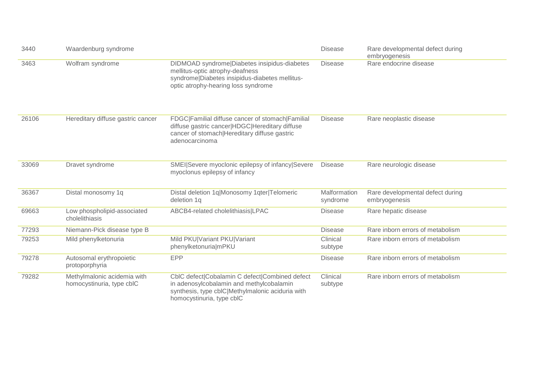| 3440  | Waardenburg syndrome                                     |                                                                                                                                                                             | <b>Disease</b>           | Rare developmental defect during<br>embryogenesis |
|-------|----------------------------------------------------------|-----------------------------------------------------------------------------------------------------------------------------------------------------------------------------|--------------------------|---------------------------------------------------|
| 3463  | Wolfram syndrome                                         | DIDMOAD syndrome Diabetes insipidus-diabetes<br>mellitus-optic atrophy-deafness<br>syndrome Diabetes insipidus-diabetes mellitus-<br>optic atrophy-hearing loss syndrome    | <b>Disease</b>           | Rare endocrine disease                            |
| 26106 | Hereditary diffuse gastric cancer                        | FDGC Familial diffuse cancer of stomach Familial<br>diffuse gastric cancer HDGC Hereditary diffuse<br>cancer of stomach Hereditary diffuse gastric<br>adenocarcinoma        | <b>Disease</b>           | Rare neoplastic disease                           |
| 33069 | Dravet syndrome                                          | SMEI Severe myoclonic epilepsy of infancy Severe<br>myoclonus epilepsy of infancy                                                                                           | <b>Disease</b>           | Rare neurologic disease                           |
| 36367 | Distal monosomy 1q                                       | Distal deletion 1q Monosomy 1qter Telomeric<br>deletion 1q                                                                                                                  | Malformation<br>syndrome | Rare developmental defect during<br>embryogenesis |
| 69663 | Low phospholipid-associated<br>cholelithiasis            | ABCB4-related cholelithiasis LPAC                                                                                                                                           | <b>Disease</b>           | Rare hepatic disease                              |
| 77293 | Niemann-Pick disease type B                              |                                                                                                                                                                             | <b>Disease</b>           | Rare inborn errors of metabolism                  |
| 79253 | Mild phenylketonuria                                     | Mild PKU Variant PKU Variant<br>phenylketonurialmPKU                                                                                                                        | Clinical<br>subtype      | Rare inborn errors of metabolism                  |
| 79278 | Autosomal erythropoietic<br>protoporphyria               | <b>EPP</b>                                                                                                                                                                  | <b>Disease</b>           | Rare inborn errors of metabolism                  |
| 79282 | Methylmalonic acidemia with<br>homocystinuria, type cblC | CbIC defect Cobalamin C defect Combined defect<br>in adenosylcobalamin and methylcobalamin<br>synthesis, type cblC Methylmalonic aciduria with<br>homocystinuria, type cblC | Clinical<br>subtype      | Rare inborn errors of metabolism                  |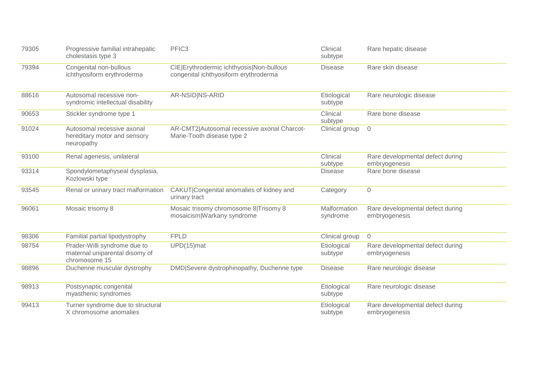| 79305 | Progressive familial intrahepatic<br>cholestasis type 3                         | PFIC <sub>3</sub>                                                                 | Clinical<br>subtype       | Rare hepatic disease                              |
|-------|---------------------------------------------------------------------------------|-----------------------------------------------------------------------------------|---------------------------|---------------------------------------------------|
| 79394 | Congenital non-bullous<br>ichthyosiform erythroderma                            | CIE Erythrodermic ichthyosis Non-bullous<br>congenital ichthyosiform erythroderma | <b>Disease</b>            | Rare skin disease                                 |
| 88616 | Autosomal recessive non-<br>syndromic intellectual disability                   | AR-NSID NS-ARID                                                                   | Etiological<br>subtype    | Rare neurologic disease                           |
| 90653 | Stickler syndrome type 1                                                        |                                                                                   | Clinical<br>subtype       | Rare bone disease                                 |
| 91024 | Autosomal recessive axonal<br>hereditary motor and sensory<br>neuropathy        | AR-CMT2 Autosomal recessive axonal Charcot-<br>Marie-Tooth disease type 2         | Clinical group            | $\overline{0}$                                    |
| 93100 | Renal agenesis, unilateral                                                      |                                                                                   | Clinical                  | Rare developmental defect during<br>embryogenesis |
| 93314 | Spondylometaphyseal dysplasia,<br>Kozlowski type                                |                                                                                   | subtype<br><b>Disease</b> | Rare bone disease                                 |
| 93545 | Renal or urinary tract malformation                                             | CAKUT Congenital anomalies of kidney and<br>urinary tract                         | Category                  | $\overline{0}$                                    |
| 96061 | Mosaic trisomy 8                                                                | Mosaic trisomy chromosome 8 Trisomy 8<br>mosaicism Warkany syndrome               | Malformation<br>syndrome  | Rare developmental defect during<br>embryogenesis |
| 98306 | Familial partial lipodystrophy                                                  | <b>FPLD</b>                                                                       | Clinical group            | $\overline{O}$                                    |
| 98754 | Prader-Willi syndrome due to<br>maternal uniparental disomy of<br>chromosome 15 | UPD(15)mat                                                                        | Etiological<br>subtype    | Rare developmental defect during<br>embryogenesis |
| 98896 | Duchenne muscular dystrophy                                                     | DMD Severe dystrophinopathy, Duchenne type                                        | <b>Disease</b>            | Rare neurologic disease                           |
| 98913 | Postsynaptic congenital<br>myasthenic syndromes                                 |                                                                                   | Etiological<br>subtype    | Rare neurologic disease                           |
| 99413 | Turner syndrome due to structural<br>X chromosome anomalies                     |                                                                                   | Etiological<br>subtype    | Rare developmental defect during<br>embryogenesis |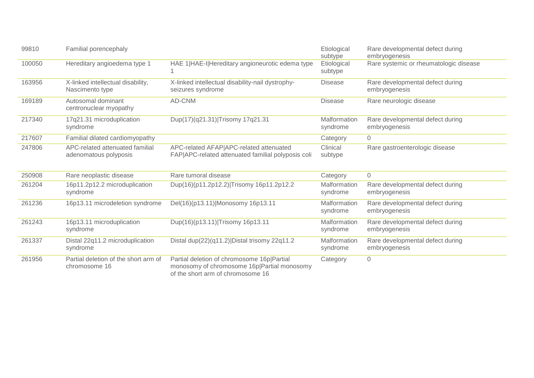| 99810  | Familial porencephaly                                    |                                                                                                                                | Etiological<br>subtype   | Rare developmental defect during<br>embryogenesis |
|--------|----------------------------------------------------------|--------------------------------------------------------------------------------------------------------------------------------|--------------------------|---------------------------------------------------|
| 100050 | Hereditary angioedema type 1                             | HAE 1 HAE-I Hereditary angioneurotic edema type                                                                                | Etiological<br>subtype   | Rare systemic or rheumatologic disease            |
| 163956 | X-linked intellectual disability,<br>Nascimento type     | X-linked intellectual disability-nail dystrophy-<br>seizures syndrome                                                          | <b>Disease</b>           | Rare developmental defect during<br>embryogenesis |
| 169189 | Autosomal dominant<br>centronuclear myopathy             | AD-CNM                                                                                                                         | <b>Disease</b>           | Rare neurologic disease                           |
| 217340 | 17q21.31 microduplication<br>syndrome                    | Dup(17)(q21.31) Trisomy 17q21.31                                                                                               | Malformation<br>syndrome | Rare developmental defect during<br>embryogenesis |
| 217607 | Familial dilated cardiomyopathy                          |                                                                                                                                | Category                 | $\overline{0}$                                    |
| 247806 | APC-related attenuated familial<br>adenomatous polyposis | APC-related AFAP APC-related attenuated<br>FAP APC-related attenuated familial polyposis coli                                  | Clinical<br>subtype      | Rare gastroenterologic disease                    |
| 250908 | Rare neoplastic disease                                  | Rare tumoral disease                                                                                                           | Category                 | $\overline{0}$                                    |
| 261204 | 16p11.2p12.2 microduplication<br>syndrome                | Dup(16)(p11.2p12.2) Trisomy 16p11.2p12.2                                                                                       | Malformation<br>syndrome | Rare developmental defect during<br>embryogenesis |
| 261236 | 16p13.11 microdeletion syndrome                          | Del(16)(p13.11) Monosomy 16p13.11                                                                                              | Malformation<br>syndrome | Rare developmental defect during<br>embryogenesis |
| 261243 | 16p13.11 microduplication<br>syndrome                    | Dup(16)(p13.11) Trisomy 16p13.11                                                                                               | Malformation<br>syndrome | Rare developmental defect during<br>embryogenesis |
| 261337 | Distal 22q11.2 microduplication<br>syndrome              | Distal dup(22)(q11.2) Distal trisomy 22q11.2                                                                                   | Malformation<br>syndrome | Rare developmental defect during<br>embryogenesis |
| 261956 | Partial deletion of the short arm of<br>chromosome 16    | Partial deletion of chromosome 16p Partial<br>monosomy of chromosome 16p Partial monosomy<br>of the short arm of chromosome 16 | Category                 | $\mathbf 0$                                       |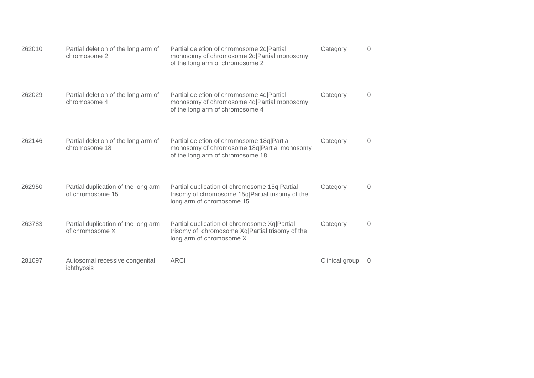| 262010 | Partial deletion of the long arm of<br>chromosome 2     | Partial deletion of chromosome 2q Partial<br>monosomy of chromosome 2q Partial monosomy<br>of the long arm of chromosome 2     | Category       | $\overline{0}$      |
|--------|---------------------------------------------------------|--------------------------------------------------------------------------------------------------------------------------------|----------------|---------------------|
| 262029 | Partial deletion of the long arm of<br>chromosome 4     | Partial deletion of chromosome 4q Partial<br>monosomy of chromosome 4q Partial monosomy<br>of the long arm of chromosome 4     | Category       | $\mathsf{O}\xspace$ |
| 262146 | Partial deletion of the long arm of<br>chromosome 18    | Partial deletion of chromosome 18q Partial<br>monosomy of chromosome 18q Partial monosomy<br>of the long arm of chromosome 18  | Category       | $\mathsf{O}\xspace$ |
| 262950 | Partial duplication of the long arm<br>of chromosome 15 | Partial duplication of chromosome 15q Partial<br>trisomy of chromosome 15q Partial trisomy of the<br>long arm of chromosome 15 | Category       | $\overline{0}$      |
| 263783 | Partial duplication of the long arm<br>of chromosome X  | Partial duplication of chromosome Xq Partial<br>trisomy of chromosome Xq Partial trisomy of the<br>long arm of chromosome X    | Category       | $\overline{0}$      |
| 281097 | Autosomal recessive congenital<br>ichthyosis            | <b>ARCI</b>                                                                                                                    | Clinical group | $\overline{0}$      |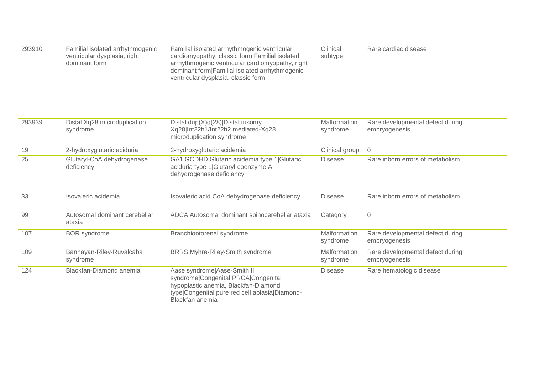| 293910 | Familial isolated arrhythmogenic | Familial isolated arrhythmogenic ventricular     | Clinical | Rare cardiac disease |
|--------|----------------------------------|--------------------------------------------------|----------|----------------------|
|        | ventricular dysplasia, right     | cardiomyopathy, classic form Familial isolated   | subtype  |                      |
|        | dominant form                    | arrhythmogenic ventricular cardiomyopathy, right |          |                      |
|        |                                  | dominant form Familial isolated arrhythmogenic   |          |                      |
|        |                                  | ventricular dysplasia, classic form              |          |                      |

| 293939 | Distal Xq28 microduplication<br>syndrome | Distal dup $(X)q(28)$ Distal trisomy<br>Xq28 Int22h1/Int22h2 mediated-Xq28<br>microduplication syndrome                                                                         | Malformation<br>syndrome        | Rare developmental defect during<br>embryogenesis |
|--------|------------------------------------------|---------------------------------------------------------------------------------------------------------------------------------------------------------------------------------|---------------------------------|---------------------------------------------------|
| 19     | 2-hydroxyglutaric aciduria               | 2-hydroxyglutaric acidemia                                                                                                                                                      | Clinical group                  | $\overline{0}$                                    |
| 25     | Glutaryl-CoA dehydrogenase<br>deficiency | GA1 GCDHD Glutaric acidemia type 1 Glutaric<br>aciduria type 1 Glutaryl-coenzyme A<br>dehydrogenase deficiency                                                                  | <b>Disease</b>                  | Rare inborn errors of metabolism                  |
| 33     | Isovaleric acidemia                      | Isovaleric acid CoA dehydrogenase deficiency                                                                                                                                    | <b>Disease</b>                  | Rare inborn errors of metabolism                  |
| 99     | Autosomal dominant cerebellar<br>ataxia  | ADCA Autosomal dominant spinocerebellar ataxia                                                                                                                                  | Category                        | $\mathbf 0$                                       |
| 107    | <b>BOR</b> syndrome                      | Branchiootorenal syndrome                                                                                                                                                       | <b>Malformation</b><br>syndrome | Rare developmental defect during<br>embryogenesis |
| 109    | Bannayan-Riley-Ruvalcaba<br>syndrome     | BRRS Myhre-Riley-Smith syndrome                                                                                                                                                 | <b>Malformation</b><br>syndrome | Rare developmental defect during<br>embryogenesis |
| 124    | Blackfan-Diamond anemia                  | Aase syndrome Aase-Smith II<br>syndrome Congenital PRCA Congenital<br>hypoplastic anemia, Blackfan-Diamond<br>type Congenital pure red cell aplasia Diamond-<br>Blackfan anemia | <b>Disease</b>                  | Rare hematologic disease                          |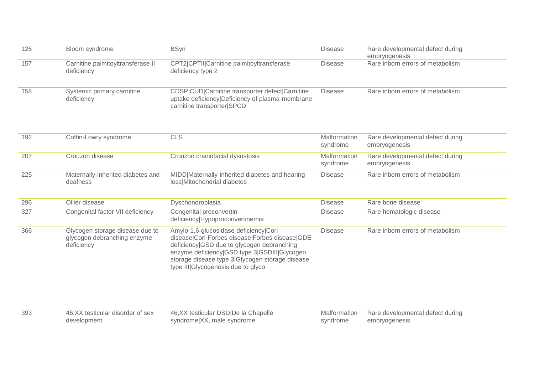| 125 | Bloom syndrome                                                               | <b>BSyn</b>                                                                                                                                                                                                                                                                    | <b>Disease</b>           | Rare developmental defect during<br>embryogenesis |
|-----|------------------------------------------------------------------------------|--------------------------------------------------------------------------------------------------------------------------------------------------------------------------------------------------------------------------------------------------------------------------------|--------------------------|---------------------------------------------------|
| 157 | Carnitine palmitoyltransferase II<br>deficiency                              | CPT2 CPTII Carnitine palmitoyltransferase<br>deficiency type 2                                                                                                                                                                                                                 | <b>Disease</b>           | Rare inborn errors of metabolism                  |
| 158 | Systemic primary carnitine<br>deficiency                                     | CDSP CUD Carnitine transporter defect Carnitine<br>uptake deficiency Deficiency of plasma-membrane<br>carnitine transporter SPCD                                                                                                                                               | <b>Disease</b>           | Rare inborn errors of metabolism                  |
| 192 | Coffin-Lowry syndrome                                                        | <b>CLS</b>                                                                                                                                                                                                                                                                     | Malformation<br>syndrome | Rare developmental defect during<br>embryogenesis |
| 207 | Crouzon disease                                                              | Crouzon craniofacial dysostosis                                                                                                                                                                                                                                                | Malformation<br>syndrome | Rare developmental defect during<br>embryogenesis |
| 225 | Maternally-inherited diabetes and<br>deafness                                | MIDD Maternally-inherited diabetes and hearing<br>loss Mitochondrial diabetes                                                                                                                                                                                                  | <b>Disease</b>           | Rare inborn errors of metabolism                  |
| 296 | Ollier disease                                                               | Dyschondroplasia                                                                                                                                                                                                                                                               | <b>Disease</b>           | Rare bone disease                                 |
| 327 | Congenital factor VII deficiency                                             | Congenital proconvertin<br>deficiency Hypoproconvertinemia                                                                                                                                                                                                                     | <b>Disease</b>           | Rare hematologic disease                          |
| 366 | Glycogen storage disease due to<br>glycogen debranching enzyme<br>deficiency | Amylo-1,6-glucosidase deficiency Cori<br>disease Cori-Forbes disease Forbes disease GDE<br>deficiency GSD due to glycogen debranching<br>enzyme deficiency GSD type 3 GSDIII Glycogen<br>storage disease type 3 Glycogen storage disease<br>type III Glycogenosis due to glyco | <b>Disease</b>           | Rare inborn errors of metabolism                  |
| 393 | 46, XX testicular disorder of sex<br>development                             | 46, XX testicular DSD De la Chapelle<br>syndrome XX, male syndrome                                                                                                                                                                                                             | Malformation<br>syndrome | Rare developmental defect during<br>embryogenesis |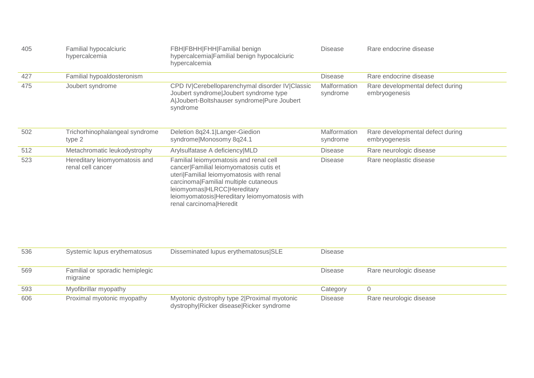| 405 | Familial hypocalciuric<br>hypercalcemia            | FBH FBHH FHH Familial benign<br>hypercalcemia Familial benign hypocalciuric<br>hypercalcemia                                                                                                                                                                                      | <b>Disease</b>           | Rare endocrine disease                            |
|-----|----------------------------------------------------|-----------------------------------------------------------------------------------------------------------------------------------------------------------------------------------------------------------------------------------------------------------------------------------|--------------------------|---------------------------------------------------|
| 427 | Familial hypoaldosteronism                         |                                                                                                                                                                                                                                                                                   | <b>Disease</b>           | Rare endocrine disease                            |
| 475 | Joubert syndrome                                   | CPD IV Cerebelloparenchymal disorder IV Classic<br>Joubert syndrome Joubert syndrome type<br>AlJoubert-Boltshauser syndrome Pure Joubert<br>syndrome                                                                                                                              | Malformation<br>syndrome | Rare developmental defect during<br>embryogenesis |
| 502 | Trichorhinophalangeal syndrome<br>type 2           | Deletion 8q24.1 Langer-Giedion<br>syndrome Monosomy 8q24.1                                                                                                                                                                                                                        | Malformation<br>syndrome | Rare developmental defect during<br>embryogenesis |
| 512 | Metachromatic leukodystrophy                       | Arylsulfatase A deficiency MLD                                                                                                                                                                                                                                                    | <b>Disease</b>           | Rare neurologic disease                           |
| 523 | Hereditary leiomyomatosis and<br>renal cell cancer | Familial leiomyomatosis and renal cell<br>cancer Familial leiomyomatosis cutis et<br>uteri Familial leiomyomatosis with renal<br>carcinoma Familial multiple cutaneous<br>leiomyomas HLRCC Hereditary<br>leiomyomatosis Hereditary leiomyomatosis with<br>renal carcinoma Heredit | <b>Disease</b>           | Rare neoplastic disease                           |
| 536 | Systemic lupus erythematosus                       | Disseminated lupus erythematosus SLE                                                                                                                                                                                                                                              | <b>Disease</b>           |                                                   |
| 569 | Familial or sporadic hemiplegic<br>migraine        |                                                                                                                                                                                                                                                                                   | <b>Disease</b>           | Rare neurologic disease                           |
| 593 | Myofibrillar myopathy                              |                                                                                                                                                                                                                                                                                   | Category                 | $\overline{0}$                                    |
| 606 | Proximal myotonic myopathy                         | Myotonic dystrophy type 2 Proximal myotonic<br>dystrophy Ricker disease Ricker syndrome                                                                                                                                                                                           | <b>Disease</b>           | Rare neurologic disease                           |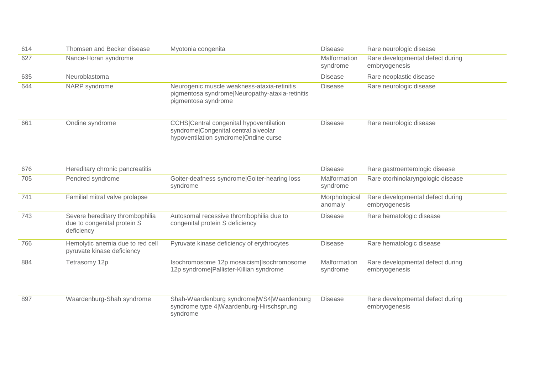| 614 | Thomsen and Becker disease                                                   | Myotonia congenita                                                                                                       | <b>Disease</b>           | Rare neurologic disease                           |
|-----|------------------------------------------------------------------------------|--------------------------------------------------------------------------------------------------------------------------|--------------------------|---------------------------------------------------|
| 627 | Nance-Horan syndrome                                                         |                                                                                                                          | Malformation<br>syndrome | Rare developmental defect during<br>embryogenesis |
| 635 | Neuroblastoma                                                                |                                                                                                                          | <b>Disease</b>           | Rare neoplastic disease                           |
| 644 | NARP syndrome                                                                | Neurogenic muscle weakness-ataxia-retinitis<br>pigmentosa syndrome Neuropathy-ataxia-retinitis<br>pigmentosa syndrome    | <b>Disease</b>           | Rare neurologic disease                           |
| 661 | Ondine syndrome                                                              | CCHS Central congenital hypoventilation<br>syndrome Congenital central alveolar<br>hypoventilation syndrome Ondine curse | <b>Disease</b>           | Rare neurologic disease                           |
| 676 | Hereditary chronic pancreatitis                                              |                                                                                                                          | <b>Disease</b>           | Rare gastroenterologic disease                    |
| 705 | Pendred syndrome                                                             | Goiter-deafness syndrome Goiter-hearing loss<br>syndrome                                                                 | Malformation<br>syndrome | Rare otorhinolaryngologic disease                 |
| 741 | Familial mitral valve prolapse                                               |                                                                                                                          | Morphological<br>anomaly | Rare developmental defect during<br>embryogenesis |
| 743 | Severe hereditary thrombophilia<br>due to congenital protein S<br>deficiency | Autosomal recessive thrombophilia due to<br>congenital protein S deficiency                                              | <b>Disease</b>           | Rare hematologic disease                          |
| 766 | Hemolytic anemia due to red cell<br>pyruvate kinase deficiency               | Pyruvate kinase deficiency of erythrocytes                                                                               | <b>Disease</b>           | Rare hematologic disease                          |
| 884 | Tetrasomy 12p                                                                | Isochromosome 12p mosaicism Isochromosome<br>12p syndrome Pallister-Killian syndrome                                     | Malformation<br>syndrome | Rare developmental defect during<br>embryogenesis |
| 897 | Waardenburg-Shah syndrome                                                    | Shah-Waardenburg syndrome WS4 Waardenburg<br>syndrome type 4 Waardenburg-Hirschsprung<br>syndrome                        | <b>Disease</b>           | Rare developmental defect during<br>embryogenesis |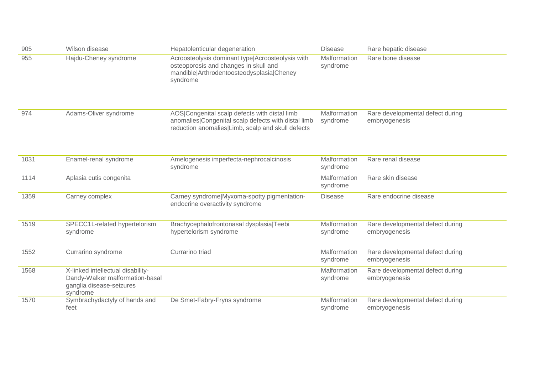| 905  | Wilson disease                                                                                               | Hepatolenticular degeneration                                                                                                                             | <b>Disease</b>           | Rare hepatic disease                              |
|------|--------------------------------------------------------------------------------------------------------------|-----------------------------------------------------------------------------------------------------------------------------------------------------------|--------------------------|---------------------------------------------------|
| 955  | Hajdu-Cheney syndrome                                                                                        | Acroosteolysis dominant type Acroosteolysis with<br>osteoporosis and changes in skull and<br>mandible Arthrodentoosteodysplasia Cheney<br>syndrome        | Malformation<br>syndrome | Rare bone disease                                 |
| 974  | Adams-Oliver syndrome                                                                                        | AOS Congenital scalp defects with distal limb<br>anomalies Congenital scalp defects with distal limb<br>reduction anomalies Limb, scalp and skull defects | Malformation<br>syndrome | Rare developmental defect during<br>embryogenesis |
| 1031 | Enamel-renal syndrome                                                                                        | Amelogenesis imperfecta-nephrocalcinosis<br>syndrome                                                                                                      | Malformation<br>syndrome | Rare renal disease                                |
| 1114 | Aplasia cutis congenita                                                                                      |                                                                                                                                                           | Malformation<br>syndrome | Rare skin disease                                 |
| 1359 | Carney complex                                                                                               | Carney syndrome Myxoma-spotty pigmentation-<br>endocrine overactivity syndrome                                                                            | <b>Disease</b>           | Rare endocrine disease                            |
| 1519 | SPECC1L-related hypertelorism<br>syndrome                                                                    | Brachycephalofrontonasal dysplasia Teebi<br>hypertelorism syndrome                                                                                        | Malformation<br>syndrome | Rare developmental defect during<br>embryogenesis |
| 1552 | Currarino syndrome                                                                                           | Currarino triad                                                                                                                                           | Malformation<br>syndrome | Rare developmental defect during<br>embryogenesis |
| 1568 | X-linked intellectual disability-<br>Dandy-Walker malformation-basal<br>ganglia disease-seizures<br>syndrome |                                                                                                                                                           | Malformation<br>syndrome | Rare developmental defect during<br>embryogenesis |
| 1570 | Symbrachydactyly of hands and<br>feet                                                                        | De Smet-Fabry-Fryns syndrome                                                                                                                              | Malformation<br>syndrome | Rare developmental defect during<br>embryogenesis |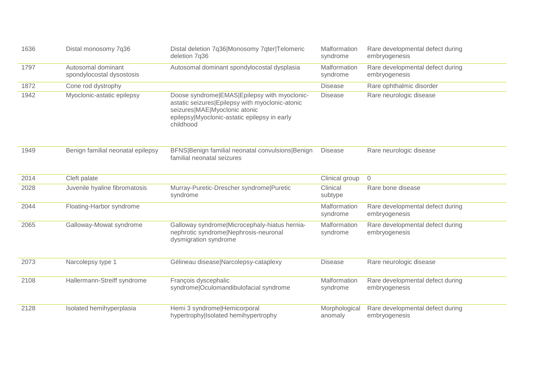| 1636 | Distal monosomy 7q36                            | Distal deletion 7q36 Monosomy 7qter Telomeric<br>deletion 7q36                                                                                                                                | Malformation<br>syndrome | Rare developmental defect during<br>embryogenesis |
|------|-------------------------------------------------|-----------------------------------------------------------------------------------------------------------------------------------------------------------------------------------------------|--------------------------|---------------------------------------------------|
| 1797 | Autosomal dominant<br>spondylocostal dysostosis | Autosomal dominant spondylocostal dysplasia                                                                                                                                                   | Malformation<br>syndrome | Rare developmental defect during<br>embryogenesis |
| 1872 | Cone rod dystrophy                              |                                                                                                                                                                                               | <b>Disease</b>           | Rare ophthalmic disorder                          |
| 1942 | Myoclonic-astatic epilepsy                      | Doose syndrome EMAS Epilepsy with myoclonic-<br>astatic seizures Epilepsy with myoclonic-atonic<br>seizures MAE Myoclonic atonic<br>epilepsy Myoclonic-astatic epilepsy in early<br>childhood | <b>Disease</b>           | Rare neurologic disease                           |
| 1949 | Benign familial neonatal epilepsy               | BFNS Benign familial neonatal convulsions Benign<br>familial neonatal seizures                                                                                                                | <b>Disease</b>           | Rare neurologic disease                           |
| 2014 | Cleft palate                                    |                                                                                                                                                                                               | Clinical group           | $\overline{0}$                                    |
| 2028 | Juvenile hyaline fibromatosis                   | Murray-Puretic-Drescher syndrome Puretic<br>syndrome                                                                                                                                          | Clinical<br>subtype      | Rare bone disease                                 |
| 2044 | Floating-Harbor syndrome                        |                                                                                                                                                                                               | Malformation<br>syndrome | Rare developmental defect during<br>embryogenesis |
| 2065 | Galloway-Mowat syndrome                         | Galloway syndrome Microcephaly-hiatus hernia-<br>nephrotic syndrome Nephrosis-neuronal<br>dysmigration syndrome                                                                               | Malformation<br>syndrome | Rare developmental defect during<br>embryogenesis |
| 2073 | Narcolepsy type 1                               | Gélineau disease Narcolepsy-cataplexy                                                                                                                                                         | <b>Disease</b>           | Rare neurologic disease                           |
| 2108 | Hallermann-Streiff syndrome                     | François dyscephalic<br>syndrome Oculomandibulofacial syndrome                                                                                                                                | Malformation<br>syndrome | Rare developmental defect during<br>embryogenesis |
| 2128 | Isolated hemihyperplasia                        | Hemi 3 syndrome Hemicorporal<br>hypertrophy Isolated hemihypertrophy                                                                                                                          | Morphological<br>anomaly | Rare developmental defect during<br>embryogenesis |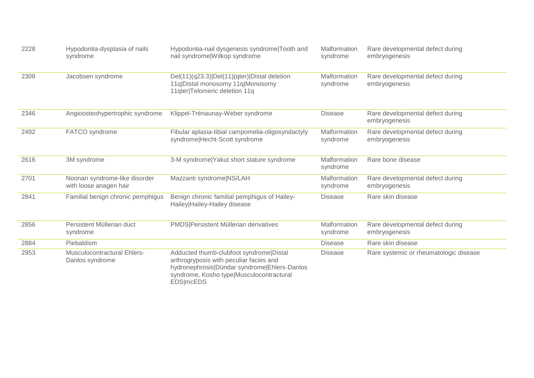| 2228 | Hypodontia-dysplasia of nails<br>syndrome               | Hypodontia-nail dysgenesis syndrome Tooth and<br>nail syndrome Witkop syndrome                                                                                                                      | Malformation<br>syndrome | Rare developmental defect during<br>embryogenesis |
|------|---------------------------------------------------------|-----------------------------------------------------------------------------------------------------------------------------------------------------------------------------------------------------|--------------------------|---------------------------------------------------|
| 2308 | Jacobsen syndrome                                       | Del(11)(q23.3) Del(11)(qter) Distal deletion<br>11q Distal monosomy 11q Monosomy<br>11qter Telomeric deletion 11q                                                                                   | Malformation<br>syndrome | Rare developmental defect during<br>embryogenesis |
| 2346 | Angioosteohypertrophic syndrome                         | Klippel-Trénaunay-Weber syndrome                                                                                                                                                                    | <b>Disease</b>           | Rare developmental defect during<br>embryogenesis |
| 2492 | FATCO syndrome                                          | Fibular aplasia-tibial campomelia-oligosyndactyly<br>syndrome Hecht-Scott syndrome                                                                                                                  | Malformation<br>syndrome | Rare developmental defect during<br>embryogenesis |
| 2616 | 3M syndrome                                             | 3-M syndrome Yakut short stature syndrome                                                                                                                                                           | Malformation<br>syndrome | Rare bone disease                                 |
| 2701 | Noonan syndrome-like disorder<br>with loose anagen hair | Mazzanti syndrome NS/LAH                                                                                                                                                                            | Malformation<br>syndrome | Rare developmental defect during<br>embryogenesis |
| 2841 | Familial benign chronic pemphigus                       | Benign chronic familial pemphigus of Hailey-<br>Hailey Hailey-Hailey disease                                                                                                                        | <b>Disease</b>           | Rare skin disease                                 |
| 2856 | Persistent Müllerian duct<br>syndrome                   | PMDS Persistent Müllerian derivatives                                                                                                                                                               | Malformation<br>syndrome | Rare developmental defect during<br>embryogenesis |
| 2884 | Piebaldism                                              |                                                                                                                                                                                                     | <b>Disease</b>           | Rare skin disease                                 |
| 2953 | <b>Musculocontractural Ehlers-</b><br>Danlos syndrome   | Adducted thumb-clubfoot syndrome Distal<br>arthrogryposis with peculiar facies and<br>hydronephrosis Dündar syndrome Ehlers-Danlos<br>syndrome, Kosho type Musculocontractural<br><b>EDS</b>  mcEDS | <b>Disease</b>           | Rare systemic or rheumatologic disease            |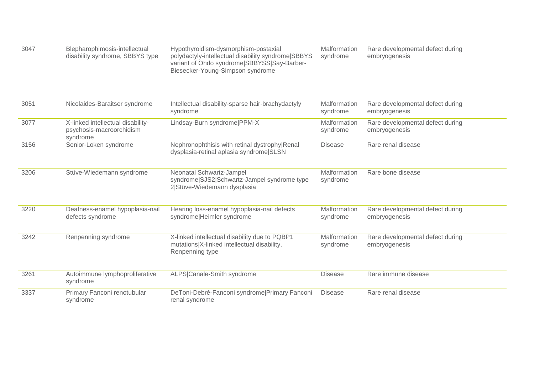| 3047<br>Blepharophimosis-intellectual<br>disability syndrome, SBBYS type | Hypothyroidism-dysmorphism-postaxial<br>polydactyly-intellectual disability syndrome SBBYS<br>variant of Ohdo syndrome SBBYSS Say-Barber-<br>Biesecker-Young-Simpson syndrome | Malformation<br>syndrome | Rare developmental defect during<br>embryogenesis |
|--------------------------------------------------------------------------|-------------------------------------------------------------------------------------------------------------------------------------------------------------------------------|--------------------------|---------------------------------------------------|
|--------------------------------------------------------------------------|-------------------------------------------------------------------------------------------------------------------------------------------------------------------------------|--------------------------|---------------------------------------------------|

| 3051 | Nicolaides-Baraitser syndrome                                             | Intellectual disability-sparse hair-brachydactyly<br>syndrome                                                   | Malformation<br>syndrome | Rare developmental defect during<br>embryogenesis |
|------|---------------------------------------------------------------------------|-----------------------------------------------------------------------------------------------------------------|--------------------------|---------------------------------------------------|
| 3077 | X-linked intellectual disability-<br>psychosis-macroorchidism<br>syndrome | Lindsay-Burn syndrome PPM-X                                                                                     | Malformation<br>syndrome | Rare developmental defect during<br>embryogenesis |
| 3156 | Senior-Loken syndrome                                                     | Nephronophthisis with retinal dystrophy Renal<br>dysplasia-retinal aplasia syndrome SLSN                        | <b>Disease</b>           | Rare renal disease                                |
| 3206 | Stüve-Wiedemann syndrome                                                  | Neonatal Schwartz-Jampel<br>syndrome SJS2 Schwartz-Jampel syndrome type<br>2 Stüve-Wiedemann dysplasia          | Malformation<br>syndrome | Rare bone disease                                 |
| 3220 | Deafness-enamel hypoplasia-nail<br>defects syndrome                       | Hearing loss-enamel hypoplasia-nail defects<br>syndrome Heimler syndrome                                        | Malformation<br>syndrome | Rare developmental defect during<br>embryogenesis |
| 3242 | Renpenning syndrome                                                       | X-linked intellectual disability due to PQBP1<br>mutations X-linked intellectual disability,<br>Renpenning type | Malformation<br>syndrome | Rare developmental defect during<br>embryogenesis |
| 3261 | Autoimmune lymphoproliferative<br>syndrome                                | ALPS Canale-Smith syndrome                                                                                      | <b>Disease</b>           | Rare immune disease                               |
| 3337 | Primary Fanconi renotubular<br>syndrome                                   | DeToni-Debré-Fanconi syndrome Primary Fanconi<br>renal syndrome                                                 | <b>Disease</b>           | Rare renal disease                                |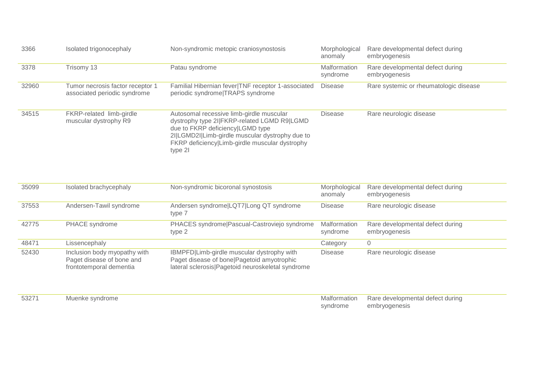| 3366  | Isolated trigonocephaly                                          | Non-syndromic metopic craniosynostosis                                                                                                                                                                                                      | Morphological<br>anomaly | Rare developmental defect during<br>embryogenesis |
|-------|------------------------------------------------------------------|---------------------------------------------------------------------------------------------------------------------------------------------------------------------------------------------------------------------------------------------|--------------------------|---------------------------------------------------|
| 3378  | Trisomy 13                                                       | Patau syndrome                                                                                                                                                                                                                              | Malformation<br>syndrome | Rare developmental defect during<br>embryogenesis |
| 32960 | Tumor necrosis factor receptor 1<br>associated periodic syndrome | Familial Hibernian fever TNF receptor 1-associated<br>periodic syndrome TRAPS syndrome                                                                                                                                                      | <b>Disease</b>           | Rare systemic or rheumatologic disease            |
| 34515 | FKRP-related limb-girdle<br>muscular dystrophy R9                | Autosomal recessive limb-girdle muscular<br>dystrophy type 2I FKRP-related LGMD R9 LGMD<br>due to FKRP deficiency LGMD type<br>2I LGMD2I Limb-girdle muscular dystrophy due to<br>FKRP deficiency Limb-girdle muscular dystrophy<br>type 21 | <b>Disease</b>           | Rare neurologic disease                           |

| 35099 | Isolated brachycephaly                                                               | Non-syndromic bicoronal synostosis                                                                                                              | Morphological<br>anomaly | Rare developmental defect during<br>embryogenesis |
|-------|--------------------------------------------------------------------------------------|-------------------------------------------------------------------------------------------------------------------------------------------------|--------------------------|---------------------------------------------------|
| 37553 | Andersen-Tawil syndrome                                                              | Andersen syndrome LQT7 Long QT syndrome<br>type 7                                                                                               | <b>Disease</b>           | Rare neurologic disease                           |
| 42775 | PHACE syndrome                                                                       | PHACES syndrome Pascual-Castroviejo syndrome<br>type 2                                                                                          | Malformation<br>syndrome | Rare developmental defect during<br>embryogenesis |
| 48471 | Lissencephaly                                                                        |                                                                                                                                                 | Category                 | $\overline{0}$                                    |
| 52430 | Inclusion body myopathy with<br>Paget disease of bone and<br>frontotemporal dementia | IBMPFD Limb-girdle muscular dystrophy with<br>Paget disease of bone   Pagetoid amyotrophic<br>lateral sclerosis Pagetoid neuroskeletal syndrome | <b>Disease</b>           | Rare neurologic disease                           |

| 5327 | Muenke syndrome | Malformation | Rare developmental defect during |
|------|-----------------|--------------|----------------------------------|
|      |                 | syndrome     | embryogenesis                    |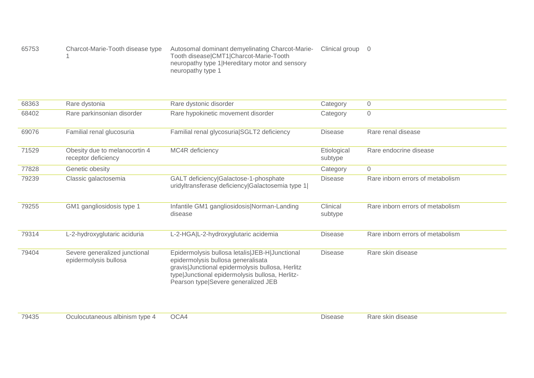| 65753 | Charcot-Marie-Tooth disease type | Autosomal dominant demyelinating Charcot-Marie- | Clinical group 0 |  |
|-------|----------------------------------|-------------------------------------------------|------------------|--|
|       |                                  | Tooth disease CMT1 Charcot-Marie-Tooth          |                  |  |
|       |                                  | neuropathy type 1 Hereditary motor and sensory  |                  |  |
|       |                                  | neuropathy type 1                               |                  |  |

| 68363 | Rare dystonia                                          | Rare dystonic disorder                                                                                                                                                                                                             | Category               | $\mathbf 0$                      |
|-------|--------------------------------------------------------|------------------------------------------------------------------------------------------------------------------------------------------------------------------------------------------------------------------------------------|------------------------|----------------------------------|
| 68402 | Rare parkinsonian disorder                             | Rare hypokinetic movement disorder                                                                                                                                                                                                 | Category               | $\mathbf 0$                      |
| 69076 | Familial renal glucosuria                              | Familial renal glycosuria SGLT2 deficiency                                                                                                                                                                                         | <b>Disease</b>         | Rare renal disease               |
| 71529 | Obesity due to melanocortin 4<br>receptor deficiency   | MC4R deficiency                                                                                                                                                                                                                    | Etiological<br>subtype | Rare endocrine disease           |
| 77828 | Genetic obesity                                        |                                                                                                                                                                                                                                    | Category               | $\mathbf 0$                      |
| 79239 | Classic galactosemia                                   | GALT deficiency Galactose-1-phosphate<br>uridyltransferase deficiency Galactosemia type 1                                                                                                                                          | <b>Disease</b>         | Rare inborn errors of metabolism |
| 79255 | GM1 gangliosidosis type 1                              | Infantile GM1 gangliosidosis Norman-Landing<br>disease                                                                                                                                                                             | Clinical<br>subtype    | Rare inborn errors of metabolism |
| 79314 | L-2-hydroxyglutaric aciduria                           | L-2-HGA L-2-hydroxyglutaric acidemia                                                                                                                                                                                               | <b>Disease</b>         | Rare inborn errors of metabolism |
| 79404 | Severe generalized junctional<br>epidermolysis bullosa | Epidermolysis bullosa letalis JEB-H Junctional<br>epidermolysis bullosa generalisata<br>gravis Junctional epidermolysis bullosa, Herlitz<br>type Junctional epidermolysis bullosa, Herlitz-<br>Pearson type Severe generalized JEB | <b>Disease</b>         | Rare skin disease                |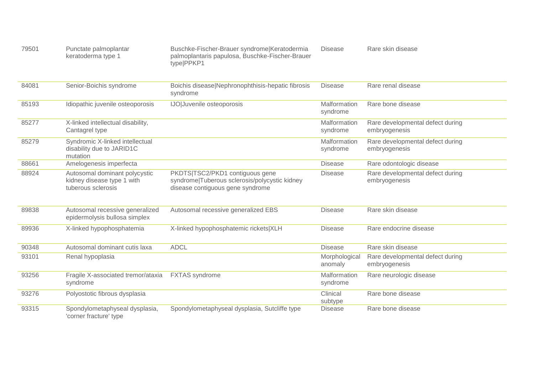| 79501 | Punctate palmoplantar<br>keratoderma type 1                                       | Buschke-Fischer-Brauer syndrome Keratodermia<br>palmoplantaris papulosa, Buschke-Fischer-Brauer<br>type PPKP1        | <b>Disease</b>           | Rare skin disease                                 |
|-------|-----------------------------------------------------------------------------------|----------------------------------------------------------------------------------------------------------------------|--------------------------|---------------------------------------------------|
| 84081 | Senior-Boichis syndrome                                                           | Boichis disease Nephronophthisis-hepatic fibrosis<br>syndrome                                                        | <b>Disease</b>           | Rare renal disease                                |
| 85193 | Idiopathic juvenile osteoporosis                                                  | IJO Juvenile osteoporosis                                                                                            | Malformation<br>syndrome | Rare bone disease                                 |
| 85277 | X-linked intellectual disability,<br>Cantagrel type                               |                                                                                                                      | Malformation<br>syndrome | Rare developmental defect during<br>embryogenesis |
| 85279 | Syndromic X-linked intellectual<br>disability due to JARID1C<br>mutation          |                                                                                                                      | Malformation<br>syndrome | Rare developmental defect during<br>embryogenesis |
| 88661 | Amelogenesis imperfecta                                                           |                                                                                                                      | <b>Disease</b>           | Rare odontologic disease                          |
| 88924 | Autosomal dominant polycystic<br>kidney disease type 1 with<br>tuberous sclerosis | PKDTS TSC2/PKD1 contiguous gene<br>syndrome Tuberous sclerosis/polycystic kidney<br>disease contiguous gene syndrome | <b>Disease</b>           | Rare developmental defect during<br>embryogenesis |
| 89838 | Autosomal recessive generalized<br>epidermolysis bullosa simplex                  | Autosomal recessive generalized EBS                                                                                  | <b>Disease</b>           | Rare skin disease                                 |
| 89936 | X-linked hypophosphatemia                                                         | X-linked hypophosphatemic rickets XLH                                                                                | <b>Disease</b>           | Rare endocrine disease                            |
| 90348 | Autosomal dominant cutis laxa                                                     | <b>ADCL</b>                                                                                                          | <b>Disease</b>           | Rare skin disease                                 |
| 93101 | Renal hypoplasia                                                                  |                                                                                                                      | Morphological<br>anomaly | Rare developmental defect during<br>embryogenesis |
| 93256 | Fragile X-associated tremor/ataxia<br>syndrome                                    | <b>FXTAS</b> syndrome                                                                                                | Malformation<br>syndrome | Rare neurologic disease                           |
| 93276 | Polyostotic fibrous dysplasia                                                     |                                                                                                                      | Clinical<br>subtype      | Rare bone disease                                 |
| 93315 | Spondylometaphyseal dysplasia,<br>'corner fracture' type                          | Spondylometaphyseal dysplasia, Sutcliffe type                                                                        | <b>Disease</b>           | Rare bone disease                                 |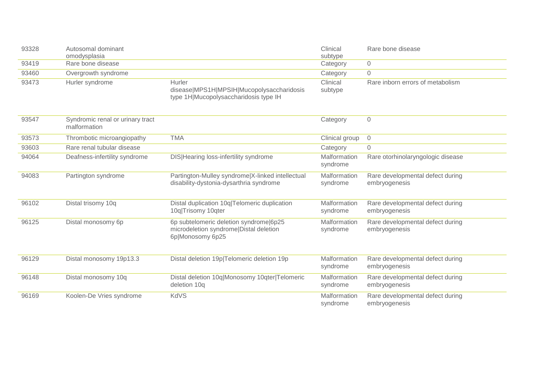| 93328 | Autosomal dominant<br>omodysplasia               |                                                                                                      | Clinical<br>subtype      | Rare bone disease                                 |
|-------|--------------------------------------------------|------------------------------------------------------------------------------------------------------|--------------------------|---------------------------------------------------|
| 93419 | Rare bone disease                                |                                                                                                      | Category                 | $\mathbf 0$                                       |
| 93460 | Overgrowth syndrome                              |                                                                                                      | Category                 | $\mathbf 0$                                       |
| 93473 | Hurler syndrome                                  | Hurler<br>disease MPS1H MPSIH Mucopolysaccharidosis<br>type 1H Mucopolysaccharidosis type IH         | Clinical<br>subtype      | Rare inborn errors of metabolism                  |
| 93547 | Syndromic renal or urinary tract<br>malformation |                                                                                                      | Category                 | $\mathbf 0$                                       |
| 93573 | Thrombotic microangiopathy                       | <b>TMA</b>                                                                                           | Clinical group           | $\mathbf 0$                                       |
| 93603 | Rare renal tubular disease                       |                                                                                                      | Category                 | $\Omega$                                          |
| 94064 | Deafness-infertility syndrome                    | DIS Hearing loss-infertility syndrome                                                                | Malformation<br>syndrome | Rare otorhinolaryngologic disease                 |
| 94083 | Partington syndrome                              | Partington-Mulley syndrome X-linked intellectual<br>disability-dystonia-dysarthria syndrome          | Malformation<br>syndrome | Rare developmental defect during<br>embryogenesis |
| 96102 | Distal trisomy 10q                               | Distal duplication 10q Telomeric duplication<br>10q Trisomy 10qter                                   | Malformation<br>syndrome | Rare developmental defect during<br>embryogenesis |
| 96125 | Distal monosomy 6p                               | 6p subtelomeric deletion syndrome 6p25<br>microdeletion syndrome Distal deletion<br>6p Monosomy 6p25 | Malformation<br>syndrome | Rare developmental defect during<br>embryogenesis |
| 96129 | Distal monosomy 19p13.3                          | Distal deletion 19p Telomeric deletion 19p                                                           | Malformation<br>syndrome | Rare developmental defect during<br>embryogenesis |
| 96148 | Distal monosomy 10q                              | Distal deletion 10q Monosomy 10qter Telomeric<br>deletion 10q                                        | Malformation<br>syndrome | Rare developmental defect during<br>embryogenesis |
| 96169 | Koolen-De Vries syndrome                         | KdVS                                                                                                 | Malformation<br>syndrome | Rare developmental defect during<br>embryogenesis |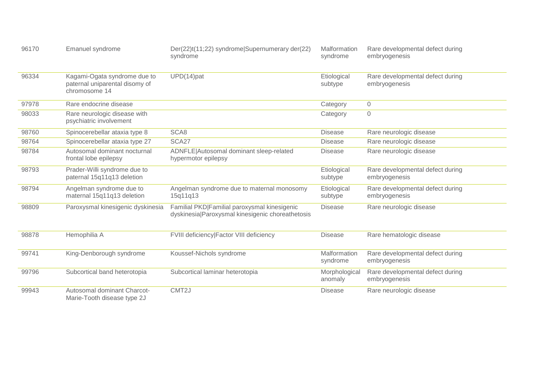| 96170 | Emanuel syndrome                                                                | Der(22)t(11;22) syndrome Supernumerary der(22)<br>syndrome                                       | Malformation<br>syndrome | Rare developmental defect during<br>embryogenesis |
|-------|---------------------------------------------------------------------------------|--------------------------------------------------------------------------------------------------|--------------------------|---------------------------------------------------|
| 96334 | Kagami-Ogata syndrome due to<br>paternal uniparental disomy of<br>chromosome 14 | $UPD(14)$ pat                                                                                    | Etiological<br>subtype   | Rare developmental defect during<br>embryogenesis |
| 97978 | Rare endocrine disease                                                          |                                                                                                  | Category                 | $\mathsf{O}\xspace$                               |
| 98033 | Rare neurologic disease with<br>psychiatric involvement                         |                                                                                                  | Category                 | $\mathsf{O}\xspace$                               |
| 98760 | Spinocerebellar ataxia type 8                                                   | SCA8                                                                                             | <b>Disease</b>           | Rare neurologic disease                           |
| 98764 | Spinocerebellar ataxia type 27                                                  | SCA27                                                                                            | <b>Disease</b>           | Rare neurologic disease                           |
| 98784 | Autosomal dominant nocturnal<br>frontal lobe epilepsy                           | ADNFLE Autosomal dominant sleep-related<br>hypermotor epilepsy                                   | <b>Disease</b>           | Rare neurologic disease                           |
| 98793 | Prader-Willi syndrome due to<br>paternal 15q11q13 deletion                      |                                                                                                  | Etiological<br>subtype   | Rare developmental defect during<br>embryogenesis |
| 98794 | Angelman syndrome due to<br>maternal 15q11q13 deletion                          | Angelman syndrome due to maternal monosomy<br>15q11q13                                           | Etiological<br>subtype   | Rare developmental defect during<br>embryogenesis |
| 98809 | Paroxysmal kinesigenic dyskinesia                                               | Familial PKD Familial paroxysmal kinesigenic<br>dyskinesia Paroxysmal kinesigenic choreathetosis | <b>Disease</b>           | Rare neurologic disease                           |
| 98878 | Hemophilia A                                                                    | FVIII deficiency Factor VIII deficiency                                                          | <b>Disease</b>           | Rare hematologic disease                          |
| 99741 | King-Denborough syndrome                                                        | Koussef-Nichols syndrome                                                                         | Malformation<br>syndrome | Rare developmental defect during<br>embryogenesis |
| 99796 | Subcortical band heterotopia                                                    | Subcortical laminar heterotopia                                                                  | Morphological<br>anomaly | Rare developmental defect during<br>embryogenesis |
| 99943 | Autosomal dominant Charcot-<br>Marie-Tooth disease type 2J                      | CMT <sub>2</sub> J                                                                               | <b>Disease</b>           | Rare neurologic disease                           |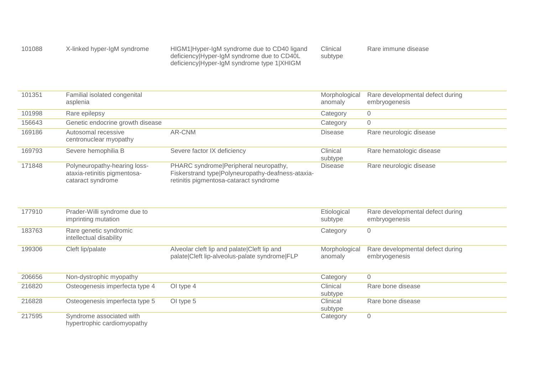| 101088 | X-linked hyper-IgM syndrome | HIGM1   Hyper-IgM syndrome due to CD40 ligand | Clinical | Rare immune disease |
|--------|-----------------------------|-----------------------------------------------|----------|---------------------|
|        |                             | deficiency Hyper-IgM syndrome due to CD40L    | subtype  |                     |
|        |                             | deficiency Hyper-IgM syndrome type 1 XHIGM    |          |                     |

| 101351 | Familial isolated congenital<br>asplenia                                          |                                                                                                                                        | Morphological<br>anomaly | Rare developmental defect during<br>embryogenesis |
|--------|-----------------------------------------------------------------------------------|----------------------------------------------------------------------------------------------------------------------------------------|--------------------------|---------------------------------------------------|
| 101998 | Rare epilepsy                                                                     |                                                                                                                                        | Category                 | 0                                                 |
| 156643 | Genetic endocrine growth disease                                                  |                                                                                                                                        | Category                 | 0                                                 |
| 169186 | Autosomal recessive<br>centronuclear myopathy                                     | AR-CNM                                                                                                                                 | <b>Disease</b>           | Rare neurologic disease                           |
| 169793 | Severe hemophilia B                                                               | Severe factor IX deficiency                                                                                                            | Clinical<br>subtype      | Rare hematologic disease                          |
| 171848 | Polyneuropathy-hearing loss-<br>ataxia-retinitis pigmentosa-<br>cataract syndrome | PHARC syndrome   Peripheral neuropathy,<br>Fiskerstrand type Polyneuropathy-deafness-ataxia-<br>retinitis pigmentosa-cataract syndrome | <b>Disease</b>           | Rare neurologic disease                           |

| 177910 | Prader-Willi syndrome due to<br>imprinting mutation     |                                                                                              | Etiological<br>subtype   | Rare developmental defect during<br>embryogenesis |
|--------|---------------------------------------------------------|----------------------------------------------------------------------------------------------|--------------------------|---------------------------------------------------|
| 183763 | Rare genetic syndromic<br>intellectual disability       |                                                                                              | Category                 | 0                                                 |
| 199306 | Cleft lip/palate                                        | Alveolar cleft lip and palate Cleft lip and<br>palate Cleft lip-alveolus-palate syndrome FLP | Morphological<br>anomaly | Rare developmental defect during<br>embryogenesis |
| 206656 | Non-dystrophic myopathy                                 |                                                                                              | Category                 | $\mathbf 0$                                       |
| 216820 | Osteogenesis imperfecta type 4                          | OI type 4                                                                                    | Clinical<br>subtype      | Rare bone disease                                 |
| 216828 | Osteogenesis imperfecta type 5                          | OI type 5                                                                                    | Clinical<br>subtype      | Rare bone disease                                 |
| 217595 | Syndrome associated with<br>hypertrophic cardiomyopathy |                                                                                              | Category                 | $\mathbf 0$                                       |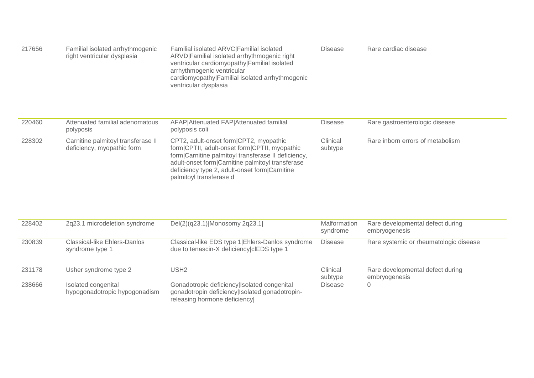| 217656 | Familial isolated arrhythmogenic<br>right ventricular dysplasia | Familial isolated ARVC Familial isolated<br>ARVD Familial isolated arrhythmogenic right<br>ventricular cardiomyopathy Familial isolated<br>arrhythmogenic ventricular<br>cardiomyopathy Familial isolated arrhythmogenic<br>ventricular dysplasia | <b>Disease</b> | Rare cardiac disease |
|--------|-----------------------------------------------------------------|---------------------------------------------------------------------------------------------------------------------------------------------------------------------------------------------------------------------------------------------------|----------------|----------------------|
|--------|-----------------------------------------------------------------|---------------------------------------------------------------------------------------------------------------------------------------------------------------------------------------------------------------------------------------------------|----------------|----------------------|

| 220460 | Attenuated familial adenomatous<br>polyposis                     | AFAP Attenuated FAP Attenuated familial<br>polyposis coli                                                                                                                                                                                                                      | Disease             | Rare gastroenterologic disease   |
|--------|------------------------------------------------------------------|--------------------------------------------------------------------------------------------------------------------------------------------------------------------------------------------------------------------------------------------------------------------------------|---------------------|----------------------------------|
| 228302 | Carnitine palmitoyl transferase II<br>deficiency, myopathic form | CPT2, adult-onset form CPT2, myopathic<br>form CPTII, adult-onset form CPTII, myopathic<br>form Carnitine palmitoyl transferase II deficiency,<br>adult-onset form Carnitine palmitoyl transferase<br>deficiency type 2, adult-onset form Carnitine<br>palmitoyl transferase d | Clinical<br>subtype | Rare inborn errors of metabolism |

| 228402 | 2q23.1 microdeletion syndrome                          | Del(2)(q23.1) Monosomy 2q23.1                                                                                                 | <b>Malformation</b><br>syndrome | Rare developmental defect during<br>embryogenesis |
|--------|--------------------------------------------------------|-------------------------------------------------------------------------------------------------------------------------------|---------------------------------|---------------------------------------------------|
| 230839 | <b>Classical-like Ehlers-Danlos</b><br>syndrome type 1 | Classical-like EDS type 1 Ehlers-Danlos syndrome<br>due to tenascin-X deficiency clEDS type 1                                 | Disease                         | Rare systemic or rheumatologic disease            |
| 231178 | Usher syndrome type 2                                  | USH <sub>2</sub>                                                                                                              | Clinical<br>subtype             | Rare developmental defect during<br>embryogenesis |
| 238666 | Isolated congenital<br>hypogonadotropic hypogonadism   | Gonadotropic deficiency Isolated congenital<br>gonadotropin deficiency Isolated gonadotropin-<br>releasing hormone deficiency | Disease                         | 0                                                 |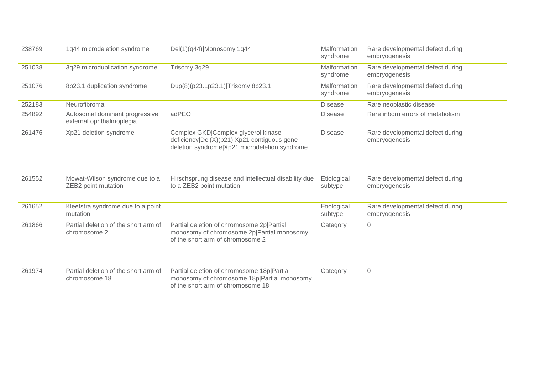| 238769 | 1q44 microdeletion syndrome                                | Del(1)(q44) Monosomy 1q44                                                                                                           | Malformation<br>syndrome | Rare developmental defect during<br>embryogenesis |
|--------|------------------------------------------------------------|-------------------------------------------------------------------------------------------------------------------------------------|--------------------------|---------------------------------------------------|
| 251038 | 3q29 microduplication syndrome                             | Trisomy 3q29                                                                                                                        | Malformation<br>syndrome | Rare developmental defect during<br>embryogenesis |
| 251076 | 8p23.1 duplication syndrome                                | Dup(8)(p23.1p23.1) Trisomy 8p23.1                                                                                                   | Malformation<br>syndrome | Rare developmental defect during<br>embryogenesis |
| 252183 | Neurofibroma                                               |                                                                                                                                     | <b>Disease</b>           | Rare neoplastic disease                           |
| 254892 | Autosomal dominant progressive<br>external ophthalmoplegia | adPEO                                                                                                                               | <b>Disease</b>           | Rare inborn errors of metabolism                  |
| 261476 | Xp21 deletion syndrome                                     | Complex GKD Complex glycerol kinase<br>deficiency Del(X)(p21) Xp21 contiguous gene<br>deletion syndrome Xp21 microdeletion syndrome | <b>Disease</b>           | Rare developmental defect during<br>embryogenesis |
| 261552 | Mowat-Wilson syndrome due to a<br>ZEB2 point mutation      | Hirschsprung disease and intellectual disability due<br>to a ZEB2 point mutation                                                    | Etiological<br>subtype   | Rare developmental defect during<br>embryogenesis |
| 261652 | Kleefstra syndrome due to a point<br>mutation              |                                                                                                                                     | Etiological<br>subtype   | Rare developmental defect during<br>embryogenesis |
| 261866 | Partial deletion of the short arm of<br>chromosome 2       | Partial deletion of chromosome 2p Partial<br>monosomy of chromosome 2p Partial monosomy<br>of the short arm of chromosome 2         | Category                 | 0                                                 |
| 261974 | Partial deletion of the short arm of<br>chromosome 18      | Partial deletion of chromosome 18p Partial<br>monosomy of chromosome 18p Partial monosomy<br>of the short arm of chromosome 18      | Category                 | $\sqrt{0}$                                        |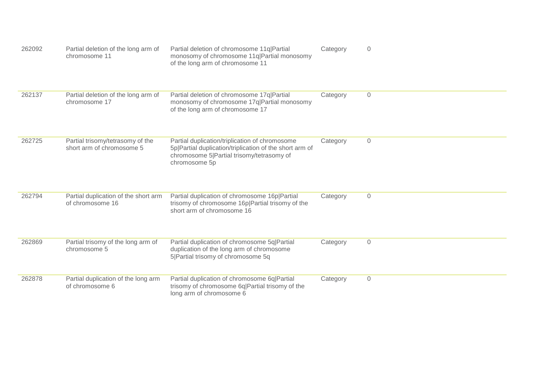| 262092 | Partial deletion of the long arm of<br>chromosome 11          | Partial deletion of chromosome 11q Partial<br>monosomy of chromosome 11q Partial monosomy<br>of the long arm of chromosome 11                                           | Category | $\overline{0}$      |
|--------|---------------------------------------------------------------|-------------------------------------------------------------------------------------------------------------------------------------------------------------------------|----------|---------------------|
| 262137 | Partial deletion of the long arm of<br>chromosome 17          | Partial deletion of chromosome 17q Partial<br>monosomy of chromosome 17q Partial monosomy<br>of the long arm of chromosome 17                                           | Category | $\overline{0}$      |
| 262725 | Partial trisomy/tetrasomy of the<br>short arm of chromosome 5 | Partial duplication/triplication of chromosome<br>5p Partial duplication/triplication of the short arm of<br>chromosome 5 Partial trisomy/tetrasomy of<br>chromosome 5p | Category | $\mathsf{O}\xspace$ |
| 262794 | Partial duplication of the short arm<br>of chromosome 16      | Partial duplication of chromosome 16p Partial<br>trisomy of chromosome 16p Partial trisomy of the<br>short arm of chromosome 16                                         | Category | $\overline{0}$      |
| 262869 | Partial trisomy of the long arm of<br>chromosome 5            | Partial duplication of chromosome 5q Partial<br>duplication of the long arm of chromosome<br>5 Partial trisomy of chromosome 5q                                         | Category | $\mathsf{O}\xspace$ |
| 262878 | Partial duplication of the long arm<br>of chromosome 6        | Partial duplication of chromosome 6q Partial<br>trisomy of chromosome 6q Partial trisomy of the<br>long arm of chromosome 6                                             | Category | $\mathbf 0$         |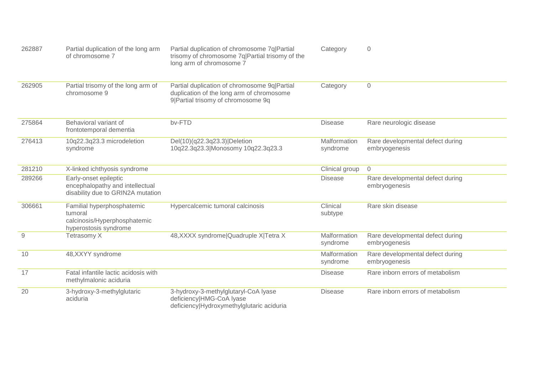| 262887         | Partial duplication of the long arm<br>of chromosome 7                                         | Partial duplication of chromosome 7q Partial<br>trisomy of chromosome 7q Partial trisomy of the<br>long arm of chromosome 7      | Category                 | $\overline{0}$                                    |
|----------------|------------------------------------------------------------------------------------------------|----------------------------------------------------------------------------------------------------------------------------------|--------------------------|---------------------------------------------------|
| 262905         | Partial trisomy of the long arm of<br>chromosome 9                                             | Partial duplication of chromosome 9q Partial<br>duplication of the long arm of chromosome<br>9  Partial trisomy of chromosome 9q | Category                 | $\Omega$                                          |
| 275864         | Behavioral variant of<br>frontotemporal dementia                                               | bv-FTD                                                                                                                           | <b>Disease</b>           | Rare neurologic disease                           |
| 276413         | 10q22.3q23.3 microdeletion<br>syndrome                                                         | Del(10)(q22.3q23.3) Deletion<br>10q22.3q23.3 Monosomy 10q22.3q23.3                                                               | Malformation<br>syndrome | Rare developmental defect during<br>embryogenesis |
| 281210         | X-linked ichthyosis syndrome                                                                   |                                                                                                                                  | Clinical group           | $\overline{0}$                                    |
| 289266         | Early-onset epileptic<br>encephalopathy and intellectual<br>disability due to GRIN2A mutation  |                                                                                                                                  | <b>Disease</b>           | Rare developmental defect during<br>embryogenesis |
| 306661         | Familial hyperphosphatemic<br>tumoral<br>calcinosis/Hyperphosphatemic<br>hyperostosis syndrome | Hypercalcemic tumoral calcinosis                                                                                                 | Clinical<br>subtype      | Rare skin disease                                 |
| $\overline{9}$ | Tetrasomy X                                                                                    | 48, XXXX syndrome   Quadruple X   Tetra X                                                                                        | Malformation<br>syndrome | Rare developmental defect during<br>embryogenesis |
| 10             | 48, XXYY syndrome                                                                              |                                                                                                                                  | Malformation<br>syndrome | Rare developmental defect during<br>embryogenesis |
| 17             | Fatal infantile lactic acidosis with<br>methylmalonic aciduria                                 |                                                                                                                                  | <b>Disease</b>           | Rare inborn errors of metabolism                  |
| 20             | 3-hydroxy-3-methylglutaric<br>aciduria                                                         | 3-hydroxy-3-methylglutaryl-CoA lyase<br>deficiency HMG-CoA lyase<br>deficiency Hydroxymethylglutaric aciduria                    | <b>Disease</b>           | Rare inborn errors of metabolism                  |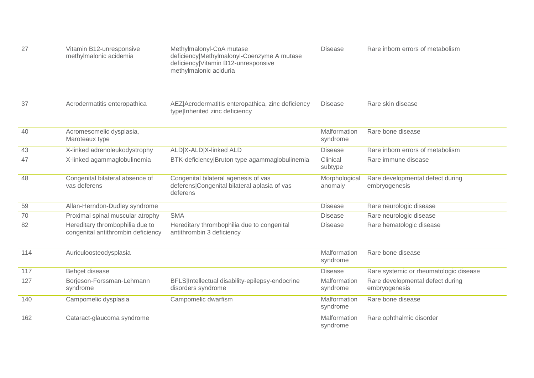| 27  | Vitamin B12-unresponsive<br>methylmalonic acidemia                    | Methylmalonyl-CoA mutase<br>deficiency Methylmalonyl-Coenzyme A mutase<br>deficiency Vitamin B12-unresponsive<br>methylmalonic aciduria | <b>Disease</b>           | Rare inborn errors of metabolism                  |
|-----|-----------------------------------------------------------------------|-----------------------------------------------------------------------------------------------------------------------------------------|--------------------------|---------------------------------------------------|
| 37  | Acrodermatitis enteropathica                                          | AEZ Acrodermatitis enteropathica, zinc deficiency<br>type Inherited zinc deficiency                                                     | <b>Disease</b>           | Rare skin disease                                 |
| 40  | Acromesomelic dysplasia,<br>Maroteaux type                            |                                                                                                                                         | Malformation<br>syndrome | Rare bone disease                                 |
| 43  | X-linked adrenoleukodystrophy                                         | ALD X-ALD X-linked ALD                                                                                                                  | <b>Disease</b>           | Rare inborn errors of metabolism                  |
| 47  | X-linked agammaglobulinemia                                           | BTK-deficiency Bruton type agammaglobulinemia                                                                                           | Clinical<br>subtype      | Rare immune disease                               |
| 48  | Congenital bilateral absence of<br>vas deferens                       | Congenital bilateral agenesis of vas<br>deferens Congenital bilateral aplasia of vas<br>deferens                                        | Morphological<br>anomaly | Rare developmental defect during<br>embryogenesis |
| 59  | Allan-Herndon-Dudley syndrome                                         |                                                                                                                                         | <b>Disease</b>           | Rare neurologic disease                           |
| 70  | Proximal spinal muscular atrophy                                      | <b>SMA</b>                                                                                                                              | <b>Disease</b>           | Rare neurologic disease                           |
| 82  | Hereditary thrombophilia due to<br>congenital antithrombin deficiency | Hereditary thrombophilia due to congenital<br>antithrombin 3 deficiency                                                                 | <b>Disease</b>           | Rare hematologic disease                          |
| 114 | Auriculoosteodysplasia                                                |                                                                                                                                         | Malformation<br>syndrome | Rare bone disease                                 |
| 117 | Behçet disease                                                        |                                                                                                                                         | <b>Disease</b>           | Rare systemic or rheumatologic disease            |
| 127 | Borjeson-Forssman-Lehmann<br>syndrome                                 | BFLS Intellectual disability-epilepsy-endocrine<br>disorders syndrome                                                                   | Malformation<br>syndrome | Rare developmental defect during<br>embryogenesis |
| 140 | Campomelic dysplasia                                                  | Campomelic dwarfism                                                                                                                     | Malformation<br>syndrome | Rare bone disease                                 |
| 162 | Cataract-glaucoma syndrome                                            |                                                                                                                                         | Malformation<br>syndrome | Rare ophthalmic disorder                          |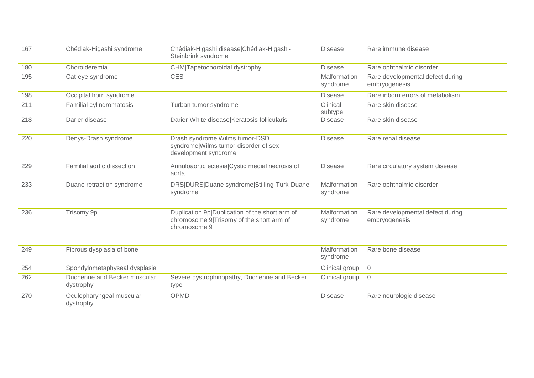| 167 | Chédiak-Higashi syndrome                  | Chédiak-Higashi disease Chédiak-Higashi-<br>Steinbrink syndrome                                            | <b>Disease</b>           | Rare immune disease                               |
|-----|-------------------------------------------|------------------------------------------------------------------------------------------------------------|--------------------------|---------------------------------------------------|
| 180 | Choroideremia                             | CHM Tapetochoroidal dystrophy                                                                              | <b>Disease</b>           | Rare ophthalmic disorder                          |
| 195 | Cat-eye syndrome                          | <b>CES</b>                                                                                                 | Malformation<br>syndrome | Rare developmental defect during<br>embryogenesis |
| 198 | Occipital horn syndrome                   |                                                                                                            | <b>Disease</b>           | Rare inborn errors of metabolism                  |
| 211 | Familial cylindromatosis                  | Turban tumor syndrome                                                                                      | Clinical<br>subtype      | Rare skin disease                                 |
| 218 | Darier disease                            | Darier-White disease Keratosis follicularis                                                                | <b>Disease</b>           | Rare skin disease                                 |
| 220 | Denys-Drash syndrome                      | Drash syndrome Wilms tumor-DSD<br>syndrome Wilms tumor-disorder of sex<br>development syndrome             | <b>Disease</b>           | Rare renal disease                                |
| 229 | Familial aortic dissection                | Annuloaortic ectasia Cystic medial necrosis of<br>aorta                                                    | <b>Disease</b>           | Rare circulatory system disease                   |
| 233 | Duane retraction syndrome                 | DRS DURS Duane syndrome Stilling-Turk-Duane<br>syndrome                                                    | Malformation<br>syndrome | Rare ophthalmic disorder                          |
| 236 | Trisomy 9p                                | Duplication 9p Duplication of the short arm of<br>chromosome 9 Trisomy of the short arm of<br>chromosome 9 | Malformation<br>syndrome | Rare developmental defect during<br>embryogenesis |
| 249 | Fibrous dysplasia of bone                 |                                                                                                            | Malformation<br>syndrome | Rare bone disease                                 |
| 254 | Spondylometaphyseal dysplasia             |                                                                                                            | Clinical group           | $\overline{0}$                                    |
| 262 | Duchenne and Becker muscular<br>dystrophy | Severe dystrophinopathy, Duchenne and Becker<br>type                                                       | Clinical group           | $\overline{0}$                                    |
| 270 | Oculopharyngeal muscular<br>dystrophy     | <b>OPMD</b>                                                                                                | <b>Disease</b>           | Rare neurologic disease                           |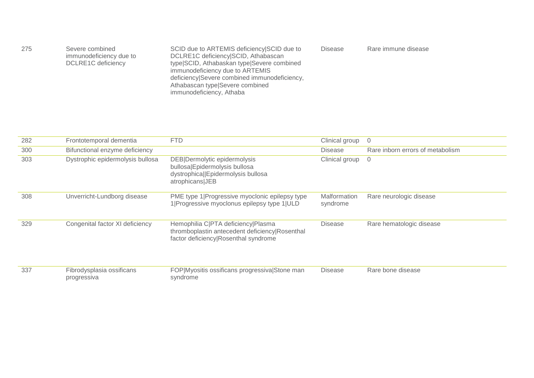| 275<br>Severe combined<br>immunodeficiency due to<br>DCLRE1C deficiency | SCID due to ARTEMIS deficiency SCID due to<br>DCLRE1C deficiency SCID, Athabascan<br>type SCID, Athabaskan type Severe combined<br>immunodeficiency due to ARTEMIS<br>deficiency Severe combined immunodeficiency,<br>Athabascan type Severe combined<br>immunodeficiency, Athaba | <b>Disease</b> | Rare immune disease |  |
|-------------------------------------------------------------------------|-----------------------------------------------------------------------------------------------------------------------------------------------------------------------------------------------------------------------------------------------------------------------------------|----------------|---------------------|--|
|-------------------------------------------------------------------------|-----------------------------------------------------------------------------------------------------------------------------------------------------------------------------------------------------------------------------------------------------------------------------------|----------------|---------------------|--|

| 282 | Frontotemporal dementia                  | <b>FTD</b>                                                                                                                   | Clinical group           | - 0                              |
|-----|------------------------------------------|------------------------------------------------------------------------------------------------------------------------------|--------------------------|----------------------------------|
| 300 | Bifunctional enzyme deficiency           |                                                                                                                              | <b>Disease</b>           | Rare inborn errors of metabolism |
| 303 | Dystrophic epidermolysis bullosa         | DEB Dermolytic epidermolysis<br>bullosa Epidermolysis bullosa<br>dystrophica  Epidermolysis bullosa<br>atrophicans JEB       | Clinical group 0         |                                  |
| 308 | Unverricht-Lundborg disease              | PME type 1 Progressive myoclonic epilepsy type<br>1 Progressive myoclonus epilepsy type 1 ULD                                | Malformation<br>syndrome | Rare neurologic disease          |
| 329 | Congenital factor XI deficiency          | Hemophilia C PTA deficiency Plasma<br>thromboplastin antecedent deficiency Rosenthal<br>factor deficiency Rosenthal syndrome | <b>Disease</b>           | Rare hematologic disease         |
| 337 | Fibrodysplasia ossificans<br>progressiva | FOP Myositis ossificans progressiva Stone man<br>syndrome                                                                    | <b>Disease</b>           | Rare bone disease                |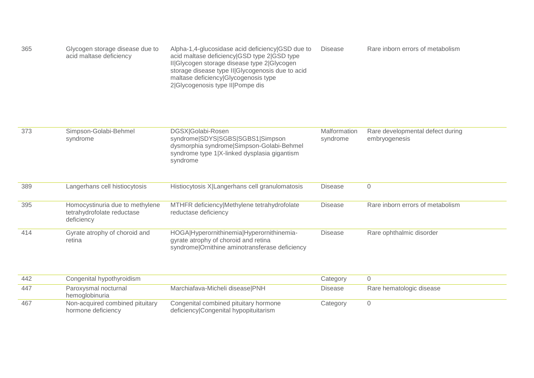| 365 | Glycogen storage disease due to<br>acid maltase deficiency                  | Alpha-1,4-glucosidase acid deficiency GSD due to<br>acid maltase deficiency GSD type 2 GSD type<br>II Glycogen storage disease type 2 Glycogen<br>storage disease type II GIycogenosis due to acid<br>maltase deficiency Glycogenosis type<br>2 Glycogenosis type II Pompe dis | <b>Disease</b>           | Rare inborn errors of metabolism                  |
|-----|-----------------------------------------------------------------------------|--------------------------------------------------------------------------------------------------------------------------------------------------------------------------------------------------------------------------------------------------------------------------------|--------------------------|---------------------------------------------------|
| 373 | Simpson-Golabi-Behmel<br>syndrome                                           | DGSX Golabi-Rosen<br>syndrome SDYS SGBS SGBS1 Simpson<br>dysmorphia syndrome Simpson-Golabi-Behmel<br>syndrome type 1 X-linked dysplasia gigantism<br>syndrome                                                                                                                 | Malformation<br>syndrome | Rare developmental defect during<br>embryogenesis |
| 389 | Langerhans cell histiocytosis                                               | Histiocytosis X Langerhans cell granulomatosis                                                                                                                                                                                                                                 | <b>Disease</b>           | $\overline{0}$                                    |
| 395 | Homocystinuria due to methylene<br>tetrahydrofolate reductase<br>deficiency | MTHFR deficiency Methylene tetrahydrofolate<br>reductase deficiency                                                                                                                                                                                                            | <b>Disease</b>           | Rare inborn errors of metabolism                  |
| 414 | Gyrate atrophy of choroid and<br>retina                                     | HOGA Hyperornithinemia Hyperornithinemia-<br>gyrate atrophy of choroid and retina<br>syndrome Ornithine aminotransferase deficiency                                                                                                                                            | <b>Disease</b>           | Rare ophthalmic disorder                          |

| -442 | Congenital hypothyroidism                             |                                                                                | Category |                          |
|------|-------------------------------------------------------|--------------------------------------------------------------------------------|----------|--------------------------|
| -447 | Paroxysmal nocturnal<br>hemoglobinuria                | Marchiafava-Micheli disease PNH                                                | Disease  | Rare hematologic disease |
| 467  | Non-acquired combined pituitary<br>hormone deficiency | Congenital combined pituitary hormone<br>deficiency Congenital hypopituitarism | Category |                          |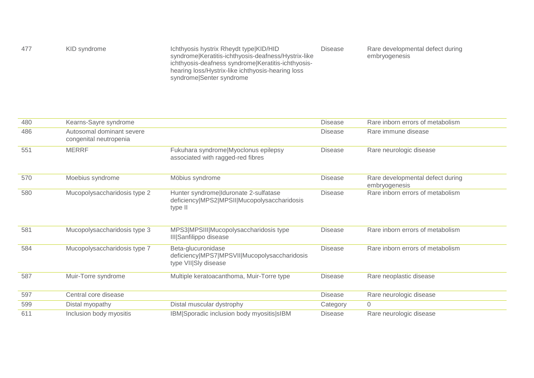| 477 | KID syndrome | Ichthyosis hystrix Rheydt type KID/HID              | <b>Disease</b> | Rare developmental defect during |
|-----|--------------|-----------------------------------------------------|----------------|----------------------------------|
|     |              | syndrome Keratitis-ichthyosis-deafness/Hystrix-like |                | embryogenesis                    |
|     |              | ichthyosis-deafness syndrome Keratitis-ichthyosis-  |                |                                  |
|     |              | hearing loss/Hystrix-like ichthyosis-hearing loss   |                |                                  |
|     |              | syndrome Senter syndrome                            |                |                                  |

| 480 | Kearns-Sayre syndrome                               |                                                                                                 | <b>Disease</b> | Rare inborn errors of metabolism                  |
|-----|-----------------------------------------------------|-------------------------------------------------------------------------------------------------|----------------|---------------------------------------------------|
| 486 | Autosomal dominant severe<br>congenital neutropenia |                                                                                                 | <b>Disease</b> | Rare immune disease                               |
| 551 | <b>MERRF</b>                                        | Fukuhara syndrome Myoclonus epilepsy<br>associated with ragged-red fibres                       | <b>Disease</b> | Rare neurologic disease                           |
| 570 | Moebius syndrome                                    | Möbius syndrome                                                                                 | <b>Disease</b> | Rare developmental defect during<br>embryogenesis |
| 580 | Mucopolysaccharidosis type 2                        | Hunter syndrome Iduronate 2-sulfatase<br>deficiency MPS2 MPSII Mucopolysaccharidosis<br>type II | <b>Disease</b> | Rare inborn errors of metabolism                  |
| 581 | Mucopolysaccharidosis type 3                        | MPS3 MPSIII Mucopolysaccharidosis type<br>III Sanfilippo disease                                | <b>Disease</b> | Rare inborn errors of metabolism                  |
| 584 | Mucopolysaccharidosis type 7                        | Beta-glucuronidase<br>deficiency MPS7 MPSVII Mucopolysaccharidosis<br>type VII SIy disease      | <b>Disease</b> | Rare inborn errors of metabolism                  |
| 587 | Muir-Torre syndrome                                 | Multiple keratoacanthoma, Muir-Torre type                                                       | <b>Disease</b> | Rare neoplastic disease                           |
| 597 | Central core disease                                |                                                                                                 | <b>Disease</b> | Rare neurologic disease                           |
| 599 | Distal myopathy                                     | Distal muscular dystrophy                                                                       | Category       | 0                                                 |
| 611 | Inclusion body myositis                             | IBM Sporadic inclusion body myositis sIBM                                                       | <b>Disease</b> | Rare neurologic disease                           |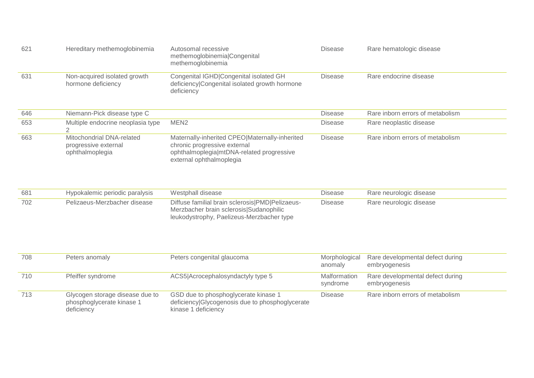| 621 | Hereditary methemoglobinemia                       | Autosomal recessive<br>methemoglobinemialCongenital<br>methemoglobinemia                              | <b>Disease</b> | Rare hematologic disease         |
|-----|----------------------------------------------------|-------------------------------------------------------------------------------------------------------|----------------|----------------------------------|
| 631 | Non-acquired isolated growth<br>hormone deficiency | Congenital IGHD Congenital isolated GH<br>deficiency Congenital isolated growth hormone<br>deficiency | <b>Disease</b> | Rare endocrine disease           |
| 646 | Niemann-Pick disease type C                        |                                                                                                       | <b>Disease</b> | Rare inborn errors of metabolism |
| 653 | Multiple endocrine neoplasia type                  | MEN <sub>2</sub>                                                                                      | <b>Disease</b> | Rare neoplastic disease          |
| 663 | Mitochondrial DNA-related<br>progressive external  | Maternally-inherited CPEO Maternally-inherited<br>chronic progressive external                        | <b>Disease</b> | Rare inborn errors of metabolism |

| 681 | Hypokalemic periodic paralysis | Westphall disease                                                                                                                          | Disease        | Rare neurologic disease |
|-----|--------------------------------|--------------------------------------------------------------------------------------------------------------------------------------------|----------------|-------------------------|
| 702 | Pelizaeus-Merzbacher disease   | Diffuse familial brain sclerosis (PMD   Pelizaeus-<br>Merzbacher brain sclerosis Sudanophilic<br>leukodystrophy, Paelizeus-Merzbacher type | <b>Disease</b> | Rare neurologic disease |

| 708 | Peters anomaly                                                             | Peters congenital glaucoma                                                                                     | Morphological<br>anomaly | Rare developmental defect during<br>embryogenesis |
|-----|----------------------------------------------------------------------------|----------------------------------------------------------------------------------------------------------------|--------------------------|---------------------------------------------------|
| 710 | Pfeiffer syndrome                                                          | ACS5 Acrocephalosyndactyly type 5                                                                              | Malformation<br>syndrome | Rare developmental defect during<br>embryogenesis |
| 713 | Glycogen storage disease due to<br>phosphoglycerate kinase 1<br>deficiency | GSD due to phosphoglycerate kinase 1<br>deficiency Glycogenosis due to phosphoglycerate<br>kinase 1 deficiency | Disease                  | Rare inborn errors of metabolism                  |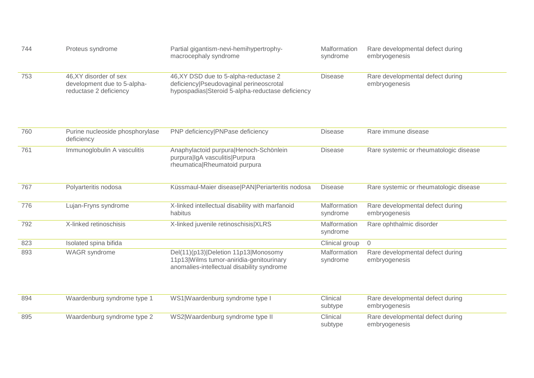| 744 | Proteus syndrome                                                                | Partial gigantism-nevi-hemihypertrophy-<br>macrocephaly syndrome                                                                     | Malformation<br>syndrome | Rare developmental defect during<br>embryogenesis |
|-----|---------------------------------------------------------------------------------|--------------------------------------------------------------------------------------------------------------------------------------|--------------------------|---------------------------------------------------|
| 753 | 46, XY disorder of sex<br>development due to 5-alpha-<br>reductase 2 deficiency | 46, XY DSD due to 5-alpha-reductase 2<br>deficiency Pseudovaginal perineoscrotal<br>hypospadias Steroid 5-alpha-reductase deficiency | <b>Disease</b>           | Rare developmental defect during<br>embryogenesis |
| 760 | Purine nucleoside phosphorylase<br>deficiency                                   | PNP deficiency PNPase deficiency                                                                                                     | <b>Disease</b>           | Rare immune disease                               |
| 761 | Immunoglobulin A vasculitis                                                     | Anaphylactoid purpura Henoch-Schönlein<br>purpura IgA vasculitis Purpura<br>rheumatica Rheumatoid purpura                            | <b>Disease</b>           | Rare systemic or rheumatologic disease            |
| 767 | Polyarteritis nodosa                                                            | Küssmaul-Maier disease   PAN   Periarteritis nodosa                                                                                  | <b>Disease</b>           | Rare systemic or rheumatologic disease            |
| 776 | Lujan-Fryns syndrome                                                            | X-linked intellectual disability with marfanoid<br>habitus                                                                           | Malformation<br>syndrome | Rare developmental defect during<br>embryogenesis |
| 792 | X-linked retinoschisis                                                          | X-linked juvenile retinoschisis XLRS                                                                                                 | Malformation<br>syndrome | Rare ophthalmic disorder                          |
| 823 | Isolated spina bifida                                                           |                                                                                                                                      | Clinical group           | $\overline{0}$                                    |
| 893 | <b>WAGR</b> syndrome                                                            | Del(11)(p13) Deletion 11p13 Monosomy<br>11p13 Wilms tumor-aniridia-genitourinary<br>anomalies-intellectual disability syndrome       | Malformation<br>syndrome | Rare developmental defect during<br>embryogenesis |
| 894 | Waardenburg syndrome type 1                                                     | WS1 Waardenburg syndrome type I                                                                                                      | Clinical<br>subtype      | Rare developmental defect during<br>embryogenesis |
| 895 | Waardenburg syndrome type 2                                                     | WS2 Waardenburg syndrome type II                                                                                                     | Clinical<br>subtype      | Rare developmental defect during<br>embryogenesis |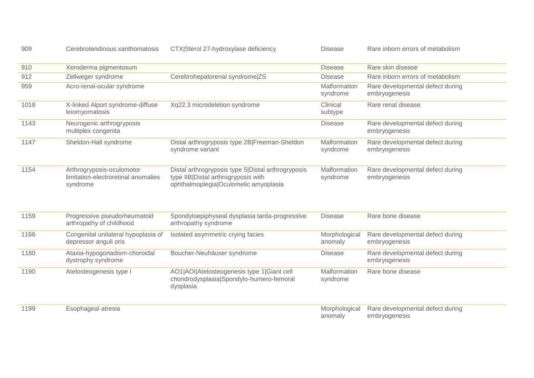| 909  | Cerebrotendinous xanthomatosis                                               | CTX Sterol 27-hydroxylase deficiency                                                                                               | <b>Disease</b>           | Rare inborn errors of metabolism                  |
|------|------------------------------------------------------------------------------|------------------------------------------------------------------------------------------------------------------------------------|--------------------------|---------------------------------------------------|
| 910  | Xeroderma pigmentosum                                                        |                                                                                                                                    | <b>Disease</b>           | Rare skin disease                                 |
| 912  | Zellweger syndrome                                                           | Cerebrohepatorenal syndrome ZS                                                                                                     | <b>Disease</b>           | Rare inborn errors of metabolism                  |
| 959  | Acro-renal-ocular syndrome                                                   |                                                                                                                                    | Malformation<br>syndrome | Rare developmental defect during<br>embryogenesis |
| 1018 | X-linked Alport syndrome-diffuse<br>leiomyomatosis                           | Xq22.3 microdeletion syndrome                                                                                                      | Clinical<br>subtype      | Rare renal disease                                |
| 1143 | Neurogenic arthrogryposis<br>multiplex congenita                             |                                                                                                                                    | <b>Disease</b>           | Rare developmental defect during<br>embryogenesis |
| 1147 | Sheldon-Hall syndrome                                                        | Distal arthrogryposis type 2B Freeman-Sheldon<br>syndrome variant                                                                  | Malformation<br>syndrome | Rare developmental defect during<br>embryogenesis |
| 1154 | Arthrogryposis-oculomotor<br>limitation-electroretinal anomalies<br>syndrome | Distal arthrogryposis type 5 Distal arthrogryposis<br>type IIB Distal arthrogryposis with<br>ophthalmoplegia Oculomelic amyoplasia | Malformation<br>syndrome | Rare developmental defect during<br>embryogenesis |
| 1159 | Progressive pseudorheumatoid<br>arthropathy of childhood                     | Spondyloepiphyseal dysplasia tarda-progressive<br>arthropathy syndrome                                                             | <b>Disease</b>           | Rare bone disease                                 |
| 1166 | Congenital unilateral hypoplasia of<br>depressor anguli oris                 | Isolated asymmetric crying facies                                                                                                  | Morphological<br>anomaly | Rare developmental defect during<br>embryogenesis |
| 1180 | Ataxia-hypogonadism-choroidal<br>dystrophy syndrome                          | Boucher-Neuhäuser syndrome                                                                                                         | <b>Disease</b>           | Rare developmental defect during<br>embryogenesis |
| 1190 | Atelosteogenesis type I                                                      | AO1 AOI Atelosteogenesis type 1 Giant cell<br>chondrodysplasia Spondylo-humero-femoral<br>dysplasia                                | Malformation<br>syndrome | Rare bone disease                                 |
| 1199 | Esophageal atresia                                                           |                                                                                                                                    | Morphological<br>anomaly | Rare developmental defect during<br>embryogenesis |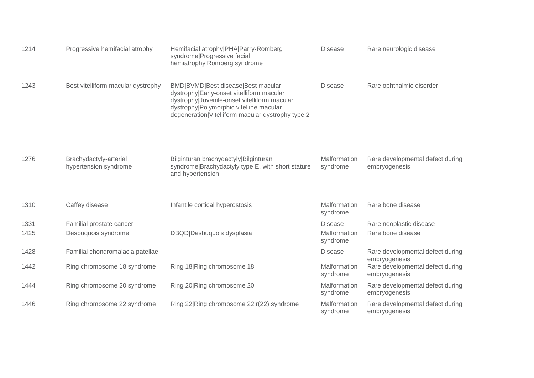| 1214 | Progressive hemifacial atrophy                  | Hemifacial atrophy PHA Parry-Romberg<br>syndrome Progressive facial<br>hemiatrophy Romberg syndrome                                                                                                                               | <b>Disease</b>                  | Rare neurologic disease                           |
|------|-------------------------------------------------|-----------------------------------------------------------------------------------------------------------------------------------------------------------------------------------------------------------------------------------|---------------------------------|---------------------------------------------------|
| 1243 | Best vitelliform macular dystrophy              | BMD BVMD Best disease Best macular<br>dystrophy Early-onset vitelliform macular<br>dystrophy Juvenile-onset vitelliform macular<br>dystrophy Polymorphic vitelline macular<br>degeneration   Vitelliform macular dystrophy type 2 | <b>Disease</b>                  | Rare ophthalmic disorder                          |
| 1276 | Brachydactyly-arterial<br>hypertension syndrome | Bilginturan brachydactyly Bilginturan<br>syndrome Brachydactyly type E, with short stature<br>and hypertension                                                                                                                    | Malformation<br>syndrome        | Rare developmental defect during<br>embryogenesis |
| 1310 | Caffey disease                                  | Infantile cortical hyperostosis                                                                                                                                                                                                   | <b>Malformation</b><br>syndrome | Rare bone disease                                 |
| 1331 | Familial prostate cancer                        |                                                                                                                                                                                                                                   | <b>Disease</b>                  | Rare neoplastic disease                           |
| 1425 | Desbuquois syndrome                             | DBQD Desbuquois dysplasia                                                                                                                                                                                                         | Malformation<br>syndrome        | Rare bone disease                                 |
| 1428 | Familial chondromalacia patellae                |                                                                                                                                                                                                                                   | <b>Disease</b>                  | Rare developmental defect during<br>embryogenesis |
| 1442 | Ring chromosome 18 syndrome                     | Ring 18 Ring chromosome 18                                                                                                                                                                                                        | Malformation<br>syndrome        | Rare developmental defect during<br>embryogenesis |
| 1444 | Ring chromosome 20 syndrome                     | Ring 20 Ring chromosome 20                                                                                                                                                                                                        | Malformation<br>syndrome        | Rare developmental defect during<br>embryogenesis |
| 1446 | Ring chromosome 22 syndrome                     | Ring 22 Ring chromosome 22 r(22) syndrome                                                                                                                                                                                         | Malformation<br>syndrome        | Rare developmental defect during<br>embryogenesis |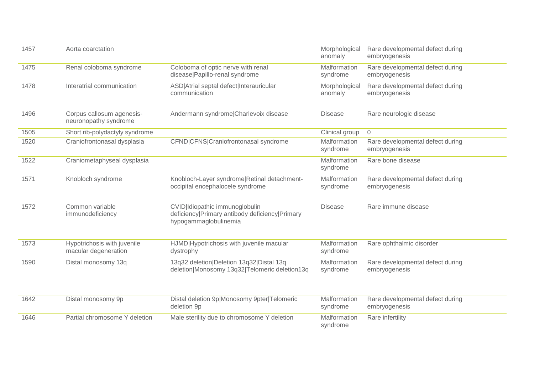| 1457 | Aorta coarctation                                   |                                                                                                           | Morphological<br>anomaly | Rare developmental defect during<br>embryogenesis |
|------|-----------------------------------------------------|-----------------------------------------------------------------------------------------------------------|--------------------------|---------------------------------------------------|
| 1475 | Renal coloboma syndrome                             | Coloboma of optic nerve with renal<br>disease Papillo-renal syndrome                                      | Malformation<br>syndrome | Rare developmental defect during<br>embryogenesis |
| 1478 | Interatrial communication                           | ASD Atrial septal defect Interauricular<br>communication                                                  | Morphological<br>anomaly | Rare developmental defect during<br>embryogenesis |
| 1496 | Corpus callosum agenesis-<br>neuronopathy syndrome  | Andermann syndrome Charlevoix disease                                                                     | <b>Disease</b>           | Rare neurologic disease                           |
| 1505 | Short rib-polydactyly syndrome                      |                                                                                                           | Clinical group           | $\overline{0}$                                    |
| 1520 | Craniofrontonasal dysplasia                         | CFND CFNS Craniofrontonasal syndrome                                                                      | Malformation<br>syndrome | Rare developmental defect during<br>embryogenesis |
| 1522 | Craniometaphyseal dysplasia                         |                                                                                                           | Malformation<br>syndrome | Rare bone disease                                 |
| 1571 | Knobloch syndrome                                   | Knobloch-Layer syndrome Retinal detachment-<br>occipital encephalocele syndrome                           | Malformation<br>syndrome | Rare developmental defect during<br>embryogenesis |
| 1572 | Common variable<br>immunodeficiency                 | CVID Idiopathic immunoglobulin<br>deficiency Primary antibody deficiency Primary<br>hypogammaglobulinemia | <b>Disease</b>           | Rare immune disease                               |
| 1573 | Hypotrichosis with juvenile<br>macular degeneration | HJMD Hypotrichosis with juvenile macular<br>dystrophy                                                     | Malformation<br>syndrome | Rare ophthalmic disorder                          |
| 1590 | Distal monosomy 13q                                 | 13q32 deletion Deletion 13q32 Distal 13q<br>deletion Monosomy 13q32 Telomeric deletion13q                 | Malformation<br>syndrome | Rare developmental defect during<br>embryogenesis |
| 1642 | Distal monosomy 9p                                  | Distal deletion 9p Monosomy 9pter Telomeric<br>deletion 9p                                                | Malformation<br>syndrome | Rare developmental defect during<br>embryogenesis |
| 1646 | Partial chromosome Y deletion                       | Male sterility due to chromosome Y deletion                                                               | Malformation<br>syndrome | Rare infertility                                  |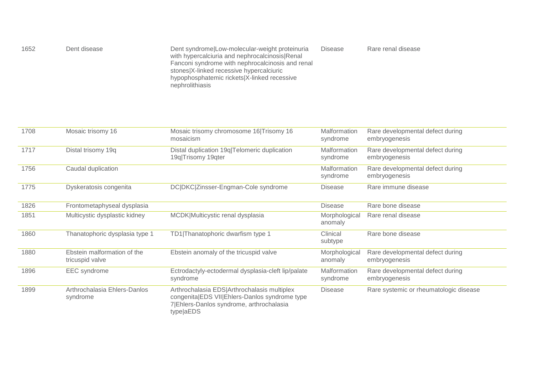| 1652<br>Dent disease | Dent syndrome Low-molecular-weight proteinuria<br>with hypercalciuria and nephrocalcinosis Renal<br>Fanconi syndrome with nephrocalcinosis and renal<br>stones X-linked recessive hypercalciuric<br>hypophosphatemic rickets X-linked recessive<br>nephrolithiasis | <b>Disease</b> | Rare renal disease |
|----------------------|--------------------------------------------------------------------------------------------------------------------------------------------------------------------------------------------------------------------------------------------------------------------|----------------|--------------------|
|----------------------|--------------------------------------------------------------------------------------------------------------------------------------------------------------------------------------------------------------------------------------------------------------------|----------------|--------------------|

| 1708 | Mosaic trisomy 16                              | Mosaic trisomy chromosome 16 Trisomy 16<br>mosaicism                                                                                                  | <b>Malformation</b><br>syndrome | Rare developmental defect during<br>embryogenesis |
|------|------------------------------------------------|-------------------------------------------------------------------------------------------------------------------------------------------------------|---------------------------------|---------------------------------------------------|
| 1717 | Distal trisomy 19q                             | Distal duplication 19q Telomeric duplication<br>19q Trisomy 19qter                                                                                    | <b>Malformation</b><br>syndrome | Rare developmental defect during<br>embryogenesis |
| 1756 | Caudal duplication                             |                                                                                                                                                       | Malformation<br>syndrome        | Rare developmental defect during<br>embryogenesis |
| 1775 | Dyskeratosis congenita                         | DC DKC Zinsser-Engman-Cole syndrome                                                                                                                   | <b>Disease</b>                  | Rare immune disease                               |
| 1826 | Frontometaphyseal dysplasia                    |                                                                                                                                                       | <b>Disease</b>                  | Rare bone disease                                 |
| 1851 | Multicystic dysplastic kidney                  | MCDK Multicystic renal dysplasia                                                                                                                      | Morphological<br>anomaly        | Rare renal disease                                |
| 1860 | Thanatophoric dysplasia type 1                 | TD1 Thanatophoric dwarfism type 1                                                                                                                     | Clinical<br>subtype             | Rare bone disease                                 |
| 1880 | Ebstein malformation of the<br>tricuspid valve | Ebstein anomaly of the tricuspid valve                                                                                                                | Morphological<br>anomaly        | Rare developmental defect during<br>embryogenesis |
| 1896 | <b>EEC</b> syndrome                            | Ectrodactyly-ectodermal dysplasia-cleft lip/palate<br>syndrome                                                                                        | <b>Malformation</b><br>syndrome | Rare developmental defect during<br>embryogenesis |
| 1899 | Arthrochalasia Ehlers-Danlos<br>syndrome       | Arthrochalasia EDS Arthrochalasis multiplex<br>congenita EDS VII Ehlers-Danlos syndrome type<br>7 Ehlers-Danlos syndrome, arthrochalasia<br>type aEDS | <b>Disease</b>                  | Rare systemic or rheumatologic disease            |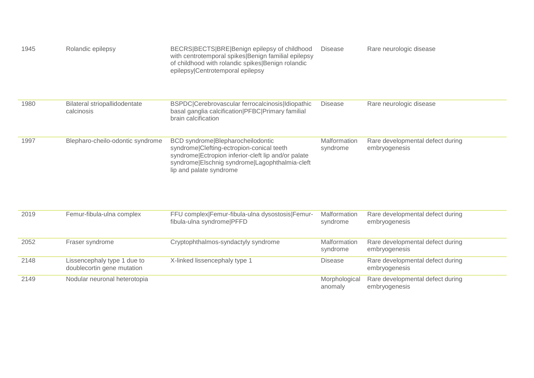| 1945 | Rolandic epilepsy                                         | BECRS BECTS BRE Benign epilepsy of childhood<br>with centrotemporal spikes Benign familial epilepsy<br>of childhood with rolandic spikes Benign rolandic<br>epilepsy Centrotemporal epilepsy                       | <b>Disease</b>           | Rare neurologic disease                           |
|------|-----------------------------------------------------------|--------------------------------------------------------------------------------------------------------------------------------------------------------------------------------------------------------------------|--------------------------|---------------------------------------------------|
| 1980 | Bilateral striopallidodentate<br>calcinosis               | BSPDC Cerebrovascular ferrocalcinosis Idiopathic<br>basal ganglia calcification   PFBC   Primary familial<br>brain calcification                                                                                   | <b>Disease</b>           | Rare neurologic disease                           |
| 1997 | Blepharo-cheilo-odontic syndrome                          | BCD syndrome Blepharocheilodontic<br>syndrome Clefting-ectropion-conical teeth<br>syndrome Ectropion inferior-cleft lip and/or palate<br>syndrome Elschnig syndrome Lagophthalmia-cleft<br>lip and palate syndrome | Malformation<br>syndrome | Rare developmental defect during<br>embryogenesis |
| 2019 | Femur-fibula-ulna complex                                 | FFU complex Femur-fibula-ulna dysostosis Femur-<br>fibula-ulna syndrome PFFD                                                                                                                                       | Malformation<br>syndrome | Rare developmental defect during<br>embryogenesis |
| 2052 | Fraser syndrome                                           | Cryptophthalmos-syndactyly syndrome                                                                                                                                                                                | Malformation<br>syndrome | Rare developmental defect during<br>embryogenesis |
| 2148 | Lissencephaly type 1 due to<br>doublecortin gene mutation | X-linked lissencephaly type 1                                                                                                                                                                                      | <b>Disease</b>           | Rare developmental defect during<br>embryogenesis |
| 2149 | Nodular neuronal heterotopia                              |                                                                                                                                                                                                                    | Morphological<br>anomaly | Rare developmental defect during<br>embryogenesis |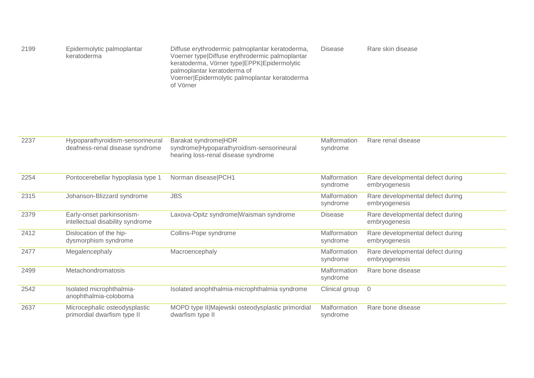| 2199 | Epidermolytic palmoplantar<br>keratoderma | Diffuse erythrodermic palmoplantar keratoderma,<br>Voerner type Diffuse erythrodermic palmoplantar<br>keratoderma, Vörner type EPPK Epidermolytic<br>palmoplantar keratoderma of<br>Voerner Epidermolytic palmoplantar keratoderma<br>of Vörner | <b>Disease</b> | Rare skin disease |
|------|-------------------------------------------|-------------------------------------------------------------------------------------------------------------------------------------------------------------------------------------------------------------------------------------------------|----------------|-------------------|
|------|-------------------------------------------|-------------------------------------------------------------------------------------------------------------------------------------------------------------------------------------------------------------------------------------------------|----------------|-------------------|

| 2237 | Hypoparathyroidism-sensorineural<br>deafness-renal disease syndrome | Barakat syndrome HDR<br>syndrome Hypoparathyroidism-sensorineural<br>hearing loss-renal disease syndrome | Malformation<br>syndrome        | Rare renal disease                                |
|------|---------------------------------------------------------------------|----------------------------------------------------------------------------------------------------------|---------------------------------|---------------------------------------------------|
| 2254 | Pontocerebellar hypoplasia type 1                                   | Norman disease PCH1                                                                                      | <b>Malformation</b><br>syndrome | Rare developmental defect during<br>embryogenesis |
| 2315 | Johanson-Blizzard syndrome                                          | <b>JBS</b>                                                                                               | Malformation<br>syndrome        | Rare developmental defect during<br>embryogenesis |
| 2379 | Early-onset parkinsonism-<br>intellectual disability syndrome       | Laxova-Opitz syndrome Waisman syndrome                                                                   | <b>Disease</b>                  | Rare developmental defect during<br>embryogenesis |
| 2412 | Dislocation of the hip-<br>dysmorphism syndrome                     | Collins-Pope syndrome                                                                                    | Malformation<br>syndrome        | Rare developmental defect during<br>embryogenesis |
| 2477 | Megalencephaly                                                      | Macroencephaly                                                                                           | Malformation<br>syndrome        | Rare developmental defect during<br>embryogenesis |
| 2499 | <b>Metachondromatosis</b>                                           |                                                                                                          | Malformation<br>syndrome        | Rare bone disease                                 |
| 2542 | Isolated microphthalmia-<br>anophthalmia-coloboma                   | Isolated anophthalmia-microphthalmia syndrome                                                            | Clinical group                  | $\overline{0}$                                    |
| 2637 | Microcephalic osteodysplastic<br>primordial dwarfism type II        | MOPD type II Majewski osteodysplastic primordial<br>dwarfism type II                                     | <b>Malformation</b><br>syndrome | Rare bone disease                                 |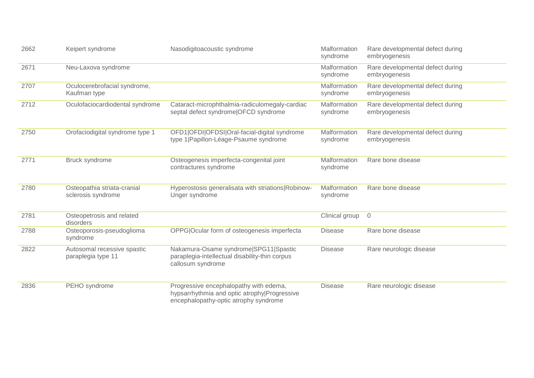| 2662 | Keipert syndrome                                  | Nasodigitoacoustic syndrome                                                                                                     | Malformation<br>syndrome | Rare developmental defect during<br>embryogenesis |
|------|---------------------------------------------------|---------------------------------------------------------------------------------------------------------------------------------|--------------------------|---------------------------------------------------|
| 2671 | Neu-Laxova syndrome                               |                                                                                                                                 | Malformation<br>syndrome | Rare developmental defect during<br>embryogenesis |
| 2707 | Oculocerebrofacial syndrome,<br>Kaufman type      |                                                                                                                                 | Malformation<br>syndrome | Rare developmental defect during<br>embryogenesis |
| 2712 | Oculofaciocardiodental syndrome                   | Cataract-microphthalmia-radiculomegaly-cardiac<br>septal defect syndrome OFCD syndrome                                          | Malformation<br>syndrome | Rare developmental defect during<br>embryogenesis |
| 2750 | Orofaciodigital syndrome type 1                   | OFD1 OFDI OFDSI Oral-facial-digital syndrome<br>type 1  Papillon-Léage-Psaume syndrome                                          | Malformation<br>syndrome | Rare developmental defect during<br>embryogenesis |
| 2771 | Bruck syndrome                                    | Osteogenesis imperfecta-congenital joint<br>contractures syndrome                                                               | Malformation<br>syndrome | Rare bone disease                                 |
| 2780 | Osteopathia striata-cranial<br>sclerosis syndrome | Hyperostosis generalisata with striations Robinow-<br>Unger syndrome                                                            | Malformation<br>syndrome | Rare bone disease                                 |
| 2781 | Osteopetrosis and related<br>disorders            |                                                                                                                                 | Clinical group           | $\overline{0}$                                    |
| 2788 | Osteoporosis-pseudoglioma<br>syndrome             | OPPG Ocular form of osteogenesis imperfecta                                                                                     | <b>Disease</b>           | Rare bone disease                                 |
| 2822 | Autosomal recessive spastic<br>paraplegia type 11 | Nakamura-Osame syndrome SPG11 Spastic<br>paraplegia-intellectual disability-thin corpus<br>callosum syndrome                    | <b>Disease</b>           | Rare neurologic disease                           |
| 2836 | PEHO syndrome                                     | Progressive encephalopathy with edema,<br>hypsarrhythmia and optic atrophy Progressive<br>encephalopathy-optic atrophy syndrome | <b>Disease</b>           | Rare neurologic disease                           |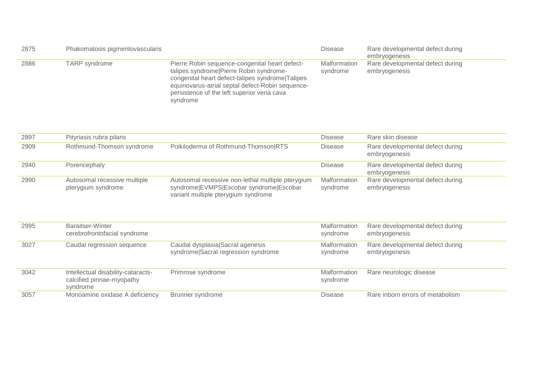| 2875 | Phakomatosis pigmentovascularis |                                                                                                                                                                                                                                                             | <b>Disease</b>           | Rare developmental defect during<br>embryogenesis |
|------|---------------------------------|-------------------------------------------------------------------------------------------------------------------------------------------------------------------------------------------------------------------------------------------------------------|--------------------------|---------------------------------------------------|
| 2886 | TARP syndrome                   | Pierre Robin sequence-congenital heart defect-<br>talipes syndrome Pierre Robin syndrome-<br>congenital heart defect-talipes syndrome Talipes<br>equinovarus-atrial septal defect-Robin sequence-<br>persistence of the left superior vena cava<br>syndrome | Malformation<br>syndrome | Rare developmental defect during<br>embryogenesis |

| 2897 | Pityriasis rubra pilaris                           |                                                                                                                                     | <b>Disease</b>           | Rare skin disease                                 |
|------|----------------------------------------------------|-------------------------------------------------------------------------------------------------------------------------------------|--------------------------|---------------------------------------------------|
| 2909 | Rothmund-Thomson syndrome                          | Poikiloderma of Rothmund-Thomson RTS                                                                                                | <b>Disease</b>           | Rare developmental defect during<br>embryogenesis |
| 2940 | Porencephaly                                       |                                                                                                                                     | <b>Disease</b>           | Rare developmental defect during<br>embryogenesis |
| 2990 | Autosomal recessive multiple<br>pterygium syndrome | Autosomal recessive non-lethal multiple pterygium<br>syndrome EVMPS Escobar syndrome Escobar<br>variant multiple pterygium syndrome | Malformation<br>syndrome | Rare developmental defect during<br>embryogenesis |

| 2995 | Baraitser-Winter<br>cerebrofrontofacial syndrome                            |                                                                         | Malformation<br>syndrome | Rare developmental defect during<br>embryogenesis |
|------|-----------------------------------------------------------------------------|-------------------------------------------------------------------------|--------------------------|---------------------------------------------------|
| 3027 | Caudal regression sequence                                                  | Caudal dysplasia Sacral agenesis<br>syndrome Sacral regression syndrome | Malformation<br>syndrome | Rare developmental defect during<br>embryogenesis |
| 3042 | Intellectual disability-cataracts-<br>calcified pinnae-myopathy<br>syndrome | Primrose syndrome                                                       | Malformation<br>syndrome | Rare neurologic disease                           |
| 3057 | Monoamine oxidase A deficiency                                              | Brunner syndrome                                                        | Disease                  | Rare inborn errors of metabolism                  |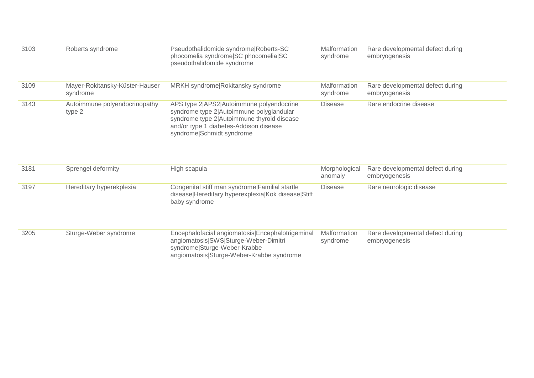| 3103 | Roberts syndrome                           | Pseudothalidomide syndrome Roberts-SC<br>phocomelia syndrome SC phocomelia SC<br>pseudothalidomide syndrome                                                                                               | Malformation<br>syndrome | Rare developmental defect during<br>embryogenesis |
|------|--------------------------------------------|-----------------------------------------------------------------------------------------------------------------------------------------------------------------------------------------------------------|--------------------------|---------------------------------------------------|
| 3109 | Mayer-Rokitansky-Küster-Hauser<br>syndrome | MRKH syndrome Rokitansky syndrome                                                                                                                                                                         | Malformation<br>syndrome | Rare developmental defect during<br>embryogenesis |
| 3143 | Autoimmune polyendocrinopathy<br>type 2    | APS type 2 APS2 Autoimmune polyendocrine<br>syndrome type 2 Autoimmune polyglandular<br>syndrome type 2 Autoimmune thyroid disease<br>and/or type 1 diabetes-Addison disease<br>syndrome Schmidt syndrome | <b>Disease</b>           | Rare endocrine disease                            |
| 3181 | Sprengel deformity                         | High scapula                                                                                                                                                                                              | Morphological            | Rare developmental defect during                  |

|      | UPIULIYUI UUIUIIIIIY     | н нун осарата                                                                                                                                                          | <u>IVIUI PIIVIUUIVUI</u><br>anomaly | <b>Traily developmental delect during</b><br>embryogenesis |
|------|--------------------------|------------------------------------------------------------------------------------------------------------------------------------------------------------------------|-------------------------------------|------------------------------------------------------------|
| 3197 | Hereditary hyperekplexia | Congenital stiff man syndrome Familial startle<br>disease Hereditary hyperexplexia Kok disease Stiff<br>baby syndrome                                                  | Disease                             | Rare neurologic disease                                    |
| 3205 | Sturge-Weber syndrome    | Encephalofacial angiomatosis Encephalotrigeminal<br>angiomatosis SWS Sturge-Weber-Dimitri<br>syndrome Sturge-Weber-Krabbe<br>angiomatosis Sturge-Weber-Krabbe syndrome | Malformation<br>syndrome            | Rare developmental defect during<br>embryogenesis          |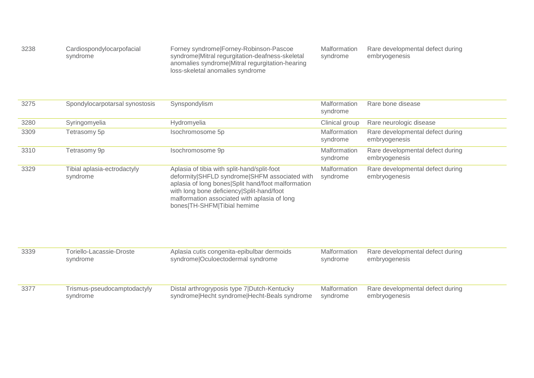| 3238 | Cardiospondylocarpofacial<br>syndrome | Forney syndrome Forney-Robinson-Pascoe<br>syndrome Mitral regurgitation-deafness-skeletal<br>anomalies syndrome Mitral regurgitation-hearing | Malformation<br>syndrome | Rare developmental defect during<br>embryogenesis |
|------|---------------------------------------|----------------------------------------------------------------------------------------------------------------------------------------------|--------------------------|---------------------------------------------------|
|      |                                       | loss-skeletal anomalies syndrome                                                                                                             |                          |                                                   |

| 3275 | Spondylocarpotarsal synostosis          | Synspondylism                                                                                                                                                                                                                                                                  | Malformation<br>syndrome | Rare bone disease                                 |
|------|-----------------------------------------|--------------------------------------------------------------------------------------------------------------------------------------------------------------------------------------------------------------------------------------------------------------------------------|--------------------------|---------------------------------------------------|
| 3280 | Syringomyelia                           | Hydromyelia                                                                                                                                                                                                                                                                    | Clinical group           | Rare neurologic disease                           |
| 3309 | Tetrasomy 5p                            | Isochromosome 5p                                                                                                                                                                                                                                                               | Malformation<br>syndrome | Rare developmental defect during<br>embryogenesis |
| 3310 | Tetrasomy 9p                            | Isochromosome 9p                                                                                                                                                                                                                                                               | Malformation<br>syndrome | Rare developmental defect during<br>embryogenesis |
| 3329 | Tibial aplasia-ectrodactyly<br>syndrome | Aplasia of tibia with split-hand/split-foot<br>deformity SHFLD syndrome SHFM associated with<br>aplasia of long bones Split hand/foot malformation<br>with long bone deficiency Split-hand/foot<br>malformation associated with aplasia of long<br>bones TH-SHFM Tibial hemime | Malformation<br>syndrome | Rare developmental defect during<br>embryogenesis |
| 3339 | Toriello-Lacassie-Droste<br>syndrome    | Aplasia cutis congenita-epibulbar dermoids<br>syndrome Oculoectodermal syndrome                                                                                                                                                                                                | Malformation<br>syndrome | Rare developmental defect during<br>embryogenesis |
| 3377 | Trismus-pseudocamptodactyly<br>syndrome | Distal arthrogryposis type 7 Dutch-Kentucky<br>syndrome Hecht syndrome Hecht-Beals syndrome                                                                                                                                                                                    | Malformation<br>syndrome | Rare developmental defect during<br>embryogenesis |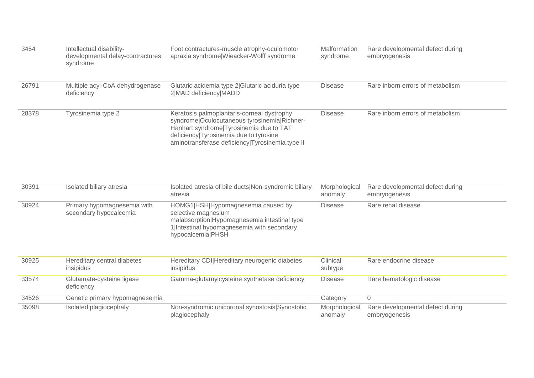| 3454  | Intellectual disability-<br>developmental delay-contractures<br>syndrome | Foot contractures-muscle atrophy-oculomotor<br>apraxia syndrome Wieacker-Wolff syndrome                                                                                                                                            | Malformation<br>syndrome | Rare developmental defect during<br>embryogenesis |
|-------|--------------------------------------------------------------------------|------------------------------------------------------------------------------------------------------------------------------------------------------------------------------------------------------------------------------------|--------------------------|---------------------------------------------------|
| 26791 | Multiple acyl-CoA dehydrogenase<br>deficiency                            | Glutaric acidemia type 2 Glutaric aciduria type<br>2 MAD deficiency MADD                                                                                                                                                           | <b>Disease</b>           | Rare inborn errors of metabolism                  |
| 28378 | Tyrosinemia type 2                                                       | Keratosis palmoplantaris-corneal dystrophy<br>syndrome Oculocutaneous tyrosinemia Richner-<br>Hanhart syndrome Tyrosinemia due to TAT<br>deficiency Tyrosinemia due to tyrosine<br>aminotransferase deficiency Tyrosinemia type II | <b>Disease</b>           | Rare inborn errors of metabolism                  |

| 30391 | Isolated biliary atresia                              | Isolated atresia of bile ducts Non-syndromic biliary<br>atresia                                                                                                              | Morphological<br>anomaly | Rare developmental defect during<br>embryogenesis |
|-------|-------------------------------------------------------|------------------------------------------------------------------------------------------------------------------------------------------------------------------------------|--------------------------|---------------------------------------------------|
| 30924 | Primary hypomagnesemia with<br>secondary hypocalcemia | HOMG1 HSH Hypomagnesemia caused by<br>selective magnesium<br>malabsorption Hypomagnesemia intestinal type<br>1 Intestinal hypomagnesemia with secondary<br>hypocalcemia PHSH | <b>Disease</b>           | Rare renal disease                                |
| 30925 | Hereditary central diabetes<br>insipidus              | Hereditary CDI Hereditary neurogenic diabetes<br>insipidus                                                                                                                   | Clinical<br>subtype      | Rare endocrine disease                            |
| 33574 | Glutamate-cysteine ligase<br>deficiency               | Gamma-glutamylcysteine synthetase deficiency                                                                                                                                 | <b>Disease</b>           | Rare hematologic disease                          |
| 34526 | Genetic primary hypomagnesemia                        |                                                                                                                                                                              | Category                 | 0                                                 |
| 35098 | Isolated plagiocephaly                                | Non-syndromic unicoronal synostosis Synostotic<br>plagiocephaly                                                                                                              | Morphological<br>anomaly | Rare developmental defect during<br>embryogenesis |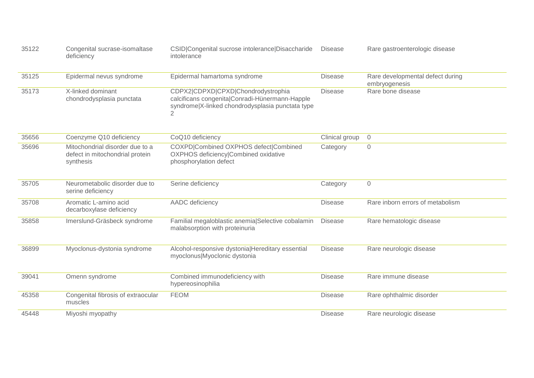| 35122 | Congenital sucrase-isomaltase<br>deficiency                                     | CSID Congenital sucrose intolerance Disaccharide<br>intolerance                                                                                            | <b>Disease</b> | Rare gastroenterologic disease                    |
|-------|---------------------------------------------------------------------------------|------------------------------------------------------------------------------------------------------------------------------------------------------------|----------------|---------------------------------------------------|
| 35125 | Epidermal nevus syndrome                                                        | Epidermal hamartoma syndrome                                                                                                                               | <b>Disease</b> | Rare developmental defect during<br>embryogenesis |
| 35173 | X-linked dominant<br>chondrodysplasia punctata                                  | CDPX2 CDPXD CPXD Chondrodystrophia<br>calcificans congenita Conradi-Hünermann-Happle<br>syndrome X-linked chondrodysplasia punctata type<br>$\overline{2}$ | <b>Disease</b> | Rare bone disease                                 |
| 35656 | Coenzyme Q10 deficiency                                                         | CoQ10 deficiency                                                                                                                                           | Clinical group | $\overline{0}$                                    |
| 35696 | Mitochondrial disorder due to a<br>defect in mitochondrial protein<br>synthesis | COXPD Combined OXPHOS defect Combined<br>OXPHOS deficiency Combined oxidative<br>phosphorylation defect                                                    | Category       | $\mathsf{O}\xspace$                               |
| 35705 | Neurometabolic disorder due to<br>serine deficiency                             | Serine deficiency                                                                                                                                          | Category       | $\mathsf{O}\xspace$                               |
| 35708 | Aromatic L-amino acid<br>decarboxylase deficiency                               | AADC deficiency                                                                                                                                            | <b>Disease</b> | Rare inborn errors of metabolism                  |
| 35858 | Imerslund-Gräsbeck syndrome                                                     | Familial megaloblastic anemia Selective cobalamin<br>malabsorption with proteinuria                                                                        | <b>Disease</b> | Rare hematologic disease                          |
| 36899 | Myoclonus-dystonia syndrome                                                     | Alcohol-responsive dystonia Hereditary essential<br>myoclonus Myoclonic dystonia                                                                           | <b>Disease</b> | Rare neurologic disease                           |
| 39041 | Omenn syndrome                                                                  | Combined immunodeficiency with<br>hypereosinophilia                                                                                                        | <b>Disease</b> | Rare immune disease                               |
| 45358 | Congenital fibrosis of extraocular<br>muscles                                   | <b>FEOM</b>                                                                                                                                                | <b>Disease</b> | Rare ophthalmic disorder                          |
| 45448 | Miyoshi myopathy                                                                |                                                                                                                                                            | <b>Disease</b> | Rare neurologic disease                           |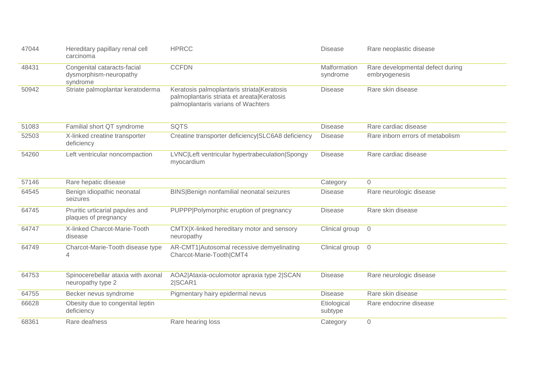| 47044 | Hereditary papillary renal cell<br>carcinoma                      | <b>HPRCC</b>                                                                                                                   | <b>Disease</b>           | Rare neoplastic disease                           |
|-------|-------------------------------------------------------------------|--------------------------------------------------------------------------------------------------------------------------------|--------------------------|---------------------------------------------------|
| 48431 | Congenital cataracts-facial<br>dysmorphism-neuropathy<br>syndrome | <b>CCFDN</b>                                                                                                                   | Malformation<br>syndrome | Rare developmental defect during<br>embryogenesis |
| 50942 | Striate palmoplantar keratoderma                                  | Keratosis palmoplantaris striata Keratosis<br>palmoplantaris striata et areata Keratosis<br>palmoplantaris varians of Wachters | <b>Disease</b>           | Rare skin disease                                 |
| 51083 | Familial short QT syndrome                                        | <b>SQTS</b>                                                                                                                    | <b>Disease</b>           | Rare cardiac disease                              |
| 52503 | X-linked creatine transporter<br>deficiency                       | Creatine transporter deficiency SLC6A8 deficiency                                                                              | <b>Disease</b>           | Rare inborn errors of metabolism                  |
| 54260 | Left ventricular noncompaction                                    | LVNC Left ventricular hypertrabeculation Spongy<br>myocardium                                                                  | <b>Disease</b>           | Rare cardiac disease                              |
| 57146 | Rare hepatic disease                                              |                                                                                                                                | Category                 | $\overline{O}$                                    |
| 64545 | Benign idiopathic neonatal<br>seizures                            | BINS Benign nonfamilial neonatal seizures                                                                                      | <b>Disease</b>           | Rare neurologic disease                           |
| 64745 | Pruritic urticarial papules and<br>plaques of pregnancy           | PUPPP Polymorphic eruption of pregnancy                                                                                        | <b>Disease</b>           | Rare skin disease                                 |
| 64747 | X-linked Charcot-Marie-Tooth<br>disease                           | CMTX X-linked hereditary motor and sensory<br>neuropathy                                                                       | Clinical group           | $\overline{0}$                                    |
| 64749 | Charcot-Marie-Tooth disease type<br>4                             | AR-CMT1 Autosomal recessive demyelinating<br>Charcot-Marie-Tooth CMT4                                                          | Clinical group           | $\overline{0}$                                    |
| 64753 | Spinocerebellar ataxia with axonal<br>neuropathy type 2           | AOA2 Ataxia-oculomotor apraxia type 2 SCAN<br>2 SCAR1                                                                          | <b>Disease</b>           | Rare neurologic disease                           |
| 64755 | Becker nevus syndrome                                             | Pigmentary hairy epidermal nevus                                                                                               | <b>Disease</b>           | Rare skin disease                                 |
| 66628 | Obesity due to congenital leptin<br>deficiency                    |                                                                                                                                | Etiological<br>subtype   | Rare endocrine disease                            |
| 68361 | Rare deafness                                                     | Rare hearing loss                                                                                                              | Category                 | $\mathbf 0$                                       |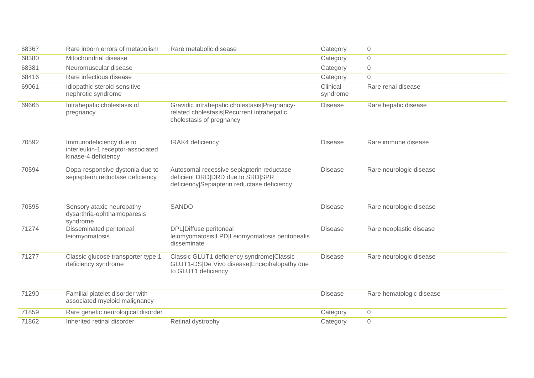| 68367 | Rare inborn errors of metabolism                                                    | Rare metabolic disease                                                                                                        | Category             | $\mathbf 0$              |
|-------|-------------------------------------------------------------------------------------|-------------------------------------------------------------------------------------------------------------------------------|----------------------|--------------------------|
| 68380 | Mitochondrial disease                                                               |                                                                                                                               | Category             | $\overline{0}$           |
| 68381 | Neuromuscular disease                                                               |                                                                                                                               | Category             | $\mathsf{O}\xspace$      |
| 68416 | Rare infectious disease                                                             |                                                                                                                               | Category             | $\overline{0}$           |
| 69061 | Idiopathic steroid-sensitive<br>nephrotic syndrome                                  |                                                                                                                               | Clinical<br>syndrome | Rare renal disease       |
| 69665 | Intrahepatic cholestasis of<br>pregnancy                                            | Gravidic intrahepatic cholestasis Pregnancy-<br>related cholestasis Recurrent intrahepatic<br>cholestasis of pregnancy        | <b>Disease</b>       | Rare hepatic disease     |
| 70592 | Immunodeficiency due to<br>interleukin-1 receptor-associated<br>kinase-4 deficiency | IRAK4 deficiency                                                                                                              | <b>Disease</b>       | Rare immune disease      |
| 70594 | Dopa-responsive dystonia due to<br>sepiapterin reductase deficiency                 | Autosomal recessive sepiapterin reductase-<br>deficient DRD DRD due to SRD SPR<br>deficiency Sepiapterin reductase deficiency | <b>Disease</b>       | Rare neurologic disease  |
| 70595 | Sensory ataxic neuropathy-<br>dysarthria-ophthalmoparesis<br>syndrome               | SANDO                                                                                                                         | <b>Disease</b>       | Rare neurologic disease  |
| 71274 | Disseminated peritoneal<br>leiomyomatosis                                           | <b>DPL Diffuse peritoneal</b><br>leiomyomatosis LPD Leiomyomatosis peritonealis<br>disseminate                                | <b>Disease</b>       | Rare neoplastic disease  |
| 71277 | Classic glucose transporter type 1<br>deficiency syndrome                           | Classic GLUT1 deficiency syndrome Classic<br>GLUT1-DS De Vivo disease Encephalopathy due<br>to GLUT1 deficiency               | <b>Disease</b>       | Rare neurologic disease  |
| 71290 | Familial platelet disorder with<br>associated myeloid malignancy                    |                                                                                                                               | <b>Disease</b>       | Rare hematologic disease |
| 71859 | Rare genetic neurological disorder                                                  |                                                                                                                               | Category             | $\overline{O}$           |
| 71862 | Inherited retinal disorder                                                          | Retinal dystrophy                                                                                                             | Category             | $\overline{0}$           |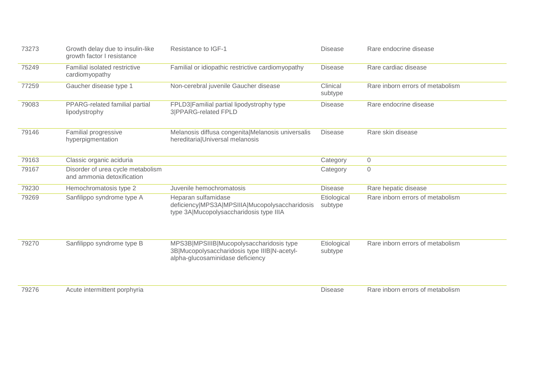| 73273 | Growth delay due to insulin-like<br>growth factor I resistance  | <b>Resistance to IGF-1</b>                                                                                                   | <b>Disease</b>         | Rare endocrine disease           |
|-------|-----------------------------------------------------------------|------------------------------------------------------------------------------------------------------------------------------|------------------------|----------------------------------|
| 75249 | Familial isolated restrictive<br>cardiomyopathy                 | Familial or idiopathic restrictive cardiomyopathy                                                                            | <b>Disease</b>         | Rare cardiac disease             |
| 77259 | Gaucher disease type 1                                          | Non-cerebral juvenile Gaucher disease                                                                                        | Clinical<br>subtype    | Rare inborn errors of metabolism |
| 79083 | PPARG-related familial partial<br>lipodystrophy                 | FPLD3 Familial partial lipodystrophy type<br>3 PPARG-related FPLD                                                            | <b>Disease</b>         | Rare endocrine disease           |
| 79146 | Familial progressive<br>hyperpigmentation                       | Melanosis diffusa congenita Melanosis universalis<br>hereditaria Universal melanosis                                         | <b>Disease</b>         | Rare skin disease                |
| 79163 | Classic organic aciduria                                        |                                                                                                                              | Category               | $\sqrt{0}$                       |
| 79167 | Disorder of urea cycle metabolism<br>and ammonia detoxification |                                                                                                                              | Category               | $\mathbf 0$                      |
| 79230 | Hemochromatosis type 2                                          | Juvenile hemochromatosis                                                                                                     | <b>Disease</b>         | Rare hepatic disease             |
| 79269 | Sanfilippo syndrome type A                                      | Heparan sulfamidase<br>deficiency MPS3A MPSIIIA Mucopolysaccharidosis<br>type 3A Mucopolysaccharidosis type IIIA             | Etiological<br>subtype | Rare inborn errors of metabolism |
| 79270 | Sanfilippo syndrome type B                                      | MPS3B MPSIIIB Mucopolysaccharidosis type<br>3B Mucopolysaccharidosis type IIIB N-acetyl-<br>alpha-glucosaminidase deficiency | Etiological<br>subtype | Rare inborn errors of metabolism |
| 79276 | Acute intermittent porphyria                                    |                                                                                                                              | <b>Disease</b>         | Rare inborn errors of metabolism |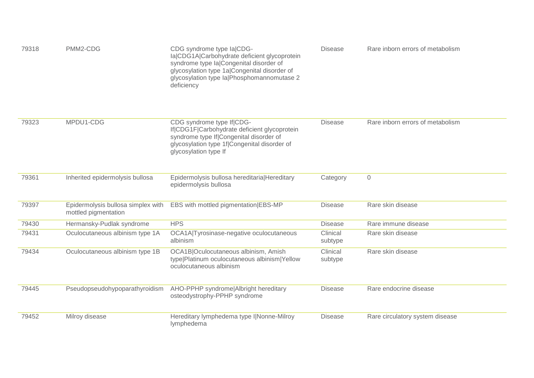| 79318 | PMM2-CDG                                                   | CDG syndrome type la CDG-<br>la CDG1A Carbohydrate deficient glycoprotein<br>syndrome type la Congenital disorder of<br>glycosylation type 1a Congenital disorder of<br>glycosylation type la Phosphomannomutase 2<br>deficiency | <b>Disease</b>      | Rare inborn errors of metabolism |
|-------|------------------------------------------------------------|----------------------------------------------------------------------------------------------------------------------------------------------------------------------------------------------------------------------------------|---------------------|----------------------------------|
| 79323 | MPDU1-CDG                                                  | CDG syndrome type If CDG-<br>If CDG1F Carbohydrate deficient glycoprotein<br>syndrome type If Congenital disorder of<br>glycosylation type 1f Congenital disorder of<br>glycosylation type If                                    | <b>Disease</b>      | Rare inborn errors of metabolism |
| 79361 | Inherited epidermolysis bullosa                            | Epidermolysis bullosa hereditaria Hereditary<br>epidermolysis bullosa                                                                                                                                                            | Category            | $\sqrt{a}$                       |
| 79397 | Epidermolysis bullosa simplex with<br>mottled pigmentation | EBS with mottled pigmentation EBS-MP                                                                                                                                                                                             | <b>Disease</b>      | Rare skin disease                |
| 79430 | Hermansky-Pudlak syndrome                                  | <b>HPS</b>                                                                                                                                                                                                                       | <b>Disease</b>      | Rare immune disease              |
| 79431 | Oculocutaneous albinism type 1A                            | OCA1A Tyrosinase-negative oculocutaneous<br>albinism                                                                                                                                                                             | Clinical<br>subtype | Rare skin disease                |
| 79434 | Oculocutaneous albinism type 1B                            | OCA1B Oculocutaneous albinism, Amish<br>type Platinum oculocutaneous albinism Yellow<br>oculocutaneous albinism                                                                                                                  | Clinical<br>subtype | Rare skin disease                |
| 79445 | Pseudopseudohypoparathyroidism                             | AHO-PPHP syndrome Albright hereditary<br>osteodystrophy-PPHP syndrome                                                                                                                                                            | <b>Disease</b>      | Rare endocrine disease           |
| 79452 | Milroy disease                                             | Hereditary lymphedema type I Nonne-Milroy<br>lymphedema                                                                                                                                                                          | <b>Disease</b>      | Rare circulatory system disease  |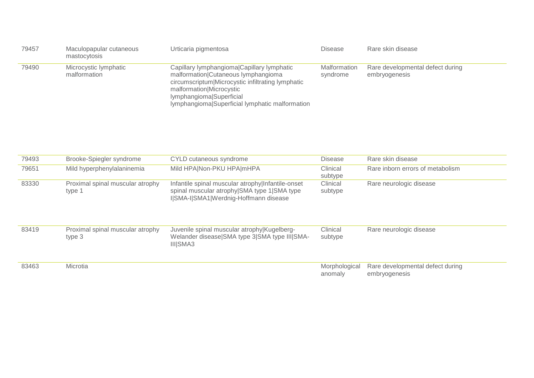| 79457 | Maculopapular cutaneous<br>mastocytosis | Urticaria pigmentosa                                                                                                                                                                                                                              | <b>Disease</b>           | Rare skin disease                                 |
|-------|-----------------------------------------|---------------------------------------------------------------------------------------------------------------------------------------------------------------------------------------------------------------------------------------------------|--------------------------|---------------------------------------------------|
| 79490 | Microcystic lymphatic<br>malformation   | Capillary lymphangioma Capillary lymphatic<br>malformation Cutaneous lymphangioma<br>circumscriptum Microcystic infiltrating lymphatic<br>malformation Microcystic<br>Iymphangioma Superficial<br>Iymphangioma Superficial Iymphatic malformation | Malformation<br>syndrome | Rare developmental defect during<br>embryogenesis |

| 79493 | Brooke-Spiegler syndrome                   | CYLD cutaneous syndrome                                                                                                                   | <b>Disease</b>           | Rare skin disease                                 |
|-------|--------------------------------------------|-------------------------------------------------------------------------------------------------------------------------------------------|--------------------------|---------------------------------------------------|
| 79651 | Mild hyperphenylalaninemia                 | Mild HPA Non-PKU HPA mHPA                                                                                                                 | Clinical<br>subtype      | Rare inborn errors of metabolism                  |
| 83330 | Proximal spinal muscular atrophy<br>type 1 | Infantile spinal muscular atrophy Infantile-onset<br>spinal muscular atrophy SMA type 1 SMA type<br>I SMA-I SMA1 Werdnig-Hoffmann disease | Clinical<br>subtype      | Rare neurologic disease                           |
| 83419 | Proximal spinal muscular atrophy<br>type 3 | Juvenile spinal muscular atrophy Kugelberg-<br>Welander disease SMA type 3 SMA type III SMA-<br>III SMA3                                  | Clinical<br>subtype      | Rare neurologic disease                           |
| 83463 | Microtia                                   |                                                                                                                                           | Morphological<br>anomaly | Rare developmental defect during<br>embryogenesis |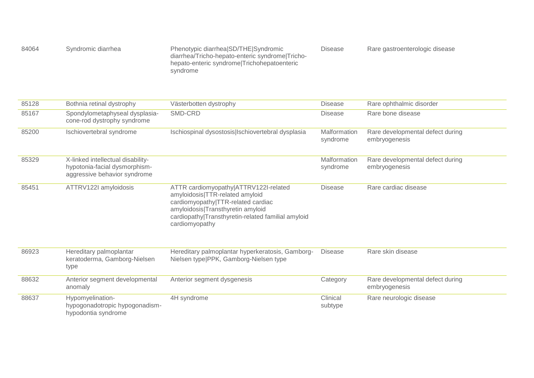| 84064 | Syndromic diarrhea | Phenotypic diarrhealSD/THE Syndromic            | Disease | Rare gastroenterologic disease |
|-------|--------------------|-------------------------------------------------|---------|--------------------------------|
|       |                    | diarrhea/Tricho-hepato-enteric syndrome Tricho- |         |                                |
|       |                    | hepato-enteric syndrome Trichohepatoenteric     |         |                                |
|       |                    | syndrome                                        |         |                                |

| 85128 | Bothnia retinal dystrophy                                                                          | Västerbotten dystrophy                                                                                                                                                                                                      | <b>Disease</b>           | Rare ophthalmic disorder                          |
|-------|----------------------------------------------------------------------------------------------------|-----------------------------------------------------------------------------------------------------------------------------------------------------------------------------------------------------------------------------|--------------------------|---------------------------------------------------|
| 85167 | Spondylometaphyseal dysplasia-<br>cone-rod dystrophy syndrome                                      | SMD-CRD                                                                                                                                                                                                                     | <b>Disease</b>           | Rare bone disease                                 |
| 85200 | Ischiovertebral syndrome                                                                           | Ischiospinal dysostosis   Ischiovertebral dysplasia                                                                                                                                                                         | Malformation<br>syndrome | Rare developmental defect during<br>embryogenesis |
| 85329 | X-linked intellectual disability-<br>hypotonia-facial dysmorphism-<br>aggressive behavior syndrome |                                                                                                                                                                                                                             | Malformation<br>syndrome | Rare developmental defect during<br>embryogenesis |
| 85451 | ATTRV122I amyloidosis                                                                              | ATTR cardiomyopathy ATTRV122I-related<br>amyloidosis TTR-related amyloid<br>cardiomyopathy TTR-related cardiac<br>amyloidosis Transthyretin amyloid<br>cardiopathy Transthyretin-related familial amyloid<br>cardiomyopathy | <b>Disease</b>           | Rare cardiac disease                              |
| 86923 | Hereditary palmoplantar<br>keratoderma, Gamborg-Nielsen<br>type                                    | Hereditary palmoplantar hyperkeratosis, Gamborg-<br>Nielsen type PPK, Gamborg-Nielsen type                                                                                                                                  | <b>Disease</b>           | Rare skin disease                                 |
| 88632 | Anterior segment developmental<br>anomaly                                                          | Anterior segment dysgenesis                                                                                                                                                                                                 | Category                 | Rare developmental defect during<br>embryogenesis |
| 88637 | Hypomyelination-<br>hypogonadotropic hypogonadism-<br>hypodontia syndrome                          | 4H syndrome                                                                                                                                                                                                                 | Clinical<br>subtype      | Rare neurologic disease                           |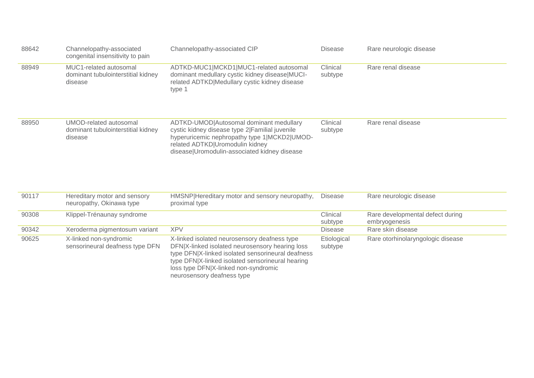| 88642 | Channelopathy-associated<br>congenital insensitivity to pain            | Channelopathy-associated CIP                                                                                                                                                                                                                                                   | <b>Disease</b>         | Rare neurologic disease                           |
|-------|-------------------------------------------------------------------------|--------------------------------------------------------------------------------------------------------------------------------------------------------------------------------------------------------------------------------------------------------------------------------|------------------------|---------------------------------------------------|
| 88949 | MUC1-related autosomal<br>dominant tubulointerstitial kidney<br>disease | ADTKD-MUC1 MCKD1 MUC1-related autosomal<br>dominant medullary cystic kidney disease MUCI-<br>related ADTKD Medullary cystic kidney disease<br>type 1                                                                                                                           | Clinical<br>subtype    | Rare renal disease                                |
| 88950 | UMOD-related autosomal<br>dominant tubulointerstitial kidney<br>disease | ADTKD-UMOD Autosomal dominant medullary<br>cystic kidney disease type 2  Familial juvenile<br>hyperuricemic nephropathy type 1 MCKD2 UMOD-<br>related ADTKD Uromodulin kidney<br>disease Uromodulin-associated kidney disease                                                  | Clinical<br>subtype    | Rare renal disease                                |
| 90117 | Hereditary motor and sensory<br>neuropathy, Okinawa type                | HMSNP Hereditary motor and sensory neuropathy,<br>proximal type                                                                                                                                                                                                                | <b>Disease</b>         | Rare neurologic disease                           |
| 90308 | Klippel-Trénaunay syndrome                                              |                                                                                                                                                                                                                                                                                | Clinical<br>subtype    | Rare developmental defect during<br>embryogenesis |
| 90342 | Xeroderma pigmentosum variant                                           | <b>XPV</b>                                                                                                                                                                                                                                                                     | <b>Disease</b>         | Rare skin disease                                 |
| 90625 | X-linked non-syndromic<br>sensorineural deafness type DFN               | X-linked isolated neurosensory deafness type<br>DFN X-linked isolated neurosensory hearing loss<br>type DFN X-linked isolated sensorineural deafness<br>type DFN X-linked isolated sensorineural hearing<br>loss type DFN X-linked non-syndromic<br>neurosensory deafness type | Etiological<br>subtype | Rare otorhinolaryngologic disease                 |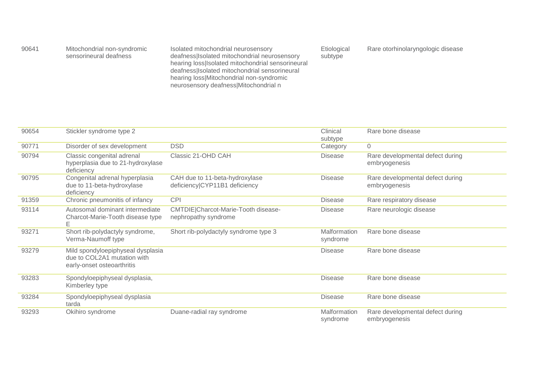| 90641 | Mitochondrial non-syndromic | Isolated mitochondrial neurosensory                 | Etiological | Rare otorhinolaryngologic disease |  |
|-------|-----------------------------|-----------------------------------------------------|-------------|-----------------------------------|--|
|       | sensorineural deafness      | deafness Isolated mitochondrial neurosensory        | subtype     |                                   |  |
|       |                             | hearing loss   Isolated mitochondrial sensorineural |             |                                   |  |
|       |                             | deafness   Isolated mitochondrial sensorineural     |             |                                   |  |
|       |                             | hearing loss Mitochondrial non-syndromic            |             |                                   |  |
|       |                             | neurosensory deafness Mitochondrial n               |             |                                   |  |

| 90654 | Stickler syndrome type 2                                                                       |                                                                 | Clinical                 | Rare bone disease                                 |
|-------|------------------------------------------------------------------------------------------------|-----------------------------------------------------------------|--------------------------|---------------------------------------------------|
|       |                                                                                                |                                                                 | subtype                  |                                                   |
| 90771 | Disorder of sex development                                                                    | <b>DSD</b>                                                      | Category                 | $\Omega$                                          |
| 90794 | Classic congenital adrenal<br>hyperplasia due to 21-hydroxylase<br>deficiency                  | Classic 21-OHD CAH                                              | <b>Disease</b>           | Rare developmental defect during<br>embryogenesis |
| 90795 | Congenital adrenal hyperplasia<br>due to 11-beta-hydroxylase<br>deficiency                     | CAH due to 11-beta-hydroxylase<br>deficiency CYP11B1 deficiency | <b>Disease</b>           | Rare developmental defect during<br>embryogenesis |
| 91359 | Chronic pneumonitis of infancy                                                                 | <b>CPI</b>                                                      | <b>Disease</b>           | Rare respiratory disease                          |
| 93114 | Autosomal dominant intermediate<br>Charcot-Marie-Tooth disease type<br>Е                       | CMTDIE Charcot-Marie-Tooth disease-<br>nephropathy syndrome     | <b>Disease</b>           | Rare neurologic disease                           |
| 93271 | Short rib-polydactyly syndrome,<br>Verma-Naumoff type                                          | Short rib-polydactyly syndrome type 3                           | Malformation<br>syndrome | Rare bone disease                                 |
| 93279 | Mild spondyloepiphyseal dysplasia<br>due to COL2A1 mutation with<br>early-onset osteoarthritis |                                                                 | <b>Disease</b>           | Rare bone disease                                 |
| 93283 | Spondyloepiphyseal dysplasia,<br>Kimberley type                                                |                                                                 | <b>Disease</b>           | Rare bone disease                                 |
| 93284 | Spondyloepiphyseal dysplasia<br>tarda                                                          |                                                                 | <b>Disease</b>           | Rare bone disease                                 |
| 93293 | Okihiro syndrome                                                                               | Duane-radial ray syndrome                                       | Malformation<br>syndrome | Rare developmental defect during<br>embryogenesis |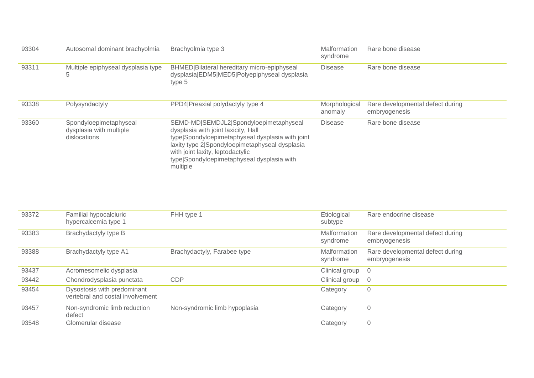| 93304 | Autosomal dominant brachyolmia                                    | Brachyolmia type 3                                                                                                                                                                                                                                                                | Malformation<br>syndrome | Rare bone disease                                 |
|-------|-------------------------------------------------------------------|-----------------------------------------------------------------------------------------------------------------------------------------------------------------------------------------------------------------------------------------------------------------------------------|--------------------------|---------------------------------------------------|
| 93311 | Multiple epiphyseal dysplasia type<br>5                           | BHMED Bilateral hereditary micro-epiphyseal<br>dysplasia EDM5 MED5 Polyepiphyseal dysplasia<br>type 5                                                                                                                                                                             | <b>Disease</b>           | Rare bone disease                                 |
| 93338 | Polysyndactyly                                                    | PPD4 Preaxial polydactyly type 4                                                                                                                                                                                                                                                  | Morphological<br>anomaly | Rare developmental defect during<br>embryogenesis |
| 93360 | Spondyloepimetaphyseal<br>dysplasia with multiple<br>dislocations | SEMD-MD SEMDJL2 Spondyloepimetaphyseal<br>dysplasia with joint laxicity, Hall<br>type Spondyloepimetaphyseal dysplasia with joint<br>laxity type 2 Spondyloepimetaphyseal dysplasia<br>with joint laxity, leptodactylic<br>type Spondyloepimetaphyseal dysplasia with<br>multiple | <b>Disease</b>           | Rare bone disease                                 |

| 93372 | Familial hypocalciuric<br>hypercalcemia type 1                  | FHH type 1                    | Etiological<br>subtype   | Rare endocrine disease                            |
|-------|-----------------------------------------------------------------|-------------------------------|--------------------------|---------------------------------------------------|
| 93383 | Brachydactyly type B                                            |                               | Malformation<br>syndrome | Rare developmental defect during<br>embryogenesis |
| 93388 | Brachydactyly type A1                                           | Brachydactyly, Farabee type   | Malformation<br>syndrome | Rare developmental defect during<br>embryogenesis |
| 93437 | Acromesomelic dysplasia                                         |                               | Clinical group           | - 0                                               |
| 93442 | Chondrodysplasia punctata                                       | <b>CDP</b>                    | Clinical group           | - 0                                               |
| 93454 | Dysostosis with predominant<br>vertebral and costal involvement |                               | Category                 | 0                                                 |
| 93457 | Non-syndromic limb reduction<br>defect                          | Non-syndromic limb hypoplasia | Category                 | $\overline{0}$                                    |
| 93548 | Glomerular disease                                              |                               | Category                 | $\mathbf{0}$                                      |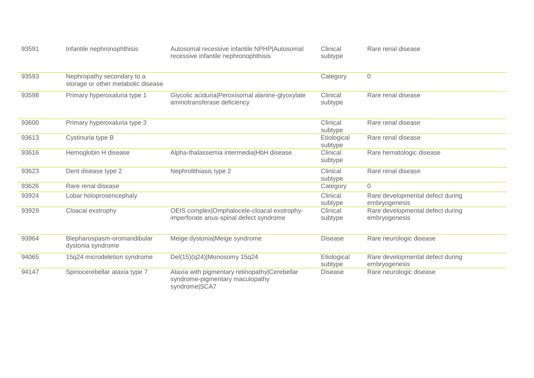| 93591 | Infantile nephronophthisis                                       | Autosomal recessive infantile NPHP Autosomal<br>recessive infantile nephronophthisis              | Clinical<br>subtype    | Rare renal disease                                |
|-------|------------------------------------------------------------------|---------------------------------------------------------------------------------------------------|------------------------|---------------------------------------------------|
| 93593 | Nephropathy secondary to a<br>storage or other metabolic disease |                                                                                                   | Category               | $\overline{0}$                                    |
| 93598 | Primary hyperoxaluria type 1                                     | Glycolic aciduria Peroxisomal alanine-glyoxylate<br>aminotransferase deficiency                   | Clinical<br>subtype    | Rare renal disease                                |
| 93600 | Primary hyperoxaluria type 3                                     |                                                                                                   | Clinical<br>subtype    | Rare renal disease                                |
| 93613 | Cystinuria type B                                                |                                                                                                   | Etiological<br>subtype | Rare renal disease                                |
| 93616 | Hemoglobin H disease                                             | Alpha-thalassemia intermedia HbH disease                                                          | Clinical<br>subtype    | Rare hematologic disease                          |
| 93623 | Dent disease type 2                                              | Nephrolithiasis type 2                                                                            | Clinical<br>subtype    | Rare renal disease                                |
| 93626 | Rare renal disease                                               |                                                                                                   | Category               | $\Omega$                                          |
| 93924 | Lobar holoprosencephaly                                          |                                                                                                   | Clinical<br>subtype    | Rare developmental defect during<br>embryogenesis |
| 93929 | Cloacal exstrophy                                                | OEIS complex Omphalocele-cloacal exstrophy-<br>imperforate anus-spinal defect syndrome            | Clinical<br>subtype    | Rare developmental defect during<br>embryogenesis |
| 93964 | Blepharospasm-oromandibular<br>dystonia syndrome                 | Meige dystonia Meige syndrome                                                                     | <b>Disease</b>         | Rare neurologic disease                           |
| 94065 | 15q24 microdeletion syndrome                                     | Del(15)(q24) Monosomy 15q24                                                                       | Etiological<br>subtype | Rare developmental defect during<br>embryogenesis |
| 94147 | Spinocerebellar ataxia type 7                                    | Ataxia with pigmentary retinopathy Cerebellar<br>syndrome-pigmentary maculopathy<br>syndrome SCA7 | <b>Disease</b>         | Rare neurologic disease                           |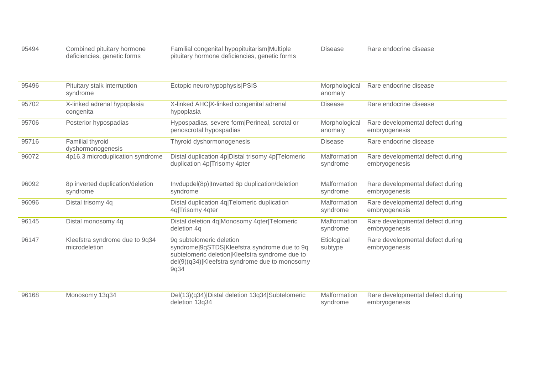| 95494 | Combined pituitary hormone  | Familial congenital hypopituitarism Multiple  | Disease | Rare endocrine disease |
|-------|-----------------------------|-----------------------------------------------|---------|------------------------|
|       | deficiencies, genetic forms | pituitary hormone deficiencies, genetic forms |         |                        |

| 95496 | Pituitary stalk interruption<br>syndrome        | Ectopic neurohypophysis PSIS                                                                                                                                                          | Morphological<br>anomaly | Rare endocrine disease                            |
|-------|-------------------------------------------------|---------------------------------------------------------------------------------------------------------------------------------------------------------------------------------------|--------------------------|---------------------------------------------------|
| 95702 | X-linked adrenal hypoplasia<br>congenita        | X-linked AHC X-linked congenital adrenal<br>hypoplasia                                                                                                                                | <b>Disease</b>           | Rare endocrine disease                            |
| 95706 | Posterior hypospadias                           | Hypospadias, severe form   Perineal, scrotal or<br>penoscrotal hypospadias                                                                                                            | Morphological<br>anomaly | Rare developmental defect during<br>embryogenesis |
| 95716 | Familial thyroid<br>dyshormonogenesis           | Thyroid dyshormonogenesis                                                                                                                                                             | <b>Disease</b>           | Rare endocrine disease                            |
| 96072 | 4p16.3 microduplication syndrome                | Distal duplication 4p Distal trisomy 4p Telomeric<br>duplication 4p Trisomy 4pter                                                                                                     | Malformation<br>syndrome | Rare developmental defect during<br>embryogenesis |
| 96092 | 8p inverted duplication/deletion<br>syndrome    | Invdupdel(8p) Inverted 8p duplication/deletion<br>syndrome                                                                                                                            | Malformation<br>syndrome | Rare developmental defect during<br>embryogenesis |
| 96096 | Distal trisomy 4q                               | Distal duplication 4q Telomeric duplication<br>4q Trisomy 4qter                                                                                                                       | Malformation<br>syndrome | Rare developmental defect during<br>embryogenesis |
| 96145 | Distal monosomy 4q                              | Distal deletion 4q Monosomy 4qter Telomeric<br>deletion 4q                                                                                                                            | Malformation<br>syndrome | Rare developmental defect during<br>embryogenesis |
| 96147 | Kleefstra syndrome due to 9q34<br>microdeletion | 9q subtelomeric deletion<br>syndrome 9qSTDS Kleefstra syndrome due to 9q<br>subtelomeric deletion Kleefstra syndrome due to<br>del(9)(q34) Kleefstra syndrome due to monosomy<br>9q34 | Etiological<br>subtype   | Rare developmental defect during<br>embryogenesis |
| 96168 | Monosomy 13q34                                  | Del(13)(q34) Distal deletion 13q34 Subtelomeric<br>deletion 13q34                                                                                                                     | Malformation<br>syndrome | Rare developmental defect during<br>embryogenesis |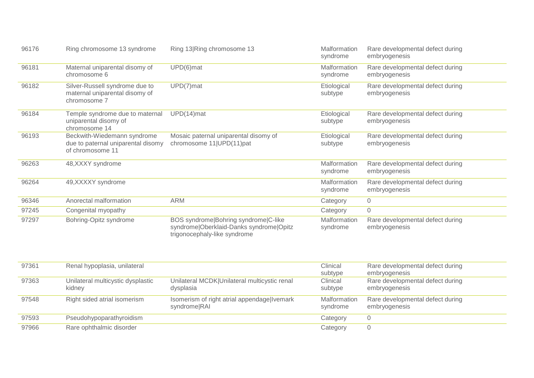| 96176 | Ring chromosome 13 syndrome                                                           | Ring 13 Ring chromosome 13                                                                                      | Malformation<br>syndrome | Rare developmental defect during<br>embryogenesis |
|-------|---------------------------------------------------------------------------------------|-----------------------------------------------------------------------------------------------------------------|--------------------------|---------------------------------------------------|
| 96181 | Maternal uniparental disomy of<br>chromosome 6                                        | UPD(6)mat                                                                                                       | Malformation<br>syndrome | Rare developmental defect during<br>embryogenesis |
| 96182 | Silver-Russell syndrome due to<br>maternal uniparental disomy of<br>chromosome 7      | UPD(7)mat                                                                                                       | Etiological<br>subtype   | Rare developmental defect during<br>embryogenesis |
| 96184 | Temple syndrome due to maternal<br>uniparental disomy of<br>chromosome 14             | $UPD(14)$ mat                                                                                                   | Etiological<br>subtype   | Rare developmental defect during<br>embryogenesis |
| 96193 | Beckwith-Wiedemann syndrome<br>due to paternal uniparental disomy<br>of chromosome 11 | Mosaic paternal uniparental disomy of<br>chromosome 11 UPD(11)pat                                               | Etiological<br>subtype   | Rare developmental defect during<br>embryogenesis |
| 96263 | 48, XXXY syndrome                                                                     |                                                                                                                 | Malformation<br>syndrome | Rare developmental defect during<br>embryogenesis |
| 96264 | 49, XXXXY syndrome                                                                    |                                                                                                                 | Malformation<br>syndrome | Rare developmental defect during<br>embryogenesis |
| 96346 | Anorectal malformation                                                                | <b>ARM</b>                                                                                                      | Category                 | $\mathbf 0$                                       |
| 97245 | Congenital myopathy                                                                   |                                                                                                                 | Category                 | $\mathbf 0$                                       |
| 97297 | Bohring-Opitz syndrome                                                                | BOS syndrome Bohring syndrome C-like<br>syndrome Oberklaid-Danks syndrome Opitz<br>trigonocephaly-like syndrome | Malformation<br>syndrome | Rare developmental defect during<br>embryogenesis |

| 97361 | Renal hypoplasia, unilateral                |                                                             | Clinical<br>subtype      | Rare developmental defect during<br>embryogenesis |
|-------|---------------------------------------------|-------------------------------------------------------------|--------------------------|---------------------------------------------------|
| 97363 | Unilateral multicystic dysplastic<br>kidney | Unilateral MCDK Unilateral multicystic renal<br>dysplasia   | Clinical<br>subtype      | Rare developmental defect during<br>embryogenesis |
| 97548 | Right sided atrial isomerism                | Isomerism of right atrial appendage Ivemark<br>syndrome RAI | Malformation<br>syndrome | Rare developmental defect during<br>embryogenesis |
| 97593 | Pseudohypoparathyroidism                    |                                                             | Category                 |                                                   |
| 97966 | Rare ophthalmic disorder                    |                                                             | Category                 |                                                   |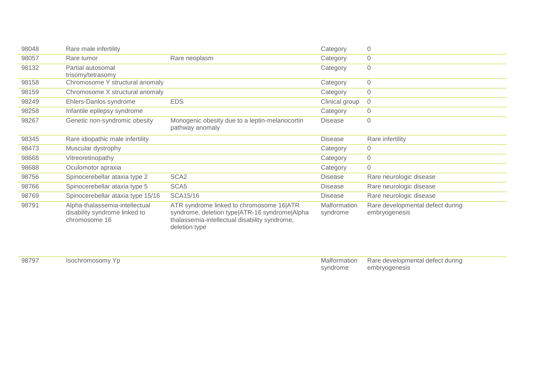| 98048 | Rare male infertility                                                            |                                                                                                                                                             | Category                 | $\overline{0}$                                    |
|-------|----------------------------------------------------------------------------------|-------------------------------------------------------------------------------------------------------------------------------------------------------------|--------------------------|---------------------------------------------------|
| 98057 | Rare tumor                                                                       | Rare neoplasm                                                                                                                                               | Category                 | $\mathsf{O}\xspace$                               |
| 98132 | Partial autosomal<br>trisomy/tetrasomy                                           |                                                                                                                                                             | Category                 | $\overline{0}$                                    |
| 98158 | Chromosome Y structural anomaly                                                  |                                                                                                                                                             | Category                 | $\mathbf 0$                                       |
| 98159 | Chromosome X structural anomaly                                                  |                                                                                                                                                             | Category                 | $\overline{0}$                                    |
| 98249 | Ehlers-Danlos syndrome                                                           | <b>EDS</b>                                                                                                                                                  | Clinical group           | $\overline{0}$                                    |
| 98258 | Infantile epilepsy syndrome                                                      |                                                                                                                                                             | Category                 | $\mathbf 0$                                       |
| 98267 | Genetic non-syndromic obesity                                                    | Monogenic obesity due to a leptin-melanocortin<br>pathway anomaly                                                                                           | <b>Disease</b>           | $\mathbf 0$                                       |
| 98345 | Rare idiopathic male infertility                                                 |                                                                                                                                                             | <b>Disease</b>           | Rare infertility                                  |
| 98473 | Muscular dystrophy                                                               |                                                                                                                                                             | Category                 | $\Omega$                                          |
| 98668 | Vitreoretinopathy                                                                |                                                                                                                                                             | Category                 | $\sqrt{a}$                                        |
| 98688 | Oculomotor apraxia                                                               |                                                                                                                                                             | Category                 | $\overline{0}$                                    |
| 98756 | Spinocerebellar ataxia type 2                                                    | SCA <sub>2</sub>                                                                                                                                            | <b>Disease</b>           | Rare neurologic disease                           |
| 98766 | Spinocerebellar ataxia type 5                                                    | SCA <sub>5</sub>                                                                                                                                            | <b>Disease</b>           | Rare neurologic disease                           |
| 98769 | Spinocerebellar ataxia type 15/16                                                | SCA15/16                                                                                                                                                    | <b>Disease</b>           | Rare neurologic disease                           |
| 98791 | Alpha-thalassemia-intellectual<br>disability syndrome linked to<br>chromosome 16 | ATR syndrome linked to chromosome 16 ATR<br>syndrome, deletion type ATR-16 syndrome Alpha<br>thalassemia-intellectual disability syndrome,<br>deletion type | Malformation<br>syndrome | Rare developmental defect during<br>embryogenesis |

| 98797 | Isochromosomy Yp |  |
|-------|------------------|--|
|-------|------------------|--|

**Malformation** syndrome Rare developmental defect during embryogenesis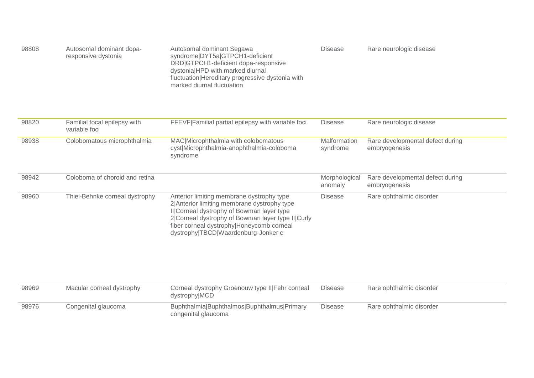| 98808 | Autosomal dominant dopa-<br>responsive dystonia | Autosomal dominant Segawa<br>syndrome DYT5a GTPCH1-deficient<br>DRD GTPCH1-deficient dopa-responsive<br>dystonialHPD with marked diurnal<br>fluctuation Hereditary progressive dystonia with<br>marked diurnal fluctuation | Disease | Rare neurologic disease |
|-------|-------------------------------------------------|----------------------------------------------------------------------------------------------------------------------------------------------------------------------------------------------------------------------------|---------|-------------------------|
|-------|-------------------------------------------------|----------------------------------------------------------------------------------------------------------------------------------------------------------------------------------------------------------------------------|---------|-------------------------|

| 98820 | Familial focal epilepsy with<br>variable foci | FFEVF Familial partial epilepsy with variable foci                                                                                                                                                                                                                             | <b>Disease</b>           | Rare neurologic disease                           |
|-------|-----------------------------------------------|--------------------------------------------------------------------------------------------------------------------------------------------------------------------------------------------------------------------------------------------------------------------------------|--------------------------|---------------------------------------------------|
| 98938 | Colobomatous microphthalmia                   | MAC Microphthalmia with colobomatous<br>cyst Microphthalmia-anophthalmia-coloboma<br>syndrome                                                                                                                                                                                  | Malformation<br>syndrome | Rare developmental defect during<br>embryogenesis |
| 98942 | Coloboma of choroid and retina                |                                                                                                                                                                                                                                                                                | Morphological<br>anomaly | Rare developmental defect during<br>embryogenesis |
| 98960 | Thiel-Behnke corneal dystrophy                | Anterior limiting membrane dystrophy type<br>2 Anterior limiting membrane dystrophy type<br>II Corneal dystrophy of Bowman layer type<br>2 Corneal dystrophy of Bowman layer type II Curly<br>fiber corneal dystrophy Honeycomb corneal<br>dystrophy TBCD Waardenburg-Jonker c | Disease                  | Rare ophthalmic disorder                          |

| 98969 | Macular corneal dystrophy | Corneal dystrophy Groenouw type II Fehr corneal<br>dystrophy MCD   | Disease | Rare ophthalmic disorder |
|-------|---------------------------|--------------------------------------------------------------------|---------|--------------------------|
| 98976 | Congenital glaucoma       | Buphthalmia Buphthalmos Buphthalmus Primary<br>congenital glaucoma | Disease | Rare ophthalmic disorder |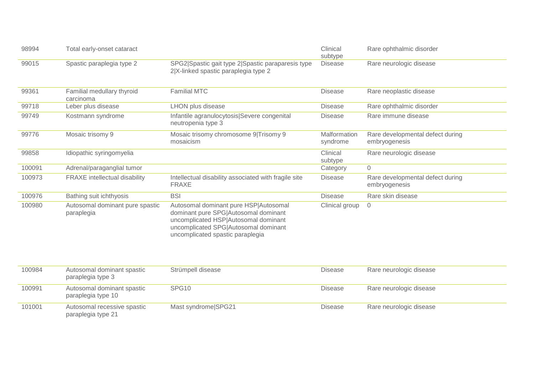| 98994  | Total early-onset cataract                    |                                                                                                                                                                                                   | Clinical<br>subtype      | Rare ophthalmic disorder                          |
|--------|-----------------------------------------------|---------------------------------------------------------------------------------------------------------------------------------------------------------------------------------------------------|--------------------------|---------------------------------------------------|
| 99015  | Spastic paraplegia type 2                     | SPG2 Spastic gait type 2 Spastic paraparesis type<br>2 X-linked spastic paraplegia type 2                                                                                                         | <b>Disease</b>           | Rare neurologic disease                           |
| 99361  | Familial medullary thyroid<br>carcinoma       | <b>Familial MTC</b>                                                                                                                                                                               | <b>Disease</b>           | Rare neoplastic disease                           |
| 99718  | Leber plus disease                            | LHON plus disease                                                                                                                                                                                 | <b>Disease</b>           | Rare ophthalmic disorder                          |
| 99749  | Kostmann syndrome                             | Infantile agranulocytosis Severe congenital<br>neutropenia type 3                                                                                                                                 | <b>Disease</b>           | Rare immune disease                               |
| 99776  | Mosaic trisomy 9                              | Mosaic trisomy chromosome 9 Trisomy 9<br>mosaicism                                                                                                                                                | Malformation<br>syndrome | Rare developmental defect during<br>embryogenesis |
| 99858  | Idiopathic syringomyelia                      |                                                                                                                                                                                                   | Clinical<br>subtype      | Rare neurologic disease                           |
| 100091 | Adrenal/paraganglial tumor                    |                                                                                                                                                                                                   | Category                 | $\overline{0}$                                    |
| 100973 | <b>FRAXE</b> intellectual disability          | Intellectual disability associated with fragile site<br><b>FRAXE</b>                                                                                                                              | <b>Disease</b>           | Rare developmental defect during<br>embryogenesis |
| 100976 | Bathing suit ichthyosis                       | <b>BSI</b>                                                                                                                                                                                        | <b>Disease</b>           | Rare skin disease                                 |
| 100980 | Autosomal dominant pure spastic<br>paraplegia | Autosomal dominant pure HSP Autosomal<br>dominant pure SPG Autosomal dominant<br>uncomplicated HSP Autosomal dominant<br>uncomplicated SPG Autosomal dominant<br>uncomplicated spastic paraplegia | Clinical group           | $\overline{0}$                                    |

| 100984 | Autosomal dominant spastic<br>paraplegia type 3   | Strümpell disease   | Rare neurologic disease<br><b>Disease</b> |
|--------|---------------------------------------------------|---------------------|-------------------------------------------|
| 100991 | Autosomal dominant spastic<br>paraplegia type 10  | SPG <sub>10</sub>   | Rare neurologic disease<br><b>Disease</b> |
| 101001 | Autosomal recessive spastic<br>paraplegia type 21 | Mast syndrome SPG21 | Rare neurologic disease<br>Disease        |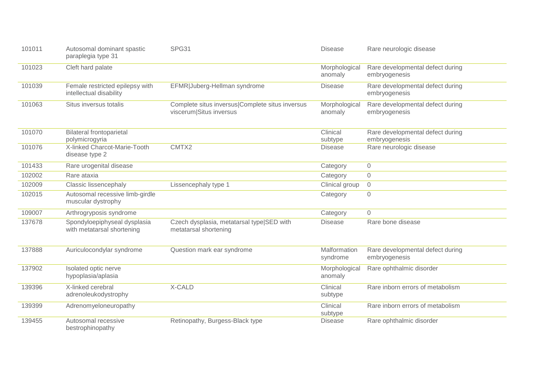| 101011 | Autosomal dominant spastic<br>paraplegia type 31           | SPG31                                                                      | <b>Disease</b>           | Rare neurologic disease                           |
|--------|------------------------------------------------------------|----------------------------------------------------------------------------|--------------------------|---------------------------------------------------|
| 101023 | Cleft hard palate                                          |                                                                            | Morphological<br>anomaly | Rare developmental defect during<br>embryogenesis |
| 101039 | Female restricted epilepsy with<br>intellectual disability | EFMR Juberg-Hellman syndrome                                               | <b>Disease</b>           | Rare developmental defect during<br>embryogenesis |
| 101063 | Situs inversus totalis                                     | Complete situs inversus Complete situs inversus<br>viscerum Situs inversus | Morphological<br>anomaly | Rare developmental defect during<br>embryogenesis |
| 101070 | <b>Bilateral frontoparietal</b><br>polymicrogyria          |                                                                            | Clinical<br>subtype      | Rare developmental defect during<br>embryogenesis |
| 101076 | X-linked Charcot-Marie-Tooth<br>disease type 2             | CMTX2                                                                      | <b>Disease</b>           | Rare neurologic disease                           |
| 101433 | Rare urogenital disease                                    |                                                                            | Category                 | $\overline{0}$                                    |
| 102002 | Rare ataxia                                                |                                                                            | Category                 | $\mathbf 0$                                       |
| 102009 | Classic lissencephaly                                      | Lissencephaly type 1                                                       | Clinical group           | $\overline{0}$                                    |
| 102015 | Autosomal recessive limb-girdle<br>muscular dystrophy      |                                                                            | Category                 | $\mathbf 0$                                       |
| 109007 | Arthrogryposis syndrome                                    |                                                                            | Category                 | $\Omega$                                          |
| 137678 | Spondyloepiphyseal dysplasia<br>with metatarsal shortening | Czech dysplasia, metatarsal type SED with<br>metatarsal shortening         | <b>Disease</b>           | Rare bone disease                                 |
| 137888 | Auriculocondylar syndrome                                  | Question mark ear syndrome                                                 | Malformation<br>syndrome | Rare developmental defect during<br>embryogenesis |
| 137902 | Isolated optic nerve<br>hypoplasia/aplasia                 |                                                                            | Morphological<br>anomaly | Rare ophthalmic disorder                          |
| 139396 | X-linked cerebral<br>adrenoleukodystrophy                  | X-CALD                                                                     | Clinical<br>subtype      | Rare inborn errors of metabolism                  |
| 139399 | Adrenomyeloneuropathy                                      |                                                                            | Clinical<br>subtype      | Rare inborn errors of metabolism                  |
| 139455 | Autosomal recessive<br>bestrophinopathy                    | Retinopathy, Burgess-Black type                                            | <b>Disease</b>           | Rare ophthalmic disorder                          |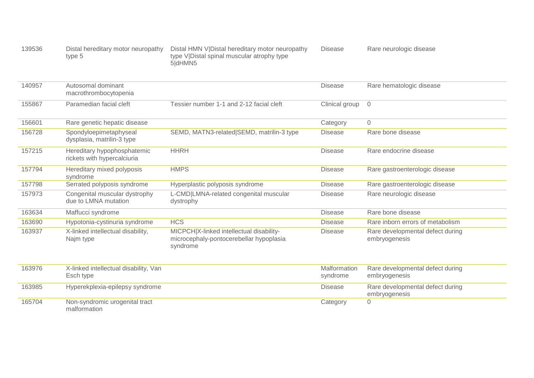| 139536 | Distal hereditary motor neuropathy<br>type 5               | Distal HMN V Distal hereditary motor neuropathy<br>type V Distal spinal muscular atrophy type<br>5dHMN5 | <b>Disease</b>           | Rare neurologic disease                           |
|--------|------------------------------------------------------------|---------------------------------------------------------------------------------------------------------|--------------------------|---------------------------------------------------|
| 140957 | Autosomal dominant<br>macrothrombocytopenia                |                                                                                                         | <b>Disease</b>           | Rare hematologic disease                          |
| 155867 | Paramedian facial cleft                                    | Tessier number 1-1 and 2-12 facial cleft                                                                | Clinical group           | $\overline{0}$                                    |
| 156601 | Rare genetic hepatic disease                               |                                                                                                         | Category                 | $\sqrt{a}$                                        |
| 156728 | Spondyloepimetaphyseal<br>dysplasia, matrilin-3 type       | SEMD, MATN3-related SEMD, matrilin-3 type                                                               | <b>Disease</b>           | Rare bone disease                                 |
| 157215 | Hereditary hypophosphatemic<br>rickets with hypercalciuria | <b>HHRH</b>                                                                                             | <b>Disease</b>           | Rare endocrine disease                            |
| 157794 | Hereditary mixed polyposis<br>syndrome                     | <b>HMPS</b>                                                                                             | <b>Disease</b>           | Rare gastroenterologic disease                    |
| 157798 | Serrated polyposis syndrome                                | Hyperplastic polyposis syndrome                                                                         | <b>Disease</b>           | Rare gastroenterologic disease                    |
| 157973 | Congenital muscular dystrophy<br>due to LMNA mutation      | L-CMD LMNA-related congenital muscular<br>dystrophy                                                     | <b>Disease</b>           | Rare neurologic disease                           |
| 163634 | Maffucci syndrome                                          |                                                                                                         | <b>Disease</b>           | Rare bone disease                                 |
| 163690 | Hypotonia-cystinuria syndrome                              | <b>HCS</b>                                                                                              | <b>Disease</b>           | Rare inborn errors of metabolism                  |
| 163937 | X-linked intellectual disability,<br>Najm type             | MICPCH X-linked intellectual disability-<br>microcephaly-pontocerebellar hypoplasia<br>syndrome         | <b>Disease</b>           | Rare developmental defect during<br>embryogenesis |
| 163976 | X-linked intellectual disability, Van<br>Esch type         |                                                                                                         | Malformation<br>syndrome | Rare developmental defect during<br>embryogenesis |
| 163985 | Hyperekplexia-epilepsy syndrome                            |                                                                                                         | <b>Disease</b>           | Rare developmental defect during<br>embryogenesis |
| 165704 | Non-syndromic urogenital tract<br>malformation             |                                                                                                         | Category                 | $\mathbf 0$                                       |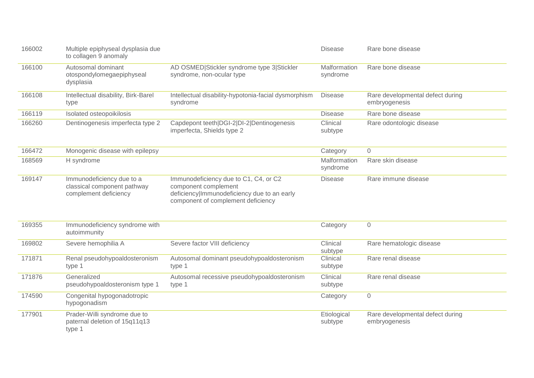| 166002 | Multiple epiphyseal dysplasia due<br>to collagen 9 anomaly                        |                                                                                                                                                    | <b>Disease</b>           | Rare bone disease                                 |
|--------|-----------------------------------------------------------------------------------|----------------------------------------------------------------------------------------------------------------------------------------------------|--------------------------|---------------------------------------------------|
| 166100 | Autosomal dominant<br>otospondylomegaepiphyseal<br>dysplasia                      | AD OSMED Stickler syndrome type 3 Stickler<br>syndrome, non-ocular type                                                                            | Malformation<br>syndrome | Rare bone disease                                 |
| 166108 | Intellectual disability, Birk-Barel<br>type                                       | Intellectual disability-hypotonia-facial dysmorphism<br>syndrome                                                                                   | <b>Disease</b>           | Rare developmental defect during<br>embryogenesis |
| 166119 | Isolated osteopoikilosis                                                          |                                                                                                                                                    | <b>Disease</b>           | Rare bone disease                                 |
| 166260 | Dentinogenesis imperfecta type 2                                                  | Capdepont teeth DGI-2 DI-2 Dentinogenesis<br>imperfecta, Shields type 2                                                                            | Clinical<br>subtype      | Rare odontologic disease                          |
| 166472 | Monogenic disease with epilepsy                                                   |                                                                                                                                                    | Category                 | $\overline{0}$                                    |
| 168569 | H syndrome                                                                        |                                                                                                                                                    | Malformation<br>syndrome | Rare skin disease                                 |
| 169147 | Immunodeficiency due to a<br>classical component pathway<br>complement deficiency | Immunodeficiency due to C1, C4, or C2<br>component complement<br>deficiency Immunodeficiency due to an early<br>component of complement deficiency | <b>Disease</b>           | Rare immune disease                               |
| 169355 | Immunodeficiency syndrome with<br>autoimmunity                                    |                                                                                                                                                    | Category                 | $\sqrt{a}$                                        |
| 169802 | Severe hemophilia A                                                               | Severe factor VIII deficiency                                                                                                                      | Clinical<br>subtype      | Rare hematologic disease                          |
| 171871 | Renal pseudohypoaldosteronism<br>type 1                                           | Autosomal dominant pseudohypoaldosteronism<br>type 1                                                                                               | Clinical<br>subtype      | Rare renal disease                                |
| 171876 | Generalized<br>pseudohypoaldosteronism type 1                                     | Autosomal recessive pseudohypoaldosteronism<br>type 1                                                                                              | Clinical<br>subtype      | Rare renal disease                                |
| 174590 | Congenital hypogonadotropic<br>hypogonadism                                       |                                                                                                                                                    | Category                 | $\overline{0}$                                    |
| 177901 | Prader-Willi syndrome due to<br>paternal deletion of 15q11q13<br>type 1           |                                                                                                                                                    | Etiological<br>subtype   | Rare developmental defect during<br>embryogenesis |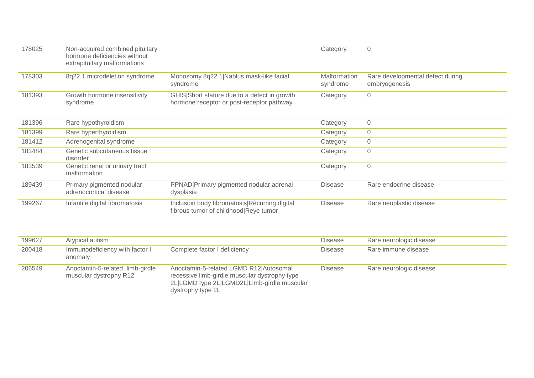| 178025 | Non-acquired combined pituitary<br>hormone deficiencies without<br>extrapituitary malformations |                                                                                           | Category                        | $\overline{0}$                                    |
|--------|-------------------------------------------------------------------------------------------------|-------------------------------------------------------------------------------------------|---------------------------------|---------------------------------------------------|
| 178303 | 8q22.1 microdeletion syndrome                                                                   | Monosomy 8q22.1   Nablus mask-like facial<br>syndrome                                     | <b>Malformation</b><br>syndrome | Rare developmental defect during<br>embryogenesis |
| 181393 | Growth hormone insensitivity<br>syndrome                                                        | GHIS Short stature due to a defect in growth<br>hormone receptor or post-receptor pathway | Category                        | $\mathsf{O}\xspace$                               |
| 181396 | Rare hypothyroidism                                                                             |                                                                                           | Category                        | $\mathsf{O}\xspace$                               |
| 181399 | Rare hyperthyroidism                                                                            |                                                                                           | Category                        | $\mathsf{O}\xspace$                               |
| 181412 | Adrenogenital syndrome                                                                          |                                                                                           | Category                        | $\mathbf 0$                                       |
| 183484 | Genetic subcutaneous tissue<br>disorder                                                         |                                                                                           | Category                        | $\overline{0}$                                    |
| 183539 | Genetic renal or urinary tract<br>malformation                                                  |                                                                                           | Category                        | $\mathbf 0$                                       |
| 189439 | Primary pigmented nodular<br>adrenocortical disease                                             | PPNAD Primary pigmented nodular adrenal<br>dysplasia                                      | <b>Disease</b>                  | Rare endocrine disease                            |
| 199267 | Infantile digital fibromatosis                                                                  | Inclusion body fibromatosis Recurring digital<br>fibrous tumor of childhood Reye tumor    | <b>Disease</b>                  | Rare neoplastic disease                           |

| 199627 | Atypical autism                                           |                                                                                                                                                             | <b>Disease</b> | Rare neurologic disease |
|--------|-----------------------------------------------------------|-------------------------------------------------------------------------------------------------------------------------------------------------------------|----------------|-------------------------|
| 200418 | Immunodeficiency with factor I<br>anomaly                 | Complete factor I deficiency                                                                                                                                | <b>Disease</b> | Rare immune disease     |
| 206549 | Anoctamin-5-related limb-girdle<br>muscular dystrophy R12 | Anoctamin-5-related LGMD R12 Autosomal<br>recessive limb-girdle muscular dystrophy type<br>2L LGMD type 2L LGMD2L Limb-girdle muscular<br>dystrophy type 2L | <b>Disease</b> | Rare neurologic disease |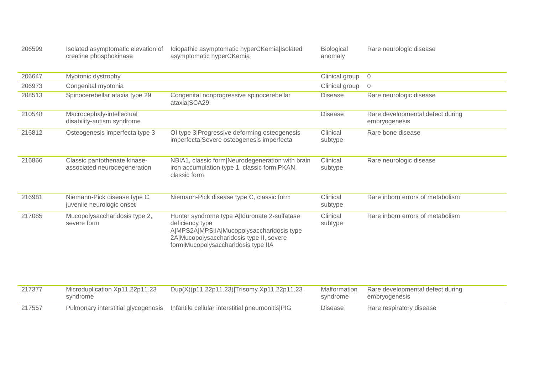| 206599 |                        | Isolated asymptomatic elevation of Idiopathic asymptomatic hyperCKemia Isolated | Biological | Rare neurologic disease |
|--------|------------------------|---------------------------------------------------------------------------------|------------|-------------------------|
|        | creatine phosphokinase | asymptomatic hyperCKemia                                                        | anomaly    |                         |

| 206647 | Myotonic dystrophy                                           |                                                                                                                                                                                                 | Clinical group      | $\Omega$                                          |
|--------|--------------------------------------------------------------|-------------------------------------------------------------------------------------------------------------------------------------------------------------------------------------------------|---------------------|---------------------------------------------------|
| 206973 | Congenital myotonia                                          |                                                                                                                                                                                                 | Clinical group      | $\overline{0}$                                    |
| 208513 | Spinocerebellar ataxia type 29                               | Congenital nonprogressive spinocerebellar<br>ataxia SCA29                                                                                                                                       | <b>Disease</b>      | Rare neurologic disease                           |
| 210548 | Macrocephaly-intellectual<br>disability-autism syndrome      |                                                                                                                                                                                                 | <b>Disease</b>      | Rare developmental defect during<br>embryogenesis |
| 216812 | Osteogenesis imperfecta type 3                               | OI type 3 Progressive deforming osteogenesis<br>imperfecta Severe osteogenesis imperfecta                                                                                                       | Clinical<br>subtype | Rare bone disease                                 |
| 216866 | Classic pantothenate kinase-<br>associated neurodegeneration | NBIA1, classic form Neurodegeneration with brain<br>iron accumulation type 1, classic form   PKAN,<br>classic form                                                                              | Clinical<br>subtype | Rare neurologic disease                           |
| 216981 | Niemann-Pick disease type C,<br>juvenile neurologic onset    | Niemann-Pick disease type C, classic form                                                                                                                                                       | Clinical<br>subtype | Rare inborn errors of metabolism                  |
| 217085 | Mucopolysaccharidosis type 2,<br>severe form                 | Hunter syndrome type Allduronate 2-sulfatase<br>deficiency type<br>A MPS2A MPSIIA Mucopolysaccharidosis type<br>2A Mucopolysaccharidosis type II, severe<br>form Mucopolysaccharidosis type IIA | Clinical<br>subtype | Rare inborn errors of metabolism                  |

| 217377 | Microduplication Xp11.22p11.23<br>syndrome | Dup(X)(p11.22p11.23) Trisomy Xp11.22p11.23                                           | syndrome | Malformation Rare developmental defect during<br>embryogenesis |
|--------|--------------------------------------------|--------------------------------------------------------------------------------------|----------|----------------------------------------------------------------|
| 217557 |                                            | Pulmonary interstitial glycogenosis  Infantile cellular interstitial pneumonitis PIG | Disease  | Rare respiratory disease                                       |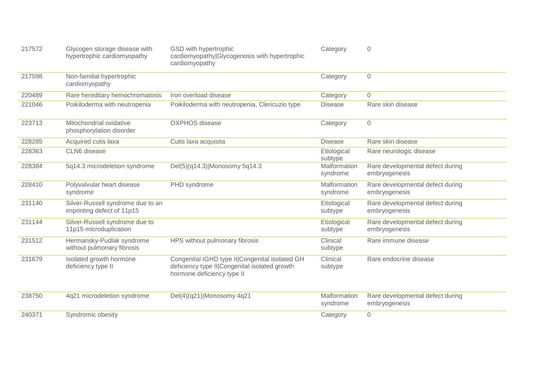| 217572 | Glycogen storage disease with<br>hypertrophic cardiomyopathy    | GSD with hypertrophic<br>cardiomyopathy Glycogenosis with hypertrophic<br>cardiomyopathy                                        | Category                        | 0                                                 |
|--------|-----------------------------------------------------------------|---------------------------------------------------------------------------------------------------------------------------------|---------------------------------|---------------------------------------------------|
| 217598 | Non-familial hypertrophic<br>cardiomyopathy                     |                                                                                                                                 | Category                        | $\overline{0}$                                    |
| 220489 | Rare hereditary hemochromatosis                                 | Iron overload disease                                                                                                           | Category                        | $\mathbf 0$                                       |
| 221046 | Poikiloderma with neutropenia                                   | Poikiloderma with neutropenia, Clericuzio type                                                                                  | <b>Disease</b>                  | Rare skin disease                                 |
| 223713 | Mitochondrial oxidative<br>phosphorylation disorder             | <b>OXPHOS</b> disease                                                                                                           | Category                        | $\overline{0}$                                    |
| 228285 | Acquired cutis laxa                                             | Cutis laxa acquisita                                                                                                            | <b>Disease</b>                  | Rare skin disease                                 |
| 228363 | CLN6 disease                                                    |                                                                                                                                 | Etiological<br>subtype          | Rare neurologic disease                           |
| 228384 | 5q14.3 microdeletion syndrome                                   | Del(5)(q14.3) Monosomy 5q14.3                                                                                                   | Malformation<br>syndrome        | Rare developmental defect during<br>embryogenesis |
| 228410 | Polyvalvular heart disease<br>syndrome                          | PHD syndrome                                                                                                                    | <b>Malformation</b><br>syndrome | Rare developmental defect during<br>embryogenesis |
| 231140 | Silver-Russell syndrome due to an<br>imprinting defect of 11p15 |                                                                                                                                 | Etiological<br>subtype          | Rare developmental defect during<br>embryogenesis |
| 231144 | Silver-Russell syndrome due to<br>11p15 microduplication        |                                                                                                                                 | Etiological<br>subtype          | Rare developmental defect during<br>embryogenesis |
| 231512 | Hermansky-Pudlak syndrome<br>without pulmonary fibrosis         | HPS without pulmonary fibrosis                                                                                                  | Clinical<br>subtype             | Rare immune disease                               |
| 231679 | Isolated growth hormone<br>deficiency type II                   | Congenital IGHD type II  Congenital isolated GH<br>deficiency type II  Congenital isolated growth<br>hormone deficiency type II | Clinical<br>subtype             | Rare endocrine disease                            |
| 238750 | 4q21 microdeletion syndrome                                     | Del(4)(q21) Monosomy 4q21                                                                                                       | Malformation<br>syndrome        | Rare developmental defect during<br>embryogenesis |
| 240371 | Syndromic obesity                                               |                                                                                                                                 | Category                        | $\overline{0}$                                    |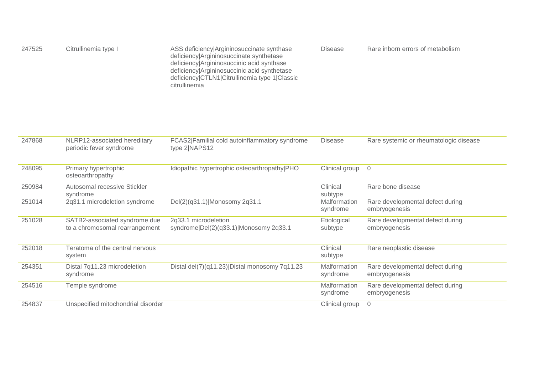| 247525 | Citrullinemia type I                                            | ASS deficiency Argininosuccinate synthase<br>deficiency Argininosuccinate synthetase<br>deficiency Argininosuccinic acid synthase<br>deficiency Argininosuccinic acid synthetase<br>deficiency CTLN1 Citrullinemia type 1 Classic<br>citrullinemia | <b>Disease</b>           | Rare inborn errors of metabolism                  |
|--------|-----------------------------------------------------------------|----------------------------------------------------------------------------------------------------------------------------------------------------------------------------------------------------------------------------------------------------|--------------------------|---------------------------------------------------|
| 247868 | NLRP12-associated hereditary<br>periodic fever syndrome         | FCAS2 Familial cold autoinflammatory syndrome<br>type 2 NAPS12                                                                                                                                                                                     | <b>Disease</b>           | Rare systemic or rheumatologic disease            |
| 248095 | Primary hypertrophic<br>osteoarthropathy                        | Idiopathic hypertrophic osteoarthropathy PHO                                                                                                                                                                                                       | Clinical group           | $\overline{0}$                                    |
| 250984 | Autosomal recessive Stickler<br>syndrome                        |                                                                                                                                                                                                                                                    | Clinical<br>subtype      | Rare bone disease                                 |
| 251014 | 2q31.1 microdeletion syndrome                                   | Del(2)(q31.1) Monosomy 2q31.1                                                                                                                                                                                                                      | Malformation<br>syndrome | Rare developmental defect during<br>embryogenesis |
| 251028 | SATB2-associated syndrome due<br>to a chromosomal rearrangement | 2q33.1 microdeletion<br>syndrome Del(2)(q33.1) Monosomy 2q33.1                                                                                                                                                                                     | Etiological<br>subtype   | Rare developmental defect during<br>embryogenesis |
| 252018 | Teratoma of the central nervous<br>system                       |                                                                                                                                                                                                                                                    | Clinical<br>subtype      | Rare neoplastic disease                           |
| 254351 | Distal 7q11.23 microdeletion<br>syndrome                        | Distal del(7)(q11.23) Distal monosomy 7q11.23                                                                                                                                                                                                      | Malformation<br>syndrome | Rare developmental defect during<br>embryogenesis |
| 254516 | Temple syndrome                                                 |                                                                                                                                                                                                                                                    | Malformation<br>syndrome | Rare developmental defect during<br>embryogenesis |
| 254837 | Unspecified mitochondrial disorder                              |                                                                                                                                                                                                                                                    | Clinical group           | $\overline{0}$                                    |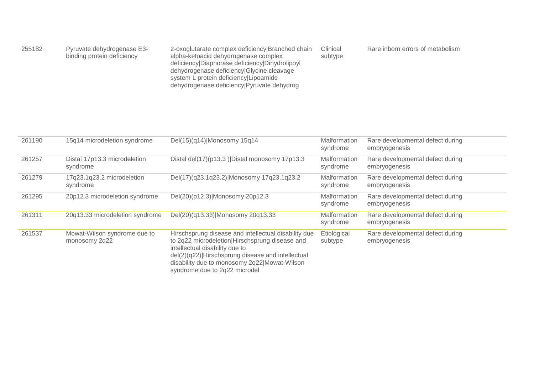| 255182 | Pyruvate dehydrogenase E3-<br>binding protein deficiency | 2-oxoglutarate complex deficiency Branched chain<br>alpha-ketoacid dehydrogenase complex<br>deficiency Diaphorase deficiency Dihydrolipoyl<br>dehydrogenase deficiency Glycine cleavage<br>system L protein deficiency Lipoamide<br>dehydrogenase deficiency Pyruvate dehydrog | Clinical<br>subtype | Rare inborn errors of metabolism |
|--------|----------------------------------------------------------|--------------------------------------------------------------------------------------------------------------------------------------------------------------------------------------------------------------------------------------------------------------------------------|---------------------|----------------------------------|
|--------|----------------------------------------------------------|--------------------------------------------------------------------------------------------------------------------------------------------------------------------------------------------------------------------------------------------------------------------------------|---------------------|----------------------------------|

| 261190 | 15q14 microdeletion syndrome                  | Del(15)(q14) Monosomy 15q14                                                                                                                                                                                                                                                    | Malformation<br>syndrome        | Rare developmental defect during<br>embryogenesis |
|--------|-----------------------------------------------|--------------------------------------------------------------------------------------------------------------------------------------------------------------------------------------------------------------------------------------------------------------------------------|---------------------------------|---------------------------------------------------|
| 261257 | Distal 17p13.3 microdeletion<br>syndrome      | Distal del(17)(p13.3)   Distal monosomy 17p13.3                                                                                                                                                                                                                                | Malformation<br>syndrome        | Rare developmental defect during<br>embryogenesis |
| 261279 | 17q23.1q23.2 microdeletion<br>syndrome        | Del(17)(q23.1q23.2) Monosomy 17q23.1q23.2                                                                                                                                                                                                                                      | <b>Malformation</b><br>syndrome | Rare developmental defect during<br>embryogenesis |
| 261295 | 20p12.3 microdeletion syndrome                | Del(20)(p12.3) Monosomy 20p12.3                                                                                                                                                                                                                                                | Malformation<br>syndrome        | Rare developmental defect during<br>embryogenesis |
| 261311 | 20q13.33 microdeletion syndrome               | Del(20)(q13.33) Monosomy 20q13.33                                                                                                                                                                                                                                              | Malformation<br>syndrome        | Rare developmental defect during<br>embryogenesis |
| 261537 | Mowat-Wilson syndrome due to<br>monosomy 2q22 | Hirschsprung disease and intellectual disability due<br>to 2q22 microdeletion Hirschsprung disease and<br>intellectual disability due to<br>del(2)(q22) Hirschsprung disease and intellectual<br>disability due to monosomy 2q22 Mowat-Wilson<br>syndrome due to 2q22 microdel | Etiological<br>subtype          | Rare developmental defect during<br>embryogenesis |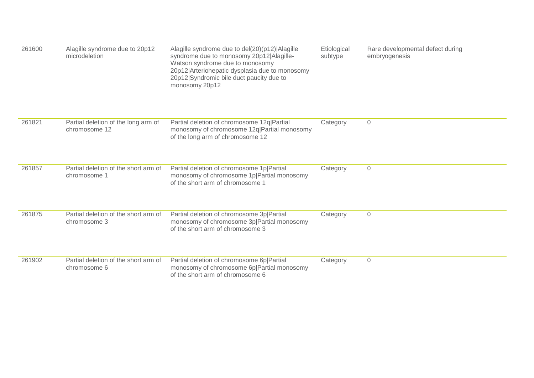| 261600 | Alagille syndrome due to 20p12<br>microdeletion      | Alagille syndrome due to del(20)(p12) Alagille<br>syndrome due to monosomy 20p12 Alagille-<br>Watson syndrome due to monosomy<br>20p12 Arteriohepatic dysplasia due to monosomy<br>20p12 Syndromic bile duct paucity due to<br>monosomy 20p12 | Etiological<br>subtype | Rare developmental defect during<br>embryogenesis |
|--------|------------------------------------------------------|-----------------------------------------------------------------------------------------------------------------------------------------------------------------------------------------------------------------------------------------------|------------------------|---------------------------------------------------|
| 261821 | Partial deletion of the long arm of<br>chromosome 12 | Partial deletion of chromosome 12q Partial<br>monosomy of chromosome 12q Partial monosomy<br>of the long arm of chromosome 12                                                                                                                 | Category               | $\mathbf 0$                                       |
| 261857 | Partial deletion of the short arm of<br>chromosome 1 | Partial deletion of chromosome 1p Partial<br>monosomy of chromosome 1p Partial monosomy<br>of the short arm of chromosome 1                                                                                                                   | Category               | $\mathbf 0$                                       |
| 261875 | Partial deletion of the short arm of<br>chromosome 3 | Partial deletion of chromosome 3p Partial<br>monosomy of chromosome 3p Partial monosomy<br>of the short arm of chromosome 3                                                                                                                   | Category               | $\mathsf{O}\xspace$                               |
| 261902 | Partial deletion of the short arm of<br>chromosome 6 | Partial deletion of chromosome 6p Partial<br>monosomy of chromosome 6p Partial monosomy<br>of the short arm of chromosome 6                                                                                                                   | Category               | $\mathbf 0$                                       |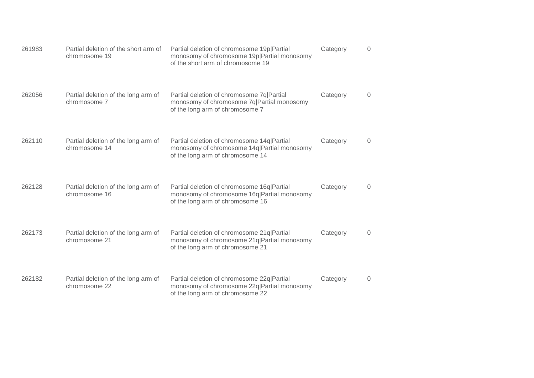| 261983 | Partial deletion of the short arm of<br>chromosome 19 | Partial deletion of chromosome 19p Partial<br>monosomy of chromosome 19p Partial monosomy<br>of the short arm of chromosome 19 | Category | $\overline{0}$ |
|--------|-------------------------------------------------------|--------------------------------------------------------------------------------------------------------------------------------|----------|----------------|
| 262056 | Partial deletion of the long arm of<br>chromosome 7   | Partial deletion of chromosome 7q Partial<br>monosomy of chromosome 7q Partial monosomy<br>of the long arm of chromosome 7     | Category | $\overline{0}$ |
| 262110 | Partial deletion of the long arm of<br>chromosome 14  | Partial deletion of chromosome 14q Partial<br>monosomy of chromosome 14q Partial monosomy<br>of the long arm of chromosome 14  | Category | $\overline{0}$ |
| 262128 | Partial deletion of the long arm of<br>chromosome 16  | Partial deletion of chromosome 16q Partial<br>monosomy of chromosome 16q Partial monosomy<br>of the long arm of chromosome 16  | Category | $\overline{0}$ |
| 262173 | Partial deletion of the long arm of<br>chromosome 21  | Partial deletion of chromosome 21q Partial<br>monosomy of chromosome 21q Partial monosomy<br>of the long arm of chromosome 21  | Category | $\overline{0}$ |
| 262182 | Partial deletion of the long arm of<br>chromosome 22  | Partial deletion of chromosome 22q Partial<br>monosomy of chromosome 22q Partial monosomy<br>of the long arm of chromosome 22  | Category | $\mathbf 0$    |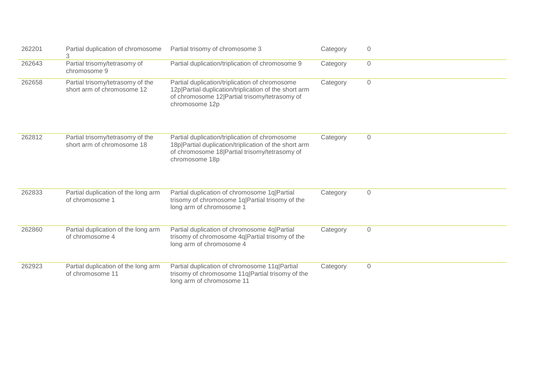| 262201 | Partial duplication of chromosome<br>3                         | Partial trisomy of chromosome 3                                                                                                                                            | Category | $\overline{0}$      |
|--------|----------------------------------------------------------------|----------------------------------------------------------------------------------------------------------------------------------------------------------------------------|----------|---------------------|
| 262643 | Partial trisomy/tetrasomy of<br>chromosome 9                   | Partial duplication/triplication of chromosome 9                                                                                                                           | Category | $\sqrt{0}$          |
| 262658 | Partial trisomy/tetrasomy of the<br>short arm of chromosome 12 | Partial duplication/triplication of chromosome<br>12p Partial duplication/triplication of the short arm<br>of chromosome 12 Partial trisomy/tetrasomy of<br>chromosome 12p | Category | $\mathbf 0$         |
| 262812 | Partial trisomy/tetrasomy of the<br>short arm of chromosome 18 | Partial duplication/triplication of chromosome<br>18p Partial duplication/triplication of the short arm<br>of chromosome 18 Partial trisomy/tetrasomy of<br>chromosome 18p | Category | $\mathbf 0$         |
| 262833 | Partial duplication of the long arm<br>of chromosome 1         | Partial duplication of chromosome 1q Partial<br>trisomy of chromosome 1q Partial trisomy of the<br>long arm of chromosome 1                                                | Category | $\mathsf{O}\xspace$ |
| 262860 | Partial duplication of the long arm<br>of chromosome 4         | Partial duplication of chromosome 4q Partial<br>trisomy of chromosome 4q Partial trisomy of the<br>long arm of chromosome 4                                                | Category | $\mathsf{O}\xspace$ |
| 262923 | Partial duplication of the long arm<br>of chromosome 11        | Partial duplication of chromosome 11q Partial<br>trisomy of chromosome 11q Partial trisomy of the<br>long arm of chromosome 11                                             | Category | $\mathbf 0$         |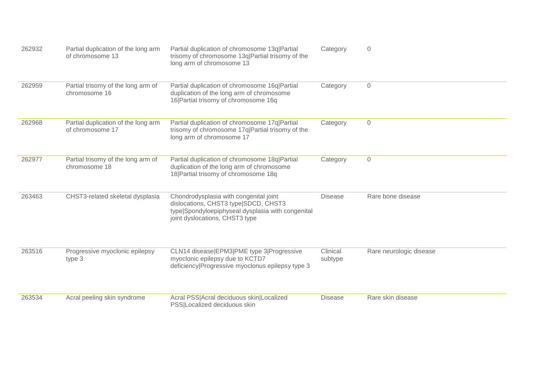| 262932 | Partial duplication of the long arm<br>of chromosome 13 | Partial duplication of chromosome 13q Partial<br>trisomy of chromosome 13q Partial trisomy of the<br>long arm of chromosome 13                                        | Category            | $\overline{0}$          |
|--------|---------------------------------------------------------|-----------------------------------------------------------------------------------------------------------------------------------------------------------------------|---------------------|-------------------------|
| 262959 | Partial trisomy of the long arm of<br>chromosome 16     | Partial duplication of chromosome 16q Partial<br>duplication of the long arm of chromosome<br>16 Partial trisomy of chromosome 16q                                    | Category            | $\mathbf 0$             |
| 262968 | Partial duplication of the long arm<br>of chromosome 17 | Partial duplication of chromosome 17q Partial<br>trisomy of chromosome 17q Partial trisomy of the<br>long arm of chromosome 17                                        | Category            | $\overline{0}$          |
| 262977 | Partial trisomy of the long arm of<br>chromosome 18     | Partial duplication of chromosome 18q Partial<br>duplication of the long arm of chromosome<br>18 Partial trisomy of chromosome 18q                                    | Category            | $\overline{0}$          |
| 263463 | CHST3-related skeletal dysplasia                        | Chondrodysplasia with congenital joint<br>dislocations, CHST3 type SDCD, CHST3<br>type Spondyloepiphyseal dysplasia with congenital<br>joint dyslocations, CHST3 type | <b>Disease</b>      | Rare bone disease       |
| 263516 | Progressive myoclonic epilepsy<br>type 3                | CLN14 disease EPM3 PME type 3 Progressive<br>myoclonic epilepsy due to KCTD7<br>deficiency Progressive myoclonus epilepsy type 3                                      | Clinical<br>subtype | Rare neurologic disease |
| 263534 | Acral peeling skin syndrome                             | Acral PSS Acral deciduous skin Localized<br>PSS Localized deciduous skin                                                                                              | <b>Disease</b>      | Rare skin disease       |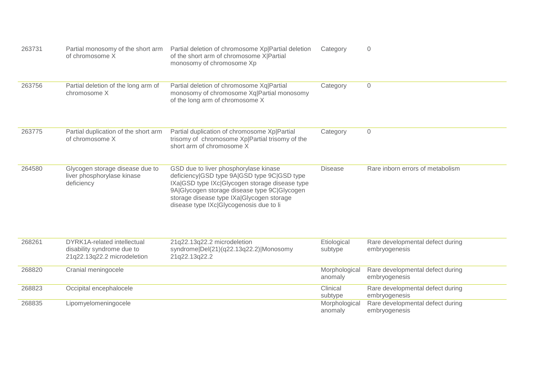| 263731 | Partial monosomy of the short arm<br>of chromosome X                                            | Partial deletion of chromosome Xp Partial deletion<br>of the short arm of chromosome X Partial<br>monosomy of chromosome Xp                                                                                                                                                    | Category                 | $\overline{0}$                                    |
|--------|-------------------------------------------------------------------------------------------------|--------------------------------------------------------------------------------------------------------------------------------------------------------------------------------------------------------------------------------------------------------------------------------|--------------------------|---------------------------------------------------|
| 263756 | Partial deletion of the long arm of<br>chromosome X                                             | Partial deletion of chromosome Xq Partial<br>monosomy of chromosome Xq Partial monosomy<br>of the long arm of chromosome X                                                                                                                                                     | Category                 | $\sqrt{a}$                                        |
| 263775 | Partial duplication of the short arm<br>of chromosome X                                         | Partial duplication of chromosome Xp Partial<br>trisomy of chromosome Xp Partial trisomy of the<br>short arm of chromosome X                                                                                                                                                   | Category                 | $\mathsf{O}\xspace$                               |
| 264580 | Glycogen storage disease due to<br>liver phosphorylase kinase<br>deficiency                     | GSD due to liver phosphorylase kinase<br>deficiency GSD type 9A GSD type 9C GSD type<br>IXa GSD type IXc Glycogen storage disease type<br>9A Glycogen storage disease type 9C Glycogen<br>storage disease type IXa Glycogen storage<br>disease type IXc Glycogenosis due to li | <b>Disease</b>           | Rare inborn errors of metabolism                  |
| 268261 | <b>DYRK1A-related intellectual</b><br>disability syndrome due to<br>21q22.13q22.2 microdeletion | 21q22.13q22.2 microdeletion<br>syndrome Del(21)(q22.13q22.2) Monosomy<br>21q22.13q22.2                                                                                                                                                                                         | Etiological<br>subtype   | Rare developmental defect during<br>embryogenesis |
| 268820 | Cranial meningocele                                                                             |                                                                                                                                                                                                                                                                                | Morphological<br>anomaly | Rare developmental defect during<br>embryogenesis |
| 268823 | Occipital encephalocele                                                                         |                                                                                                                                                                                                                                                                                | Clinical<br>subtype      | Rare developmental defect during<br>embryogenesis |
| 268835 | Lipomyelomeningocele                                                                            |                                                                                                                                                                                                                                                                                | Morphological<br>anomaly | Rare developmental defect during<br>embryogenesis |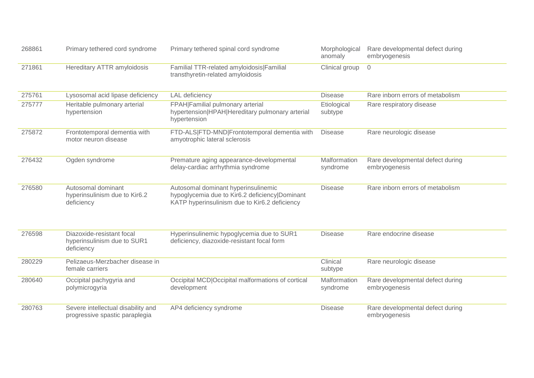| 268861 | Primary tethered cord syndrome                                         | Primary tethered spinal cord syndrome                                                                                                  | Morphological<br>anomaly | Rare developmental defect during<br>embryogenesis |
|--------|------------------------------------------------------------------------|----------------------------------------------------------------------------------------------------------------------------------------|--------------------------|---------------------------------------------------|
| 271861 | Hereditary ATTR amyloidosis                                            | Familial TTR-related amyloidosis Familial<br>transthyretin-related amyloidosis                                                         | Clinical group           | $\overline{0}$                                    |
| 275761 | Lysosomal acid lipase deficiency                                       | <b>LAL</b> deficiency                                                                                                                  | <b>Disease</b>           | Rare inborn errors of metabolism                  |
| 275777 | Heritable pulmonary arterial<br>hypertension                           | FPAH Familial pulmonary arterial<br>hypertension HPAH Hereditary pulmonary arterial<br>hypertension                                    | Etiological<br>subtype   | Rare respiratory disease                          |
| 275872 | Frontotemporal dementia with<br>motor neuron disease                   | FTD-ALS FTD-MND Frontotemporal dementia with<br>amyotrophic lateral sclerosis                                                          | <b>Disease</b>           | Rare neurologic disease                           |
| 276432 | Ogden syndrome                                                         | Premature aging appearance-developmental<br>delay-cardiac arrhythmia syndrome                                                          | Malformation<br>syndrome | Rare developmental defect during<br>embryogenesis |
| 276580 | Autosomal dominant<br>hyperinsulinism due to Kir6.2<br>deficiency      | Autosomal dominant hyperinsulinemic<br>hypoglycemia due to Kir6.2 deficiency Dominant<br>KATP hyperinsulinism due to Kir6.2 deficiency | <b>Disease</b>           | Rare inborn errors of metabolism                  |
| 276598 | Diazoxide-resistant focal<br>hyperinsulinism due to SUR1<br>deficiency | Hyperinsulinemic hypoglycemia due to SUR1<br>deficiency, diazoxide-resistant focal form                                                | <b>Disease</b>           | Rare endocrine disease                            |
| 280229 | Pelizaeus-Merzbacher disease in<br>female carriers                     |                                                                                                                                        | Clinical<br>subtype      | Rare neurologic disease                           |
| 280640 | Occipital pachygyria and<br>polymicrogyria                             | Occipital MCD Occipital malformations of cortical<br>development                                                                       | Malformation<br>syndrome | Rare developmental defect during<br>embryogenesis |
| 280763 | Severe intellectual disability and<br>progressive spastic paraplegia   | AP4 deficiency syndrome                                                                                                                | <b>Disease</b>           | Rare developmental defect during<br>embryogenesis |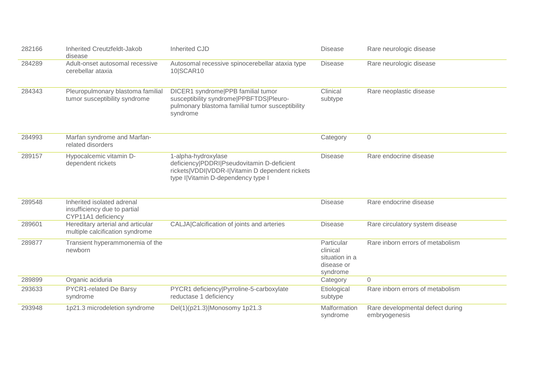| 282166 | Inherited Creutzfeldt-Jakob<br>disease                                           | <b>Inherited CJD</b>                                                                                                                                       | <b>Disease</b>                                                     | Rare neurologic disease                           |
|--------|----------------------------------------------------------------------------------|------------------------------------------------------------------------------------------------------------------------------------------------------------|--------------------------------------------------------------------|---------------------------------------------------|
| 284289 | Adult-onset autosomal recessive<br>cerebellar ataxia                             | Autosomal recessive spinocerebellar ataxia type<br>10 SCAR10                                                                                               | <b>Disease</b>                                                     | Rare neurologic disease                           |
| 284343 | Pleuropulmonary blastoma familial<br>tumor susceptibility syndrome               | DICER1 syndrome PPB familial tumor<br>susceptibility syndrome   PPBFTDS   Pleuro-<br>pulmonary blastoma familial tumor susceptibility<br>syndrome          | Clinical<br>subtype                                                | Rare neoplastic disease                           |
| 284993 | Marfan syndrome and Marfan-<br>related disorders                                 |                                                                                                                                                            | Category                                                           | $\overline{0}$                                    |
| 289157 | Hypocalcemic vitamin D-<br>dependent rickets                                     | 1-alpha-hydroxylase<br>deficiency PDDRI Pseudovitamin D-deficient<br>rickets VDDI VDDR-I Vitamin D dependent rickets<br>type I Vitamin D-dependency type I | <b>Disease</b>                                                     | Rare endocrine disease                            |
| 289548 | Inherited isolated adrenal<br>insufficiency due to partial<br>CYP11A1 deficiency |                                                                                                                                                            | <b>Disease</b>                                                     | Rare endocrine disease                            |
| 289601 | Hereditary arterial and articular<br>multiple calcification syndrome             | CALJA Calcification of joints and arteries                                                                                                                 | <b>Disease</b>                                                     | Rare circulatory system disease                   |
| 289877 | Transient hyperammonemia of the<br>newborn                                       |                                                                                                                                                            | Particular<br>clinical<br>situation in a<br>disease or<br>syndrome | Rare inborn errors of metabolism                  |
| 289899 | Organic aciduria                                                                 |                                                                                                                                                            | Category                                                           | 0                                                 |
| 293633 | PYCR1-related De Barsy<br>syndrome                                               | PYCR1 deficiency Pyrroline-5-carboxylate<br>reductase 1 deficiency                                                                                         | Etiological<br>subtype                                             | Rare inborn errors of metabolism                  |
| 293948 | 1p21.3 microdeletion syndrome                                                    | Del(1)(p21.3) Monosomy 1p21.3                                                                                                                              | Malformation<br>syndrome                                           | Rare developmental defect during<br>embryogenesis |